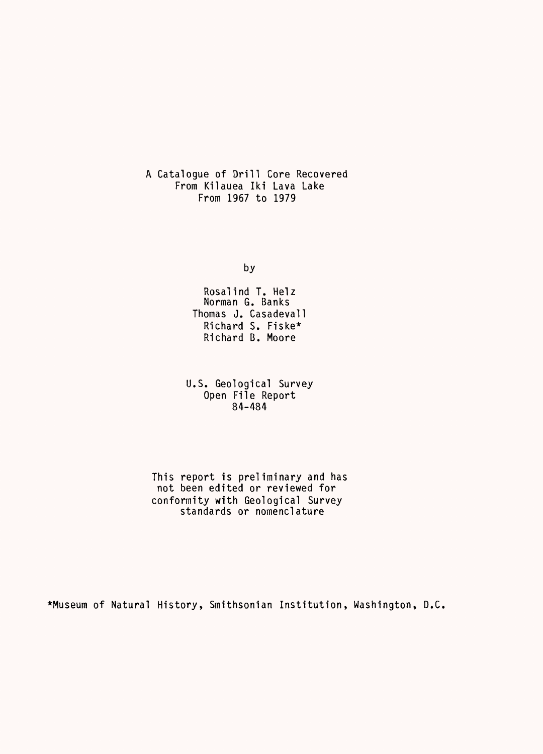A Catalogue of Drill Core Recovered From Kilauea Iki Lava Lake From 1967 to 1979

by

Rosalind T. Helz Norman G. Banks Thomas J. Casadevall Richard S. Fiske\* Richard B. Moore

U.S. Geological Survey Open File Report 84-484

This report is preliminary and has not been edited or reviewed for conformity with Geological Survey standards or nomenclature

\*Museum of Natural History, Smithsonian Institution, Washington, D.C.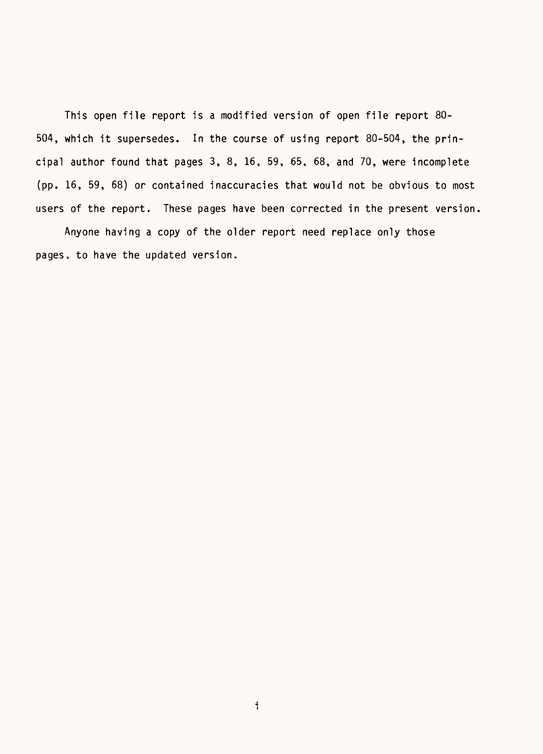This open file report is a modified version of open file report 80- 504, which it supersedes. In the course of using report 80-504, the principal author found that pages 3, 8, 16, 59, 65, 68, and 70, were incomplete (pp. 16, 59, 68) or contained inaccuracies that would not be obvious to most users of the report. These pages have been corrected in the present version.

Anyone having a copy of the older report need replace only those pages, to have the updated version.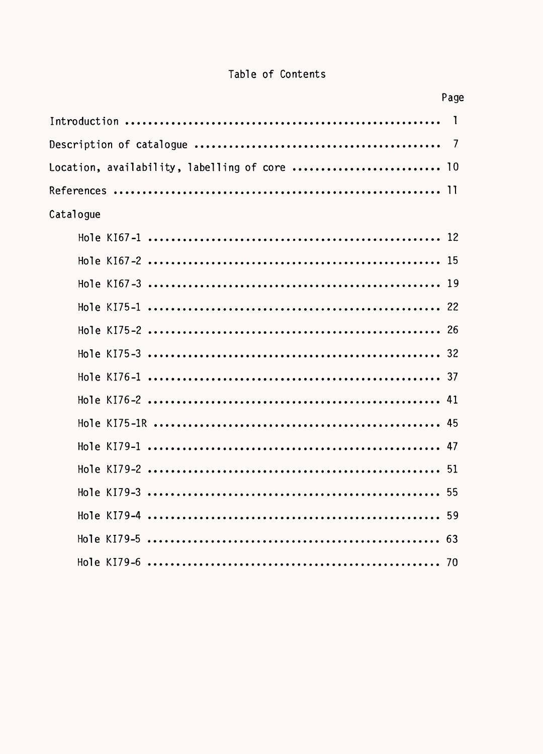### Table of Contents

| Page                                          |
|-----------------------------------------------|
| $\blacksquare$                                |
|                                               |
| Location, availability, labelling of core  10 |
|                                               |
| Catalogue                                     |
|                                               |
|                                               |
|                                               |
|                                               |
|                                               |
|                                               |
|                                               |
|                                               |
|                                               |
|                                               |
|                                               |
|                                               |
|                                               |
|                                               |
|                                               |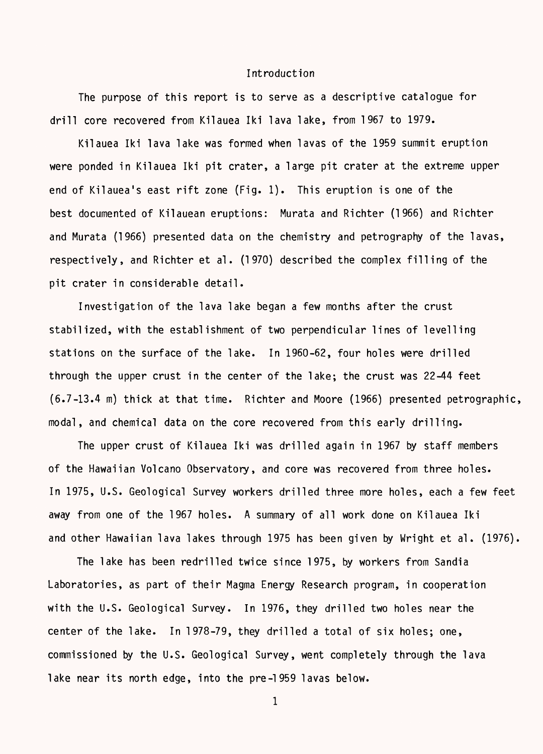#### Introduction

The purpose of this report is to serve as a descriptive catalogue for drill core recovered from Kilauea Iki lava lake, from 1967 to 1979.

Kilauea Iki lava lake was formed when lavas of the 1959 summit eruption were ponded in Kilauea Iki pit crater, a large pit crater at the extreme upper end of Kilauea's east rift zone (Fig. 1). This eruption is one of the best documented of Kilauean eruptions: Murata and Richter (1966) and Richter and Murata (1966) presented data on the chemistry and petrography of the lavas, respectively, and Richter et al. (1970) described the complex filling of the pit crater in considerable detail.

Investigation of the lava lake began a few months after the crust stabilized, with the establishment of two perpendicular lines of levelling stations on the surface of the lake. In 1960-62, four holes were drilled through the upper crust in the center of the lake; the crust was 22-44 feet (6.7-13.4 m) thick at that time. Richter and Moore (1966) presented petrographic, modal, and chemical data on the core recovered from this early drilling.

The upper crust of Kilauea Iki was drilled again in 1967 by staff members of the Hawaiian Volcano Observatory, and core was recovered from three holes. In 1975, U.S. Geological Survey workers drilled three more holes, each a few feet away from one of the 1967 holes. A summary of all work done on Kilauea Iki and other Hawaiian lava lakes through 1975 has been given by Wright et al. (1976).

The lake has been redrilled twice since 1975, by workers from Sandia Laboratories, as part of their Magma Energy Research program, in cooperation with the U.S. Geological Survey. In 1976, they drilled two holes near the center of the lake. In 1978-79, they drilled a total of six holes; one, commissioned by the U.S. Geological Survey, went completely through the lava lake near its north edge, into the pre-1959 lavas below.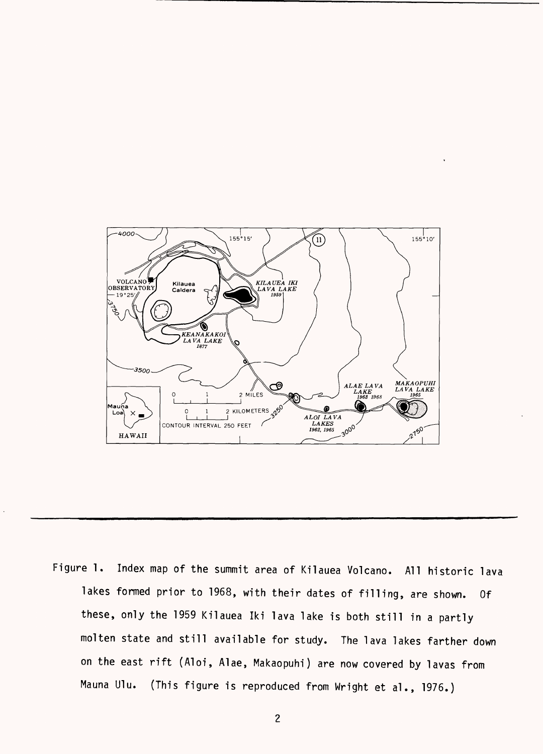

Figure 1. Index map of the summit area of Kilauea Volcano. All historic lava lakes formed prior to 1968, with their dates of filling, are shown. Of these, only the 1959 Kilauea Iki lava lake is both still in a partly molten state and still available for study. The lava lakes farther down on the east rift (Aloi, Alae, Makaopuhi) are now covered by lavas from Mauna Ulu. (This figure is reproduced from Wright et al., 1976.)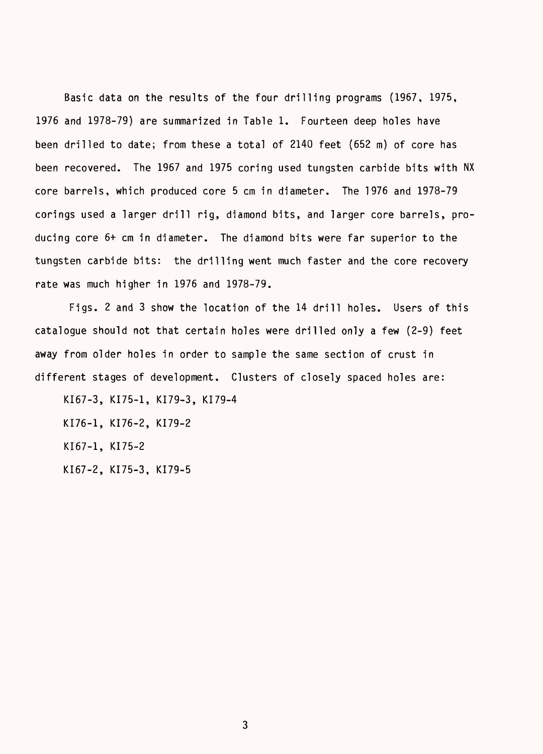Basic data on the results of the four drilling programs (1967, 1975, 1976 and 1978-79) are summarized in Table 1. Fourteen deep holes have been drilled to date; from these a total of 2140 feet (652 m) of core has been recovered. The 1967 and 1975 coring used tungsten carbide bits with NX core barrels, which produced core 5 cm in diameter. The 1976 and 1978-79 corings used a larger drill rig, diamond bits, and larger core barrels, producing core 6+ cm in diameter. The diamond bits were far superior to the tungsten carbide bits: the drilling went much faster and the core recovery rate was much higher in 1976 and 1978-79.

Figs. 2 and 3 show the location of the 14 drill holes. Users of this catalogue should not that certain holes were drilled only a few (2-9) feet away from older holes in order to sample the same section of crust in different stages of development. Clusters of closely spaced holes are:

KI67-3, KI75-1, KI79-3, KI79-4 KI76-1, KI76-2, KI79-2 KI67-1, KI75-2 KI67-2, KI75-3, KI79-5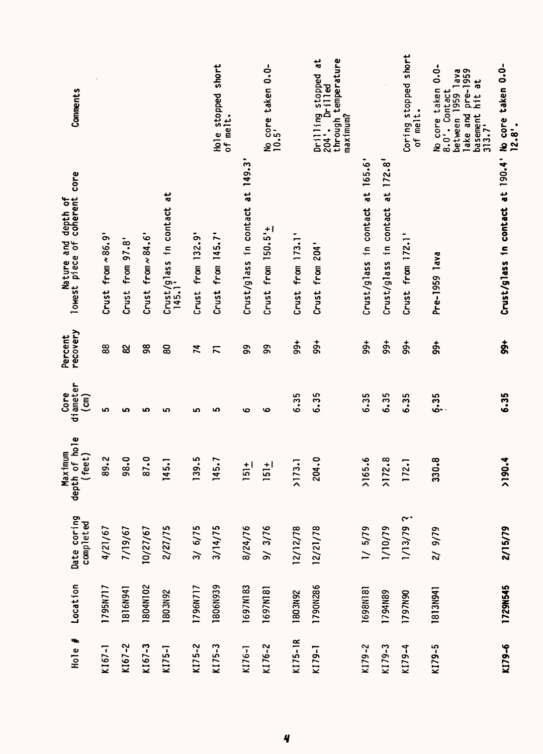| $12.8^{\circ}$ .                                                                                                | Crust/glass in contact at 190.4' No core taken 0.0-                 | $\dot{5}$           | 6.35                              | 2190.4                              | 2/15/79                  | 1729N545        | KI79-6     |
|-----------------------------------------------------------------------------------------------------------------|---------------------------------------------------------------------|---------------------|-----------------------------------|-------------------------------------|--------------------------|-----------------|------------|
| $0.0 -$<br>8.0'. Contact<br>between 1959 lava<br>lake and pre-1959<br>basement hit at<br>No core taken<br>313.7 | Pre-1959 lava                                                       | $\frac{4}{90}$      | 6.35                              | 330.8                               | 2/ 9/79                  | <b>1813N941</b> | $K179 - 5$ |
| Coring stopped short<br>of melt.                                                                                | Crust from 172.1'                                                   | $99+$               | 6.35                              | 172.1                               | 2.61/11                  | 1797N90         | KI79-4     |
|                                                                                                                 | Crust/glass in contact at 172.8'                                    | $\frac{4}{90}$      | 6.35                              | >172.8                              | 1/10/79                  | 1794N89         | KI79-3     |
|                                                                                                                 | Crust/glass in contact at 165.6                                     | $\frac{4}{99}$      | 6.35                              | 3.65.6                              | 1/5/79                   | 1698N181        | KI79-2     |
| through temperature<br>maximum?<br>Drilling stopped at<br>Dr <sub>111ed</sub><br>204'.                          | Crust from 204'                                                     | $\frac{4}{9}$       | 6.35                              | 204.0                               | 12/21/78                 | 1790N286        | KI79-1     |
|                                                                                                                 | Crust from 173.1                                                    | $\frac{4}{9}$       | 6.35                              | >173.1                              | 12/12/78                 | 1803N92         | KI75-IR    |
| No core taken 0.0-<br>10.5'                                                                                     | Crust from $150.5'$ +                                               | 99                  | ڡ                                 | $151 +$                             | 9/3/76                   | 1697N181        | KI76-2     |
|                                                                                                                 | Crust/glass in contact at 149.3                                     | 99                  | 6                                 | $\frac{1}{5}$                       | 8/24/76                  | 1697N183        | KI76-1     |
| Hole stopped short<br>of melt.                                                                                  | Crust from $145.7$                                                  | $\overline{K}$      | ഥ                                 | 145.7                               | 3/14/75                  | 1806N939        | KI75-3     |
|                                                                                                                 | Crust from 132.9'                                                   | $\mathfrak{p}$      | မာ                                | 139.5                               | 3/6/75                   | 1796N717        | $K175 - 2$ |
|                                                                                                                 | $\frac{1}{6}$<br>Crust/glass in contact<br>145.1'                   | 8                   | ம                                 | 145.1                               | 2/27/75                  | 1803N92         | KI75-1     |
|                                                                                                                 | Crust from $\sim$ 84.6'                                             | 38                  | ဖာ                                | 87.0                                | 10/27/67                 | 1804N102        | $K167 - 3$ |
|                                                                                                                 | Crust from 97.8'                                                    | 8                   | ဖာ                                | 98.0                                | 7/19/67                  | 1816N941        | $K167 - 2$ |
|                                                                                                                 | Crust from $\sim 86.9$                                              | 88                  | မာ                                | 89.2                                | 4/21/67                  | 1795N717        | $K167 - 1$ |
| Comments                                                                                                        | core<br>coherent<br>Nature and depth of<br>lowest piece of coherent | recovery<br>Percent | diameter<br>Core<br>$\widehat{E}$ | depth of hole<br>Max tmum<br>(feet) | Date coring<br>completed | Location        | Hole $#$   |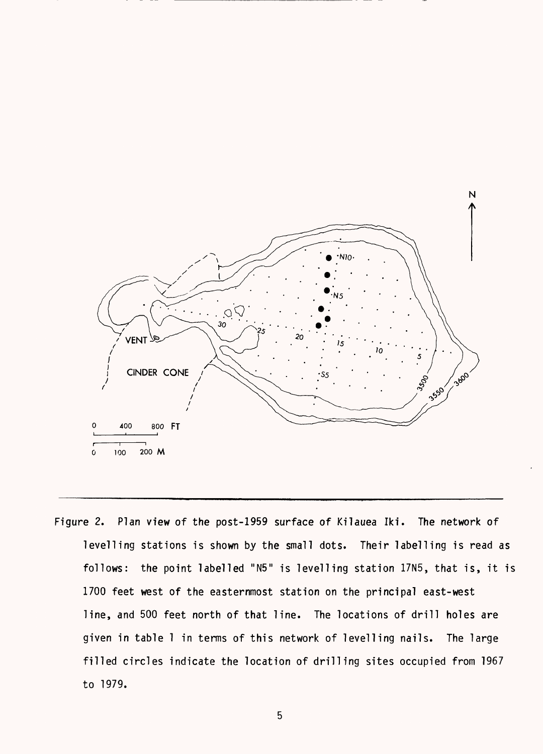

Figure 2. Plan view of the post-1959 surface of Kilauea Iki. The network of levelling stations is shown by the small dots. Their labelling is read as follows: the point labelled "N5" is levelling station 17N5, that is, it is 1700 feet west of the easternmost station on the principal east-west line, and 500 feet north of that line. The locations of drill holes are given in table 1 in terms of this network of levelling nails. The large filled circles indicate the location of drilling sites occupied from 1967 to 1979.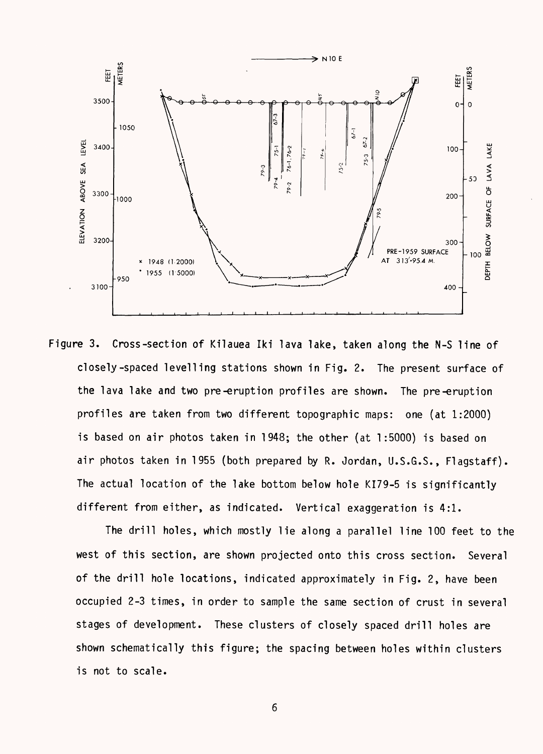

Figure 3. Cross-section of Kilauea Iki lava lake, taken along the N-S line of closely-spaced levelling stations shown in Fig. 2. The present surface of the lava lake and two pre-eruption profiles are shown. The pre-eruption profiles are taken from two different topographic maps: one (at 1:2000) is based on air photos taken in 1948; the other (at 1:5000) is based on air photos taken in 1955 (both prepared by R. Jordan, U.S.G.S., Flagstaff). The actual location of the lake bottom below hole KI79-5 is significantly different from either, as indicated. Vertical exaggeration is 4:1.

The drill holes, which mostly lie along a parallel line 100 feet to the west of this section, are shown projected onto this cross section. Several of the drill hole locations, indicated approximately in Fig. 2, have been occupied 2-3 times, in order to sample the same section of crust in several stages of development. These clusters of closely spaced drill holes are shown schematically this figure; the spacing between holes within clusters is not to scale.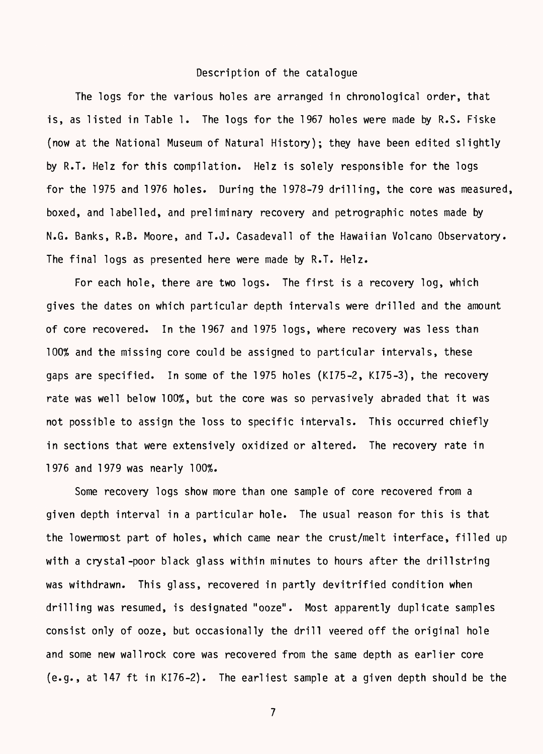#### Description of the catalogue

The logs for the various holes are arranged in chronological order, that is, as listed in Table 1. The logs for the 1967 holes were made by R.S. Fiske (now at the National Museum of Natural History); they have been edited slightly by R.T. Helz for this compilation. Helz is solely responsible for the logs for the 1975 and 1976 holes. During the 1978-79 drilling, the core was measured, boxed, and labelled, and preliminary recovery and petrographic notes made by N.G. Banks, R.B. Moore, and T.J. Casadevall of the Hawaiian Volcano Observatory. The final logs as presented here were made by R.T. Helz.

For each hole, there are two logs. The first is a recovery log, which gives the dates on which particular depth intervals were drilled and the amount of core recovered. In the 1967 and 1975 logs, where recovery was less than 100% and the missing core could be assigned to particular intervals, these gaps are specified. In some of the 1975 holes (KI75-2, KI75-3), the recovery rate was well below 100%, but the core was so pervasively abraded that it was not possible to assign the loss to specific intervals. This occurred chiefly in sections that were extensively oxidized or altered. The recovery rate in 1976 and 1979 was nearly 100%.

Some recovery logs show more than one sample of core recovered from a given depth interval in a particular hole. The usual reason for this is that the lowermost part of holes, which came near the crust/melt interface, filled up with a crystal-poor black glass within minutes to hours after the drillstring was withdrawn. This glass, recovered in partly devitrified condition when drilling was resumed, is designated "ooze". Most apparently duplicate samples consist only of ooze, but occasionally the drill veered off the original hole and some new wall rock core was recovered from the same depth as earlier core (e.g., at 147 ft in KI76-2). The earliest sample at a given depth should be the

 $\overline{7}$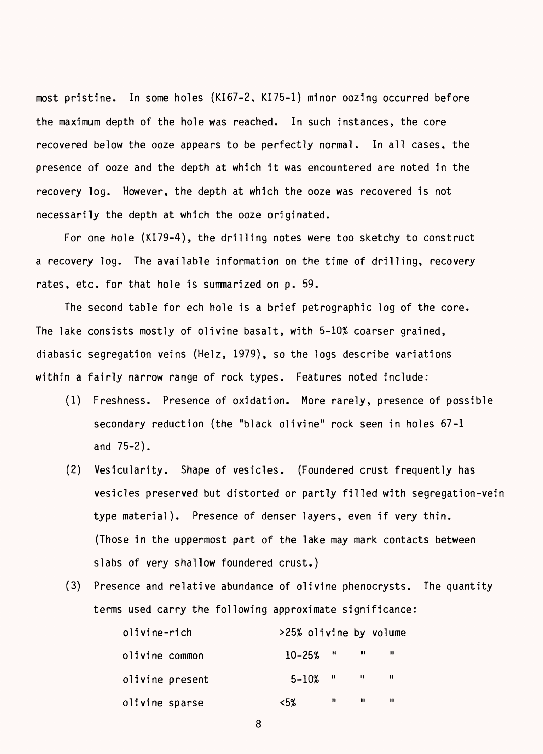most pristine. In some holes (KI67-2, KI75-1) minor oozing occurred before the maximum depth of the hole was reached. In such instances, the core recovered below the ooze appears to be perfectly normal. In all cases, the presence of ooze and the depth at which it was encountered are noted in the recovery log. However, the depth at which the ooze was recovered is not necessarily the depth at which the ooze originated.

For one hole (KI79-4), the drilling notes were too sketchy to construct a recovery log. The available information on the time of drilling, recovery rates, etc. for that hole is summarized on p. 59.

The second table for ech hole is a brief petrographic log of the core. The lake consists mostly of olivine basalt, with 5-10% coarser grained, diabasic segregation veins (Helz, 1979), so the logs describe variations within a fairly narrow range of rock types. Features noted include:

- (1) Freshness. Presence of oxidation. More rarely, presence of possible secondary reduction (the "black olivine" rock seen in holes 67-1 and 75-2).
- (2) Vesicularity. Shape of vesicles. (Foundered crust frequently has vesicles preserved but distorted or partly filled with segregation-vein type material). Presence of denser layers, even if very thin. (Those in the uppermost part of the lake may mark contacts between slabs of very shallow foundered crust.)
- (3) Presence and relative abundance of olivine phenocrysts. The quantity terms used carry the following approximate significance:

| olivine-rich    | >25% olivine by volume |   |              |     |  |
|-----------------|------------------------|---|--------------|-----|--|
| olivine common  | $10 - 25\%$ " "        |   |              |     |  |
| olivine present | $5 - 10\%$ "           |   | $\mathbf{u}$ | -11 |  |
| olivine sparse  | <5%                    | n | п            | Ш   |  |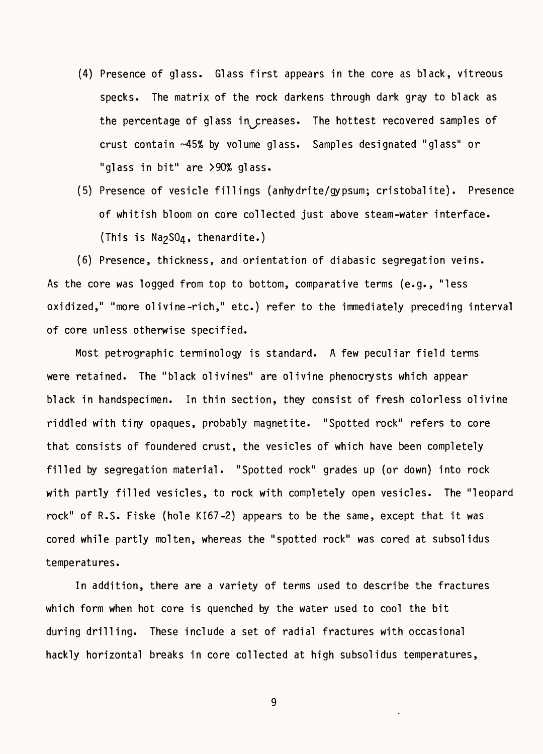- (4) Presence of glass. Glass first appears in the core as black, vitreous specks. The matrix of the rock darkens through dark gray to black as the percentage of glass in creases. The hottest recovered samples of crust contain -45% by volume glass. Samples designated "glass" or "glass in bit" are >90% glass.
- (5) Presence of vesicle fillings (anhydrite/gypsum; cristobalite). Presence of whitish bloom on core collected just above steam-water interface. (This is  $Na<sub>2</sub>SO<sub>4</sub>$ , thenardite.)

(6) Presence, thickness, and orientation of diabasic segregation veins. As the core was logged from top to bottom, comparative terms (e.g., "less oxidized," "more olivine-rich," etc.) refer to the immediately preceding interval of core unless otherwise specified.

Most petrographic terminology is standard. A few peculiar field terms were retained. The "black olivines" are olivine phenocrysts which appear black in handspecimen. In thin section, they consist of fresh colorless olivine riddled with tiny opaques, probably magnetite. "Spotted rock" refers to core that consists of foundered crust, the vesicles of which have been completely filled by segregation material. "Spotted rock" grades up (or down) into rock with partly filled vesicles, to rock with completely open vesicles. The "leopard rock" of R.S. Fiske (hole KI67-2) appears to be the same, except that it was cored while partly molten, whereas the "spotted rock" was cored at subsolidus temperatures.

In addition, there are a variety of terms used to describe the fractures which form when hot core is quenched by the water used to cool the bit during drilling. These include a set of radial fractures with occasional hackly horizontal breaks in core collected at high subsolidus temperatures,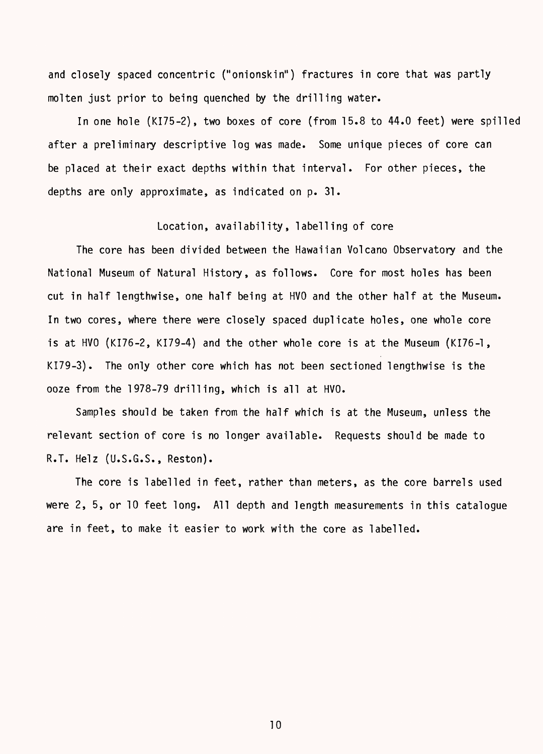and closely spaced concentric ("onionskin") fractures in core that was partly molten just prior to being quenched by the drilling water.

In one hole (KI75-2), two boxes of core (from 15.8 to 44.0 feet) were spilled after a preliminary descriptive log was made. Some unique pieces of core can be placed at their exact depths within that interval. For other pieces, the depths are only approximate, as indicated on p. 31.

#### Location, availability, labelling of core

The core has been divided between the Hawaiian Volcano Observatory and the National Museum of Natural History, as follows. Core for most holes has been cut in half lengthwise, one half being at HVO and the other half at the Museum. In two cores, where there were closely spaced duplicate holes, one whole core is at HVO (KI76-2, KI79-4) and the other whole core is at the Museum (KI76-1, KI79-3). The only other core which has not been sectioned lengthwise is the ooze from the 1978-79 drilling, which is all at HVO.

Samples should be taken from the half which is at the Museum, unless the relevant section of core is no longer available. Requests should be made to R.T. Helz (U.S.G.S., Reston).

The core is labelled in feet, rather than meters, as the core barrels used were 2, 5, or 10 feet long. All depth and length measurements in this catalogue are in feet, to make it easier to work with the core as labelled.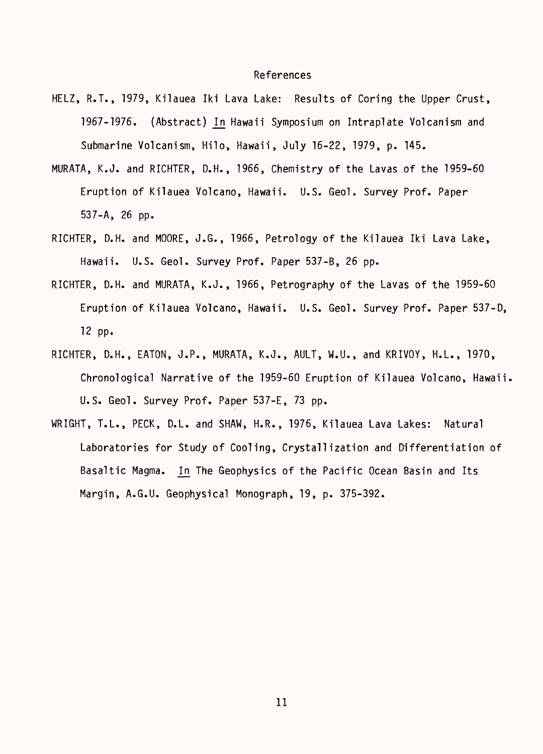#### References

- HELZ, R.T., 1979, Kilauea Iki Lava Lake: Results of Coring the Upper Crust, 1967-1976. (Abstract) In Hawaii Symposium on Intraplate Volcanism and Submarine Volcanism, Hilo, Hawaii, July 16-22, 1979, p. 145.
- MURATA, K.J. and RICHTER, D.H., 1966, Chemistry of the Lavas of the 1959-60 Eruption of Kilauea Volcano, Hawaii. U.S. Geol. Survey Prof. Paper 537-A, 26 pp.
- RICHTER, D.H. and MOORE, J.G., 1966, Petrology of the Kilauea Iki Lava Lake, Hawaii. U.S. Geol. Survey Prof. Paper 537-B, 26 pp.
- RICHTER, D.H. and MURATA, K.J., 1966, Petrography of the Lavas of the 1959-60 Eruption of Kilauea Volcano, Hawaii. U.S. Geol. Survey Prof. Paper 537-D, 12 pp.
- RICHTER, D.H., EATON, J.P., MURATA, K.J., AULT, W.U., and KRIVOY, H.L., 1970, Chronological Narrative of the 1959-60 Eruption of Kilauea Volcano, Hawaii. U.S. Geol. Survey Prof. Paper 537-E, 73 pp.
- WRIGHT, T.L., PECK, D.L. and SHAW, H.R., 1976, Kilauea Lava Lakes: Natural Laboratories for Study of Cooling, Crystallization and Differentiation of Basaltic Magma. In The Geophysics of the Pacific Ocean Basin and Its Margin, A.G.U. Geophysical Monograph, 19, p. 375-392.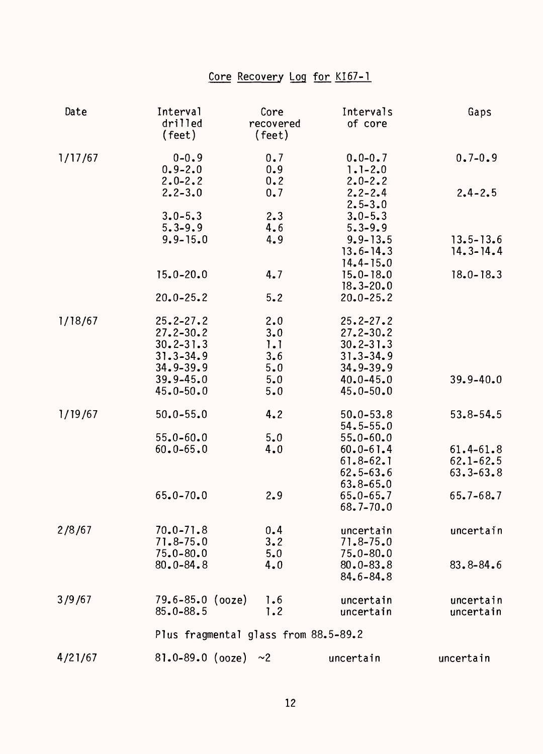# Core Recovery Log for KI67-1

| Date    | Interval<br>drilled<br>(feet)           | Core<br>recovered<br>(feet) | Intervals<br>of core                      | Gaps                           |
|---------|-----------------------------------------|-----------------------------|-------------------------------------------|--------------------------------|
| 1/17/67 | $0 - 0.9$<br>$0.9 - 2.0$<br>$2.0 - 2.2$ | 0.7<br>0.9<br>0.2           | $0.0 - 0.7$<br>$1.1 - 2.0$<br>$2.0 - 2.2$ | $0.7 - 0.9$                    |
|         | $2.2 - 3.0$                             | 0.7                         | $2.2 - 2.4$<br>$2.5 - 3.0$                | $2.4 - 2.5$                    |
|         | $3.0 - 5.3$                             | 2.3                         | $3.0 - 5.3$                               |                                |
|         | $5.3 - 9.9$                             | 4.6                         | $5.3 - 9.9$                               |                                |
|         | $9.9 - 15.0$                            | 4.9                         | $9.9 - 13.5$<br>$13.6 - 14.3$             | $13.5 - 13.6$<br>$14.3 - 14.4$ |
|         |                                         |                             | $14.4 - 15.0$                             |                                |
|         | $15.0 - 20.0$                           | 4.7                         | $15.0 - 18.0$<br>$18.3 - 20.0$            | $18.0 - 18.3$                  |
|         | $20.0 - 25.2$                           | 5.2                         | $20.0 - 25.2$                             |                                |
| 1/18/67 | $25.2 - 27.2$                           | 2.0                         | $25.2 - 27.2$                             |                                |
|         | $27.2 - 30.2$                           | 3.0                         | $27.2 - 30.2$                             |                                |
|         | $30.2 - 31.3$                           | 1.1                         | $30.2 - 31.3$                             |                                |
|         | $31.3 - 34.9$                           | 3.6                         | $31.3 - 34.9$                             |                                |
|         | $34.9 - 39.9$<br>$39.9 - 45.0$          | 5.0<br>5.0                  | $34.9 - 39.9$<br>$40.0 - 45.0$            | $39.9 - 40.0$                  |
|         | $45.0 - 50.0$                           | 5.0                         | $45.0 - 50.0$                             |                                |
| 1/19/67 | $50.0 - 55.0$                           | 4.2                         | $50.0 - 53.8$                             | $53.8 - 54.5$                  |
|         |                                         |                             | $54.5 - 55.0$                             |                                |
|         | $55.0 - 60.0$<br>$60.0 - 65.0$          | 5.0<br>4.0                  | $55.0 - 60.0$<br>$60.0 - 61.4$            | $61.4 - 61.8$                  |
|         |                                         |                             | $61.8 - 62.1$                             | $62.1 - 62.5$                  |
|         |                                         |                             | $62.5 - 63.6$                             | $63.3 - 63.8$                  |
|         |                                         |                             | $63.8 - 65.0$                             |                                |
|         | $65.0 - 70.0$                           | 2.9                         | $65.0 - 65.7$                             | $65.7 - 68.7$                  |
|         |                                         |                             | $68.7 - 70.0$                             |                                |
| 2/8/67  | $70.0 - 71.8$                           | 0.4                         | uncertain                                 | uncertain                      |
|         | $71.8 - 75.0$                           | 3.2                         | $71.8 - 75.0$                             |                                |
|         | $75.0 - 80.0$                           | 5.0                         | $75.0 - 80.0$                             |                                |
|         | $80.0 - 84.8$                           | 4.0                         | $80.0 - 83.8$<br>84.6-84.8                | $83.8 - 84.6$                  |
| 3/9/67  | $79.6 - 85.0$ (ooze)                    | 7.6                         | uncertain                                 | uncertain                      |
|         | $85.0 - 88.5$                           | 1.2                         | uncertain                                 | uncertain                      |
|         | Plus fragmental glass from 88.5-89.2    |                             |                                           |                                |
| 4/21/67 | 81.0-89.0 (ooze) $\sim$ 2               |                             | uncertain                                 | uncertain                      |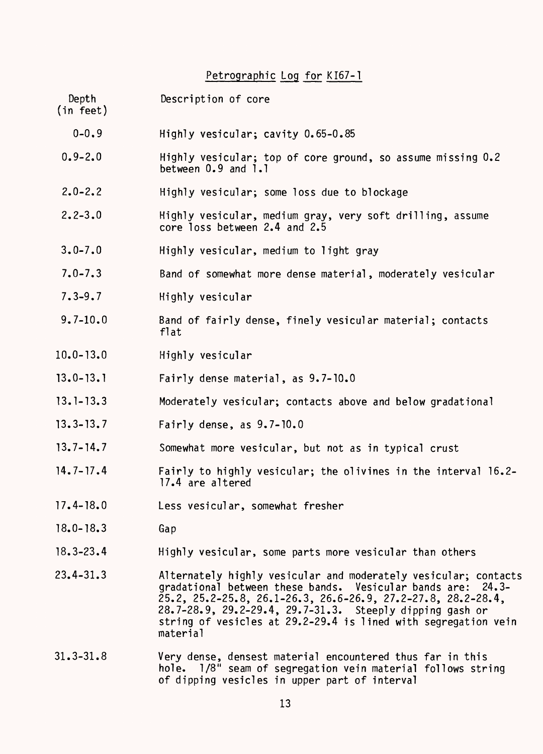# Petrographic Log for KI67-1

| Depth<br>(in feet) | Description of core                                                                                                                                                                                                                                                                                                                      |
|--------------------|------------------------------------------------------------------------------------------------------------------------------------------------------------------------------------------------------------------------------------------------------------------------------------------------------------------------------------------|
| $0 - 0.9$          | Highly vesicular; cavity 0.65-0.85                                                                                                                                                                                                                                                                                                       |
| $0.9 - 2.0$        | Highly vesicular; top of core ground, so assume missing 0.2<br>between 0.9 and 1.1                                                                                                                                                                                                                                                       |
| $2.0 - 2.2$        | Highly vesicular; some loss due to blockage                                                                                                                                                                                                                                                                                              |
| $2.2 - 3.0$        | Highly vesicular, medium gray, very soft drilling, assume<br>core loss between 2.4 and 2.5                                                                                                                                                                                                                                               |
| $3.0 - 7.0$        | Highly vesicular, medium to light gray                                                                                                                                                                                                                                                                                                   |
| $7.0 - 7.3$        | Band of somewhat more dense material, moderately vesicular                                                                                                                                                                                                                                                                               |
| $7.3 - 9.7$        | Highly vesicular                                                                                                                                                                                                                                                                                                                         |
| $9.7 - 10.0$       | Band of fairly dense, finely vesicular material; contacts<br>flat                                                                                                                                                                                                                                                                        |
| $10.0 - 13.0$      | Highly vesicular                                                                                                                                                                                                                                                                                                                         |
| $13.0 - 13.1$      | Fairly dense material, as 9.7-10.0                                                                                                                                                                                                                                                                                                       |
| $13.1 - 13.3$      | Moderately vesicular; contacts above and below gradational                                                                                                                                                                                                                                                                               |
| $13.3 - 13.7$      | Fairly dense, as $9.7 - 10.0$                                                                                                                                                                                                                                                                                                            |
| $13.7 - 14.7$      | Somewhat more vesicular, but not as in typical crust                                                                                                                                                                                                                                                                                     |
| $14.7 - 17.4$      | Fairly to highly vesicular; the olivines in the interval 16.2-<br>17.4 are altered                                                                                                                                                                                                                                                       |
| $17.4 - 18.0$      | Less vesicular, somewhat fresher                                                                                                                                                                                                                                                                                                         |
| $18.0 - 18.3$      | Gap                                                                                                                                                                                                                                                                                                                                      |
| $18.3 - 23.4$      | Highly vesicular, some parts more vesicular than others                                                                                                                                                                                                                                                                                  |
| $23.4 - 31.3$      | Alternately highly vesicular and moderately vesicular; contacts<br>gradational between these bands. Vesicular bands are: 24.3-<br>25.2, 25.2-25.8, 26.1-26.3, 26.6-26.9, 27.2-27.8, 28.2-28.4,<br>28.7-28.9, 29.2-29.4, 29.7-31.3. Steeply dipping gash or<br>string of vesicles at 29.2-29.4 is lined with segregation vein<br>material |
| $31.3 - 31.8$      | Very dense, densest material encountered thus far in this<br>hole. 1/8" seam of segregation vein material follows string<br>of dipping vesicles in upper part of interval                                                                                                                                                                |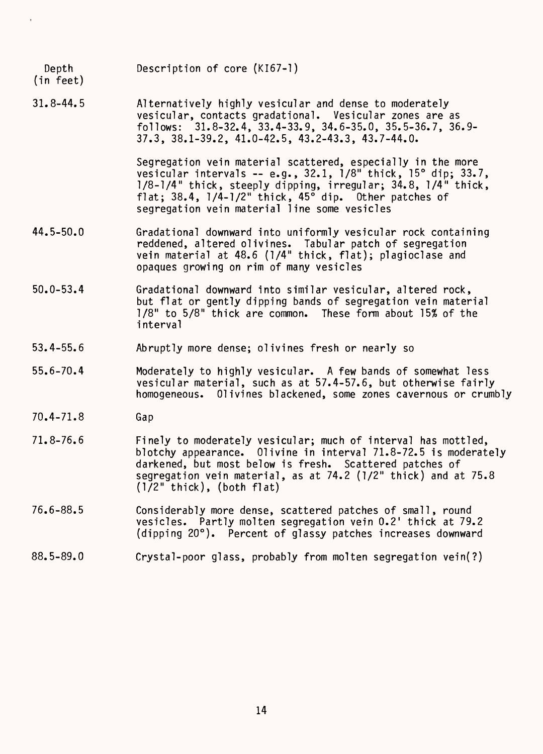Depth Description of core (KI67-1)

(in feet)

31.8-44.5 Alternatively highly vesicular and dense to moderately vesicular, contacts gradational. Vesicular zones are as follows: 31.8-32.4, 33.4-33.9, 34.6-35.0, 35.5-36.7, 36.9- 37.3, 38.1-39.2, 41.0-42.5, 43.2-43.3, 43.7-44.0.

> Segregation vein material scattered, especially in the more vesicular intervals -- e.g., 32.1, 1/8" thick, 15° dip; 33.7, 1/8-1/4" thick, steeply dipping, irregular; 34.8, 1/4" thick, flat; 38.4, 1/4-1/2" thick, 45° dip. Other patches of segregation vein material line some vesicles

- 44.5-50.0 Gradational downward into uniformly vesicular rock containing reddened, altered olivines. Tabular patch of segregation vein material at 48.6 (1/4" thick, flat); plagioclase and opaques growing on rim of many vesicles
- 50.0-53.4 Gradational downward into similar vesicular, altered rock, but flat or gently dipping bands of segregation vein material 1/8" to 5/8" thick are common. These form about 15% of the interval
- 53.4-55.6 Abruptly more dense; olivines fresh or nearly so
- 55.6-70.4 Moderately to highly vesicular. A few bands of somewhat less vesicular material, such as at 57.4-57.6, but otherwise fairly homogeneous. Olivines blackened, some zones cavernous or crumbly
- 70.4-71.8 Gap
- 71.8-76.6 Finely to moderately vesicular; much of interval has mottled, blotchy appearance. 01ivine in interval 71.8-72.5 is moderately darkened, but most below is fresh. Scattered patches of segregation vein material, as at 74.2 (1/2" thick) and at 75.8 (1/2" thick), (both flat)
- 76.6-88.5 Considerably more dense, scattered patches of small, round vesicles. Partly molten segregation vein 0.2' thick at 79.2 (dipping 20°). Percent of glassy patches increases downward
- 88.5-89.0 Crystal-poor glass, probably from molten segregation vein(?)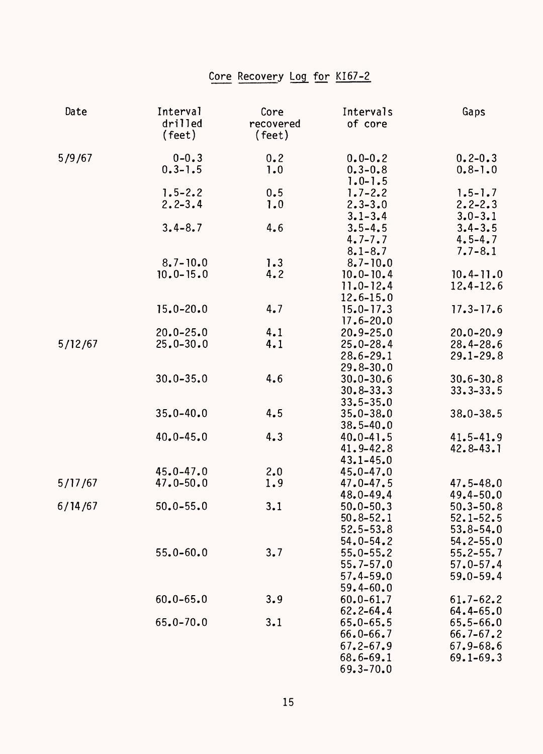# Core Recovery Log for KI67-2

| Date    | Interval<br>drilled<br>$(\text{feet})$ | Core<br>recovered<br>(feet) | Intervals<br>of core                                                              | Gaps                                                             |
|---------|----------------------------------------|-----------------------------|-----------------------------------------------------------------------------------|------------------------------------------------------------------|
| 5/9/67  | $0 - 0.3$<br>$0.3 - 1.5$               | 0.2<br>1.0                  | $0.0 - 0.2$<br>$0.3 - 0.8$<br>$1.0 - 1.5$                                         | $0.2 - 0.3$<br>$0.8 - 1.0$                                       |
|         | $1.5 - 2.2$<br>$2.2 - 3.4$             | 0.5<br>1.0                  | $1.7 - 2.2$<br>$2.3 - 3.0$                                                        | $1.5 - 1.7$<br>$2.2 - 2.3$<br>$3.0 - 3.1$                        |
|         | $3.4 - 8.7$                            | 4.6                         | $3.1 - 3.4$<br>$3.5 - 4.5$<br>$4.7 - 7.7$                                         | $3.4 - 3.5$<br>$4.5 - 4.7$                                       |
|         | $8.7 - 10.0$<br>$10.0 - 15.0$          | 1.3<br>4.2                  | $8.1 - 8.7$<br>$8.7 - 10.0$<br>$10.0 - 10.4$                                      | $7.7 - 8.1$<br>$10.4 - 11.0$                                     |
|         |                                        |                             | $11.0 - 12.4$<br>$12.6 - 15.0$                                                    | $12.4 - 12.6$                                                    |
|         | $15.0 - 20.0$                          | 4.7                         | $15.0 - 17.3$<br>$17.6 - 20.0$                                                    | $17.3 - 17.6$                                                    |
| 5/12/67 | $20.0 - 25.0$<br>$25.0 - 30.0$         | 4.1<br>4.1                  | $20.9 - 25.0$<br>$25.0 - 28.4$<br>$28.6 - 29.1$<br>$29.8 - 30.0$                  | $20.0 - 20.9$<br>$28.4 - 28.6$<br>$29.1 - 29.8$                  |
|         | $30.0 - 35.0$                          | 4.6                         | $30.0 - 30.6$<br>$30.8 - 33.3$<br>$33.5 - 35.0$                                   | $30.6 - 30.8$<br>$33.3 - 33.5$                                   |
|         | $35.0 - 40.0$                          | 4.5                         | $35.0 - 38.0$<br>$38.5 - 40.0$                                                    | $38.0 - 38.5$                                                    |
|         | $40.0 - 45.0$                          | 4.3                         | $40.0 - 41.5$<br>$41.9 - 42.8$<br>$43.1 - 45.0$                                   | $41.5 - 41.9$<br>$42.8 - 43.1$                                   |
| 5/17/67 | $45.0 - 47.0$<br>$47.0 - 50.0$         | 2.0<br>1.9                  | $45.0 - 47.0$<br>$47.0 - 47.5$<br>$48.0 - 49.4$                                   | $47.5 - 48.0$<br>$49.4 - 50.0$                                   |
| 6/14/67 | $50.0 - 55.0$                          | 3.1                         | $50.0 - 50.3$<br>$50.8 - 52.1$<br>$52.5 - 53.8$<br>$54.0 - 54.2$                  | $50.3 - 50.8$<br>$52.1 - 52.5$<br>$53.8 - 54.0$<br>$54.2 - 55.0$ |
|         | $55.0 - 60.0$                          | 3.7                         | $55.0 - 55.2$<br>$55.7 - 57.0$<br>$57.4 - 59.0$<br>$59.4 - 60.0$                  | $55.2 - 55.7$<br>$57.0 - 57.4$<br>$59.0 - 59.4$                  |
|         | $60.0 - 65.0$                          | 3.9                         | $60.0 - 61.7$<br>$62.2 - 64.4$                                                    | $61.7 - 62.2$<br>$64.4 - 65.0$                                   |
|         | $65.0 - 70.0$                          | 3.1                         | $65.0 - 65.5$<br>$66.0 - 66.7$<br>$67.2 - 67.9$<br>$68.6 - 69.1$<br>$69.3 - 70.0$ | $65.5 - 66.0$<br>$66.7 - 67.2$<br>$67.9 - 68.6$<br>$69.1 - 69.3$ |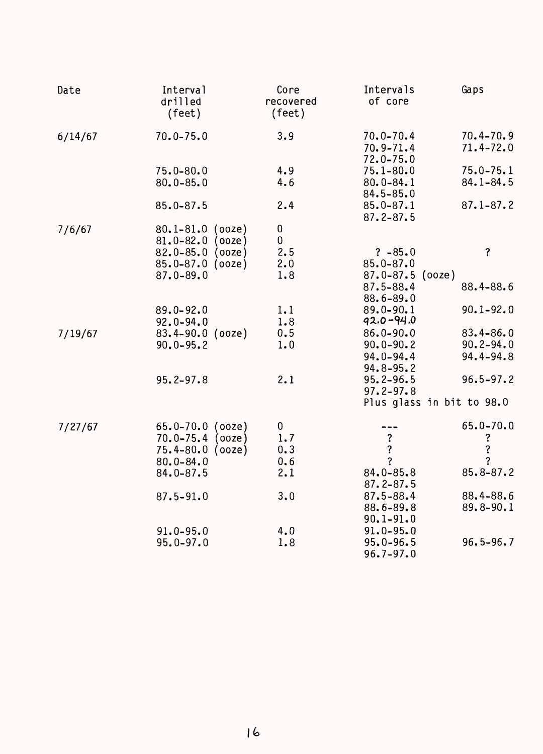| Date    | Interval<br>drilled<br>(feet) | Core<br>recovered<br>(feet) | Intervals<br>of core                            | Gaps                           |
|---------|-------------------------------|-----------------------------|-------------------------------------------------|--------------------------------|
| 6/14/67 | $70.0 - 75.0$                 | 3.9                         | $70.0 - 70.4$<br>$70.9 - 71.4$<br>$72.0 - 75.0$ | $70.4 - 70.9$<br>$71.4 - 72.0$ |
|         | $75.0 - 80.0$                 | 4.9                         | $75.1 - 80.0$                                   | $75.0 - 75.1$                  |
|         | $80.0 - 85.0$                 | 4.6                         | $80.0 - 84.1$<br>$84.5 - 85.0$                  | $84.1 - 84.5$                  |
|         | $85.0 - 87.5$                 | 2.4                         | $85.0 - 87.1$<br>$87.2 - 87.5$                  | $87.1 - 87.2$                  |
| 7/6/67  | $80.1 - 81.0$ (ooze)          | 0                           |                                                 |                                |
|         | $81.0 - 82.0$<br>(00ze)       | 0                           |                                                 |                                |
|         | $82.0 - 85.0$<br>(00ze)       | 2.5                         | $? -85.0$                                       | $\overline{\mathbf{?}}$        |
|         | $85.0 - 87.0$<br>(00ze)       | 2.0                         | $85.0 - 87.0$                                   |                                |
|         | $87.0 - 89.0$                 | 1.8                         | $87.0 - 87.5$ (ooze)                            |                                |
|         |                               |                             | 87.5-88.4                                       | 88.4-88.6                      |
|         |                               |                             | 88.6-89.0                                       |                                |
|         | $89.0 - 92.0$                 | 1.1                         | 89.0-90.1                                       | $90.1 - 92.0$                  |
|         | $92.0 - 94.0$                 | 1.8                         | $92.0 - 94.0$                                   |                                |
| 7/19/67 | $83.4 - 90.0$ (ooze)          | 0.5                         | $86.0 - 90.0$                                   | $83.4 - 86.0$                  |
|         | $90.0 - 95.2$                 | 1.0                         | $90.0 - 90.2$                                   | $90.2 - 94.0$                  |
|         |                               |                             | $94.0 - 94.4$                                   | 94.4-94.8                      |
|         |                               |                             | $94.8 - 95.2$                                   |                                |
|         | $95.2 - 97.8$                 | 2.1                         | $95.2 - 96.5$                                   | $96.5 - 97.2$                  |
|         |                               |                             | $97.2 - 97.8$                                   |                                |
|         |                               |                             | Plus glass in bit to 98.0                       |                                |
| 7/27/67 | $65.0 - 70.0$ (ooze)          | 0                           |                                                 | $65.0 - 70.0$                  |
|         | $70.0 - 75.4$<br>(00ze)       | 1.7                         | $\frac{?}{?}$                                   | ?                              |
|         | $75.4 - 80.0$<br>(00ze)       | 0.3                         |                                                 | ?                              |
|         | $80.0 - 84.0$                 | 0.6                         | $\overline{?}$                                  | ?                              |
|         | $84.0 - 87.5$                 | 2.1                         | 84.0-85.8                                       | $85.8 - 87.2$                  |
|         |                               |                             | $87.2 - 87.5$                                   |                                |
|         | $87.5 - 91.0$                 | 3.0                         | $87.5 - 88.4$                                   | 88.4-88.6                      |
|         |                               |                             | 88.6-89.8                                       | 89.8-90.1                      |
|         |                               |                             | $90.1 - 91.0$                                   |                                |
|         | $91.0 - 95.0$                 | 4.0                         | $91.0 - 95.0$                                   |                                |
|         | $95.0 - 97.0$                 | 1.8                         | $95.0 - 96.5$                                   | $96.5 - 96.7$                  |
|         |                               |                             | $96.7 - 97.0$                                   |                                |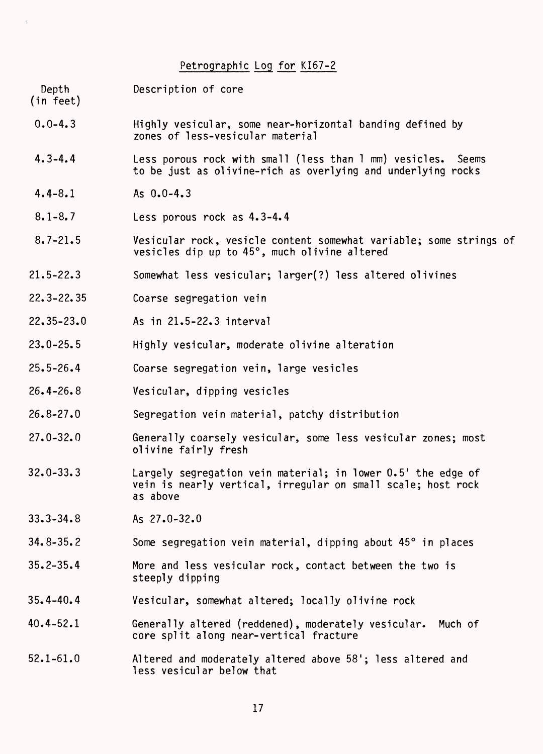#### Petrographic Log for KI67-2

Depth Description of core (in feet)

- 0.0-4.3 Highly vesicular, some near-horizontal banding defined by zones of less-vesicular material
- 4.3-4.4 Less porous rock with small (less than 1 mm) vesicles. Seems to be just as olivine-rich as overlying and underlying rocks
- 4.4-8.1 As 0.0-4.3
- 8.1-8.7 Less porous rock as 4.3-4.4
- 8.7-21.5 Vesicular rock, vesicle content somewhat variable; some strings of vesicles dip up to 45°, much olivine altered
- 21.5-22.3 Somewhat less vesicular; larger(?) less altered olivines
- 22.3-22.35 Coarse segregation vein
- 22.35-23.0 As in 21.5-22.3 interval
- 23.0-25.5 Highly vesicular, moderate olivine alteration
- 25.5-26.4 Coarse segregation vein, large vesicles
- 26.4-26.8 Vesicular, dipping vesicles
- 26.8-27.0 Segregation vein material, patchy distribution
- 27.0-32.0 Generally coarsely vesicular, some less vesicular zones; most olivine fairly fresh
- 32.0-33.3 Largely segregation vein material; in lower 0.5' the edge of vein is nearly vertical, irregular on small scale; host rock as above
- 33.3-34.8 As 27.0-32.0
- 34.8-35.2 Some segregation vein material, dipping about 45° in places
- 35.2-35.4 More and less vesicular rock, contact between the two is steeply dipping
- 35.4-40.4 Vesicular, somewhat altered; locally olivine rock
- 40.4-52.1 Generally altered (reddened), moderately vesicular. Much of core split along near-vertical fracture
- 52.1-61.0 Altered and moderately altered above 58'; less altered and less vesicular below that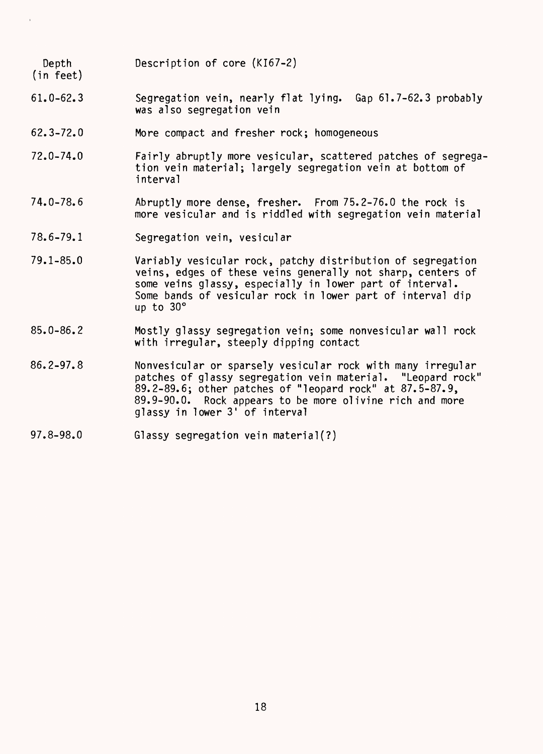Depth Description of core (KI67-2)

- (in feet)
- 61.0-62.3 Segregation vein, nearly flat lying. Gap 61.7-62.3 probably was also segregation vein
- 62.3-72.0 More compact and fresher rock; homogeneous
- 72.0-74.0 Fairly abruptly more vesicular, scattered patches of segregation vein material; largely segregation vein at bottom of interval
- 74.0-78.6 Abruptly more dense, fresher. From 75.2-76.0 the rock is more vesicular and is riddled with segregation vein material
- 78.6-79.1 Segregation vein, vesicular
- 79.1-85.0 Variably vesicular rock, patchy distribution of segregation veins, edges of these veins generally not sharp, centers of some veins glassy, especially in lower part of interval. Some bands of vesicular rock in lower part of interval dip up to 30°
- 85.0-86.2 Mostly glassy segregation vein; some nonvesicular wall rock with irregular, steeply dipping contact
- 86.2-97.8 Nonvesicular or sparsely vesicular rock with many irregular patches of glassy segregation vein material. "Leopard rock" 89.2-89.6; other patches of "leopard rock" at 87.5-87.9, 89.9-90.0. Rock appears to be more olivine rich and more glassy in lower 3' of interval
- 97.8-98.0 Glassy segregation vein material(?)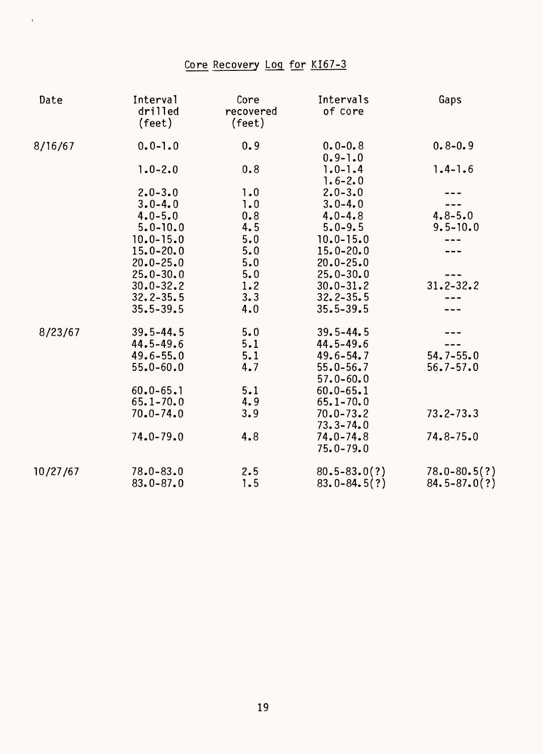# Core Recovery Log for KI67-3

 $\mathbf{u}^{\dagger}$ 

| Date     | Interval<br>drilled<br>(feet) | Core<br>recovered<br>$(\text{feet})$ | Intervals<br>of core           | Gaps             |
|----------|-------------------------------|--------------------------------------|--------------------------------|------------------|
| 8/16/67  | $0.0 - 1.0$                   | 0.9                                  | $0.0 - 0.8$<br>$0.9 - 1.0$     | $0.8 - 0.9$      |
|          | $1.0 - 2.0$                   | 0.8                                  | $1.0 - 1.4$<br>$1.6 - 2.0$     | $1.4 - 1.6$      |
|          | $2.0 - 3.0$                   | 1.0                                  | $2.0 - 3.0$                    |                  |
|          | $3.0 - 4.0$                   | 1.0                                  | $3.0 - 4.0$                    |                  |
|          | $4.0 - 5.0$                   | 0.8                                  | $4.0 - 4.8$                    | $4.8 - 5.0$      |
|          | $5.0 - 10.0$                  | 4.5                                  | $5.0 - 9.5$                    | $9.5 - 10.0$     |
|          | $10.0 - 15.0$                 | 5.0                                  | $10.0 - 15.0$                  |                  |
|          | $15.0 - 20.0$                 | 5.0                                  | $15.0 - 20.0$                  |                  |
|          | $20.0 - 25.0$                 | 5.0                                  | $20.0 - 25.0$                  |                  |
|          | $25.0 - 30.0$                 | 5.0                                  | $25.0 - 30.0$                  |                  |
|          | $30.0 - 32.2$                 | 1.2                                  | $30.0 - 31.2$                  | $31.2 - 32.2$    |
|          | $32.2 - 35.5$                 | 3.3                                  | $32.2 - 35.5$                  |                  |
|          | $35.5 - 39.5$                 | 4.0                                  | $35.5 - 39.5$                  |                  |
| 8/23/67  | $39.5 - 44.5$                 | 5.0                                  | $39.5 - 44.5$                  |                  |
|          | $44.5 - 49.6$                 | 5.1                                  | $44.5 - 49.6$                  |                  |
|          | $49.6 - 55.0$                 | 5.1                                  | $49.6 - 54.7$                  | $54.7 - 55.0$    |
|          | $55.0 - 60.0$                 | 4.7                                  | $55.0 - 56.7$                  | $56.7 - 57.0$    |
|          |                               |                                      | $57.0 - 60.0$                  |                  |
|          | $60.0 - 65.1$                 | 5.1                                  | $60.0 - 65.1$                  |                  |
|          | $65.1 - 70.0$                 | 4.9                                  | $65.1 - 70.0$                  |                  |
|          | $70.0 - 74.0$                 | 3.9                                  | $70.0 - 73.2$<br>$73.3 - 74.0$ | $73.2 - 73.3$    |
|          | $74.0 - 79.0$                 | 4.8                                  | $74.0 - 74.8$<br>$75.0 - 79.0$ | $74.8 - 75.0$    |
| 10/27/67 | $78.0 - 83.0$                 | 2.5                                  | $80.5 - 83.0(?)$               | $78.0 - 80.5(?)$ |
|          | $83.0 - 87.0$                 | 1.5                                  | $83.0 - 84.5(?)$               | $84.5 - 87.0(?)$ |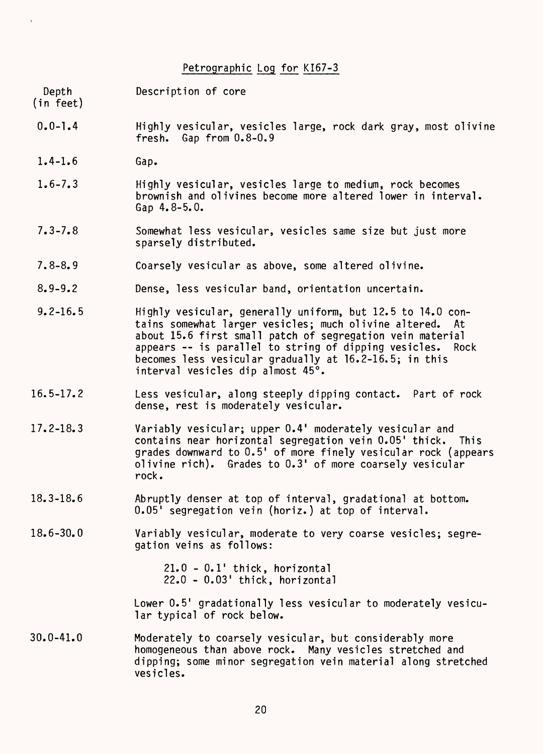Petrographic Log for KI67-3

Depth Description of core (in feet)

- 0.0-1.4 Highly vesicular, vesicles large, rock dark gray, most olivine fresh. Gap from 0.8-0.9
- 1.4-1.6 Gap.
- 1.6-7.3 Highly vesicular, vesicles large to medium, rock becomes brownish and olivines become more altered lower in interval. Gap 4.8-5.0.
- 7.3-7.8 Somewhat less vesicular, vesicles same size but just more sparsely distributed.
- 7.8-8.9 Coarsely vesicular as above, some altered olivine.
- 8.9-9.2 Dense, less vesicular band, orientation uncertain.
- 9.2-16.5 Highly vesicular, generally uniform, but 12.5 to 14.0 contains somewhat larger vesicles; much olivine altered. At about 15.6 first small patch of segregation vein material appears -- is parallel to string of dipping vesicles. Rock becomes less vesicular gradually at 16.2-16.5; in this interval vesicles dip almost 45°.
- 16.5-17.2 Less vesicular, along steeply dipping contact. Part of rock dense, rest is moderately vesicular.
- 17.2-18.3 Variably vesicular; upper 0.4' moderately vesicular and contains near horizontal segregation vein 0.05' thick. This grades downward to 0.5' of more finely vesicular rock (appears olivine rich). Grades to 0.3' of more coarsely vesicular rock.
- 18.3-18.6 Abruptly denser at top of interval, gradational at bottom. 0.05' segregation vein (horiz.) at top of interval.

18.6-30.0 Variably vesicular, moderate to very coarse vesicles; segregation veins as follows:

> 21.0 - 0.1' thick, horizontal 22.0 - 0.03' thick, horizontal

Lower 0.5' gradationally less vesicular to moderately vesicular typical of rock below.

30.0-41.0 Moderately to coarsely vesicular, but considerably more homogeneous than above rock. Many vesicles stretched and dipping; some minor segregation vein material along stretched vesicles.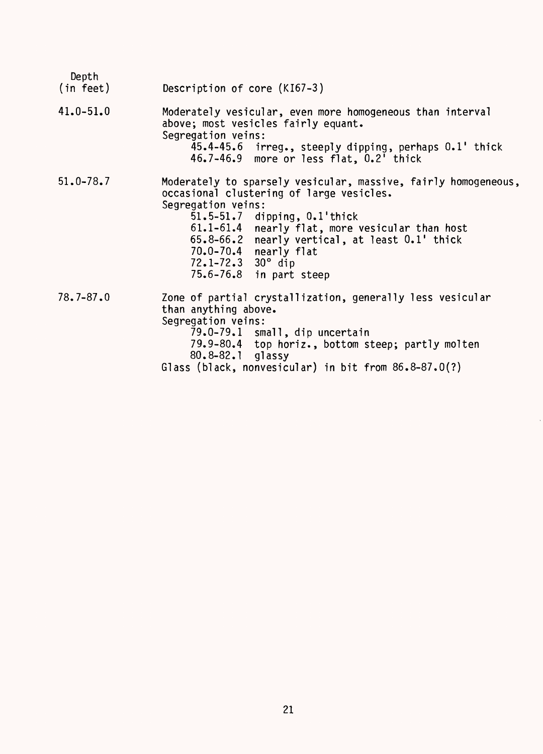| Depth<br>(in feet) | Description of core (KI67-3)                                                                                                                                                                                                                                                                                                                                               |
|--------------------|----------------------------------------------------------------------------------------------------------------------------------------------------------------------------------------------------------------------------------------------------------------------------------------------------------------------------------------------------------------------------|
| $41.0 - 51.0$      | Moderately vesicular, even more homogeneous than interval<br>above; most vesicles fairly equant.<br>Segregation veins:<br>45.4-45.6 irreg., steeply dipping, perhaps 0.1' thick<br>46.7-46.9 more or less flat, 0.2' thick                                                                                                                                                 |
| $51.0 - 78.7$      | Moderately to sparsely vesicular, massive, fairly homogeneous,<br>occasional clustering of large vesicles.<br>Segregation veins:<br>$51.5 - 51.7$ dipping, $0.1$ 'thick<br>$61.1 - 61.4$<br>nearly flat, more vesicular than host<br>65.8-66.2 nearly vertical, at least 0.1' thick<br>70.0-70.4 nearly flat<br>$72.1 - 72.3$ 30 $^{\circ}$ dip<br>75.6-76.8 in part steep |
| $78.7 - 87.0$      | Zone of partial crystallization, generally less vesicular<br>than anything above.<br>Segregation veins:<br>79.0-79.1 small, dip uncertain<br>79.9-80.4 top horiz., bottom steep; partly molten<br>80.8-82.1 glassy<br>Glass (black, nonvesicular) in bit from $86.8-87.0(?)$                                                                                               |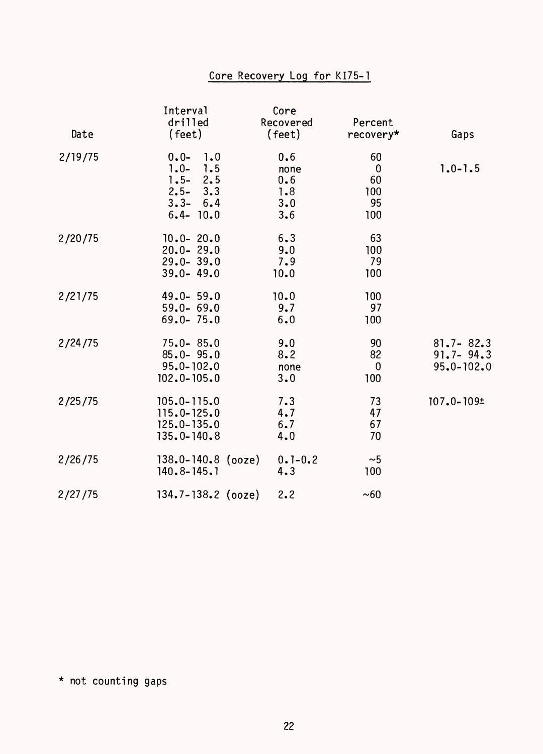## Core Recovery Log for KI75-1

| Date    | Interval<br>drilled<br>(feet)                                                                    | Core<br>Recovered<br>(feet)             | Percent<br>recovery*                             | Gaps                                             |
|---------|--------------------------------------------------------------------------------------------------|-----------------------------------------|--------------------------------------------------|--------------------------------------------------|
| 2/19/75 | $0.0 -$<br>1.0<br>7.5<br>$1.0 -$<br>2.5<br>$1.5 -$<br>$2.5 - 3.3$<br>$3.3 - 6.4$<br>$6.4 - 10.0$ | 0.6<br>none<br>0.6<br>1.8<br>3.0<br>3.6 | 60<br>$\boldsymbol{0}$<br>60<br>100<br>95<br>100 | $1.0 - 1.5$                                      |
| 2/20/75 | $10.0 - 20.0$<br>$20.0 - 29.0$<br>$29.0 - 39.0$<br>$39.0 - 49.0$                                 | 6.3<br>9.0<br>7.9<br>10.0               | 63<br>100<br>79<br>100                           |                                                  |
| 2/21/75 | $49.0 - 59.0$<br>$59.0 - 69.0$<br>$69.0 - 75.0$                                                  | 10.0<br>9.7<br>6.0                      | 100<br>97<br>100                                 |                                                  |
| 2/24/75 | $75.0 - 85.0$<br>$85.0 - 95.0$<br>$95.0 - 102.0$<br>$102.0 - 105.0$                              | 9.0<br>8.2<br>none<br>3.0               | 90<br>82<br>0<br>100                             | $81.7 - 82.3$<br>$91.7 - 94.3$<br>$95.0 - 102.0$ |
| 2/25/75 | $105.0 - 115.0$<br>$115.0 - 125.0$<br>$125.0 - 135.0$<br>$135.0 - 140.8$                         | 7.3<br>4.7<br>6.7<br>4.0                | 73<br>47<br>67<br>70                             | 107.0-109±                                       |
| 2/26/75 | $138.0 - 140.8$ (ooze)<br>$140.8 - 145.1$                                                        | $0.1 - 0.2$<br>4.3                      | ~1<br>100                                        |                                                  |
| 2/27/75 | $134.7 - 138.2$ (ooze)                                                                           | 2.2                                     | ~50                                              |                                                  |

\* not counting gaps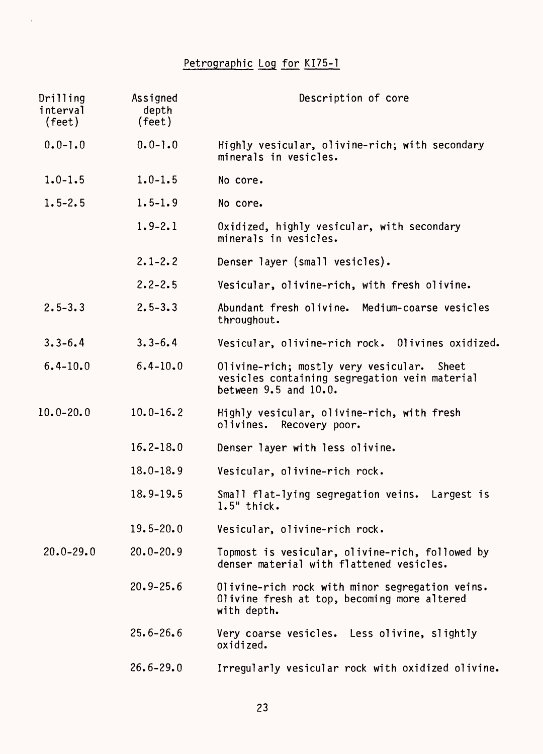# Petrographic Log for KI75-1

 $\mathbf{r}$ 

| Drilling<br>interval<br>(feet) | Assigned<br>depth<br>(feet) | Description of core                                                                                                  |
|--------------------------------|-----------------------------|----------------------------------------------------------------------------------------------------------------------|
| $0.0 - 1.0$                    | $0.0 - 1.0$                 | Highly vesicular, olivine-rich; with secondary<br>minerals in vesicles.                                              |
| $1.0 - 1.5$                    | $1.0 - 1.5$                 | No core.                                                                                                             |
| $1.5 - 2.5$                    | $1.5 - 1.9$                 | No core.                                                                                                             |
|                                | $1.9 - 2.1$                 | Oxidized, highly vesicular, with secondary<br>minerals in vesicles.                                                  |
|                                | $2.1 - 2.2$                 | Denser layer (small vesicles).                                                                                       |
|                                | $2.2 - 2.5$                 | Vesicular, olivine-rich, with fresh olivine.                                                                         |
| $2.5 - 3.3$                    | $2.5 - 3.3$                 | Abundant fresh olivine. Medium-coarse vesicles<br>throughout.                                                        |
| $3.3 - 6.4$                    | $3.3 - 6.4$                 | Vesicular, olivine-rich rock. Olivines oxidized.                                                                     |
| $6.4 - 10.0$                   | $6.4 - 10.0$                | Olivine-rich; mostly very vesicular. Sheet<br>vesicles containing segregation vein material<br>between 9.5 and 10.0. |
| $10.0 - 20.0$                  | $10.0 - 16.2$               | Highly vesicular, olivine-rich, with fresh<br>olivines. Recovery poor.                                               |
|                                | $16.2 - 18.0$               | Denser layer with less olivine.                                                                                      |
|                                | $18.0 - 18.9$               | Vesicular, olivine-rich rock.                                                                                        |
|                                | $18.9 - 19.5$               | Small flat-lying segregation veins.<br>Largest is<br>$1.5"$ thick.                                                   |
|                                | $19.5 - 20.0$               | Vesicular, olivine-rich rock.                                                                                        |
| $20.0 - 29.0$                  | $20.0 - 20.9$               | Topmost is vesicular, olivine-rich, followed by<br>denser material with flattened vesicles.                          |
|                                | $20.9 - 25.6$               | Olivine-rich rock with minor segregation veins.<br>Olivine fresh at top, becoming more altered<br>with depth.        |
|                                | $25.6 - 26.6$               | Very coarse vesicles. Less olivine, slightly<br>oxidized.                                                            |
|                                | $26.6 - 29.0$               | Irregularly vesicular rock with oxidized olivine.                                                                    |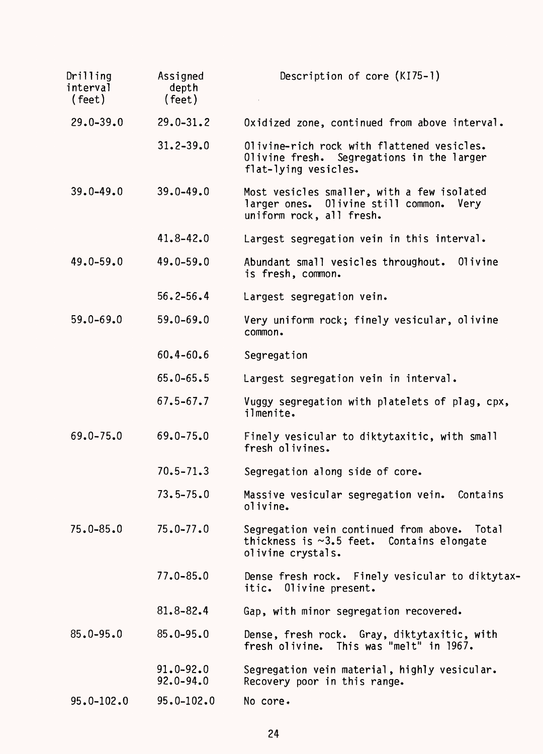| Drilling<br>interval<br>(feet) | Assigned<br>depth<br>$($ feet $)$ | Description of core (KI75-1)                                                                                         |
|--------------------------------|-----------------------------------|----------------------------------------------------------------------------------------------------------------------|
| $29.0 - 39.0$                  | $29.0 - 31.2$                     | Oxidized zone, continued from above interval.                                                                        |
|                                | $31.2 - 39.0$                     | Olivine-rich rock with flattened vesicles.<br>Olivine fresh. Segregations in the larger<br>flat-lying vesicles.      |
| $39.0 - 49.0$                  | $39.0 - 49.0$                     | Most vesicles smaller, with a few isolated<br>larger ones. Olivine still common.<br>Very<br>uniform rock, all fresh. |
|                                | $41.8 - 42.0$                     | Largest segregation vein in this interval.                                                                           |
| $49.0 - 59.0$                  | $49.0 - 59.0$                     | Abundant small vesicles throughout.<br>01ivine<br>is fresh, common.                                                  |
|                                | $56.2 - 56.4$                     | Largest segregation vein.                                                                                            |
| $59.0 - 69.0$                  | $59.0 - 69.0$                     | Very uniform rock; finely vesicular, olivine<br>common.                                                              |
|                                | $60.4 - 60.6$                     | Segregation                                                                                                          |
|                                | $65.0 - 65.5$                     | Largest segregation vein in interval.                                                                                |
|                                | $67.5 - 67.7$                     | Vuggy segregation with platelets of plag, cpx,<br>ilmenite.                                                          |
| $69.0 - 75.0$                  | $69.0 - 75.0$                     | Finely vesicular to diktytaxitic, with small<br>fresh olivines.                                                      |
|                                | $70.5 - 71.3$                     | Segregation along side of core.                                                                                      |
|                                | $73.5 - 75.0$                     | Massive vesicular segregation vein.<br>Contains<br>olivine.                                                          |
| $75.0 - 85.0$                  | $75.0 - 77.0$                     | Segregation vein continued from above. Total<br>thickness is $\sim$ 3.5 feet. Contains elongate<br>olivine crystals. |
|                                | $77.0 - 85.0$                     | Dense fresh rock. Finely vesicular to diktytax-<br>itic. Olivine present.                                            |
|                                | $81.8 - 82.4$                     | Gap, with minor segregation recovered.                                                                               |
| $85.0 - 95.0$                  | $85.0 - 95.0$                     | Dense, fresh rock. Gray, diktytaxitic, with<br>fresh olivine. This was "melt" in 1967.                               |
|                                | $91.0 - 92.0$<br>$92.0 - 94.0$    | Segregation vein material, highly vesicular.<br>Recovery poor in this range.                                         |
| $95.0 - 102.0$                 | $95.0 - 102.0$                    | No core.                                                                                                             |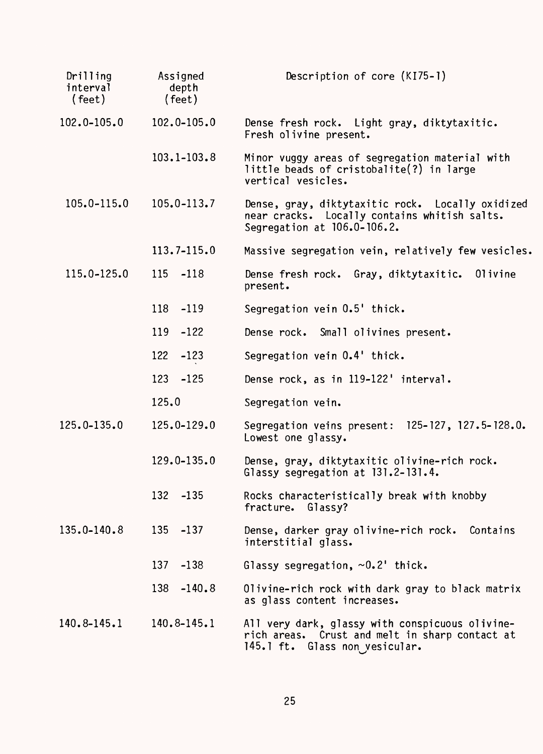| Drilling<br>interval<br>$($ feet $)$ | Assigned<br>depth<br>$($ feet $)$ | Description of core (KI75-1)                                                                                                        |
|--------------------------------------|-----------------------------------|-------------------------------------------------------------------------------------------------------------------------------------|
| 102.0-105.0                          | 102.0-105.0                       | Dense fresh rock. Light gray, diktytaxitic.<br>Fresh olivine present.                                                               |
|                                      | $103.1 - 103.8$                   | Minor vuggy areas of segregation material with<br>little beads of cristobalite(?) in large<br>vertical vesicles.                    |
| $105.0 - 115.0$                      | $105.0 - 113.7$                   | Dense, gray, diktytaxitic rock. Locally oxidized<br>near cracks. Locally contains whitish salts.<br>Segregation at 106.0-106.2.     |
|                                      | $113.7 - 115.0$                   | Massive segregation vein, relatively few vesicles.                                                                                  |
| 115.0-125.0                          | 115 -118                          | Dense fresh rock. Gray, diktytaxitic. Olivine<br>present.                                                                           |
|                                      | 118 -119                          | Segregation vein 0.5' thick.                                                                                                        |
|                                      | 119 -122                          | Dense rock. Small olivines present.                                                                                                 |
|                                      | 122<br>$-123$                     | Segregation vein 0.4' thick.                                                                                                        |
|                                      | 123 -125                          | Dense rock, as in 119-122' interval.                                                                                                |
|                                      | 125.0                             | Segregation vein.                                                                                                                   |
| 125.0-135.0                          | 125.0-129.0                       | Segregation veins present: 125-127, 127.5-128.0.<br>Lowest one glassy.                                                              |
|                                      | 129.0-135.0                       | Dense, gray, diktytaxitic olivine-rich rock.<br>Glassy segregation at 131.2-131.4.                                                  |
|                                      | 132<br>$-135$                     | Rocks characteristically break with knobby<br>fracture. Glassy?                                                                     |
| $135.0 - 140.8$                      | 135 -137                          | Dense, darker gray olivine-rich rock. Contains<br>interstitial glass.                                                               |
|                                      | 137<br>$-138$                     | Glassy segregation, $\sim 0.2$ ' thick.                                                                                             |
|                                      | 138<br>$-140.8$                   | Olivine-rich rock with dark gray to black matrix<br>as glass content increases.                                                     |
| 140.8-145.1                          | 140.8-145.1                       | All very dark, glassy with conspicuous olivine-<br>rich areas. Crust and melt in sharp contact at<br>145.1 ft. Glass non yesicular. |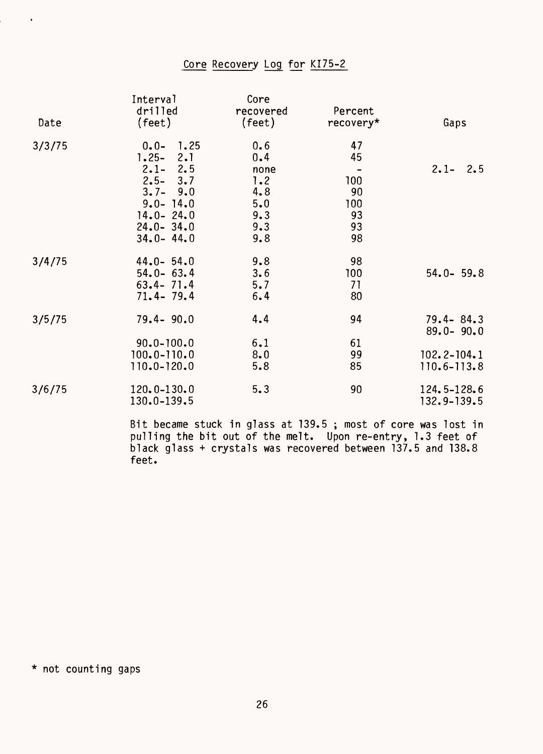## Core Recovery Log for KI75-2

| Date   | Interval<br>drilled<br>(feet) | Core<br>recovered<br>(feet) | Percent<br>recovery* | Gaps                           |
|--------|-------------------------------|-----------------------------|----------------------|--------------------------------|
| 3/3/75 | 1.25<br>$0.0 -$               | 0.6                         | 47                   |                                |
|        | 2.1<br>$1.25 -$               | 0.4                         | 45                   |                                |
|        | $2.1 - 2.5$                   | none                        |                      | $2.1 - 2.5$                    |
|        | $2.5 - 3.7$                   | 1.2                         | 100                  |                                |
|        | $3.7 - 9.0$                   | 4.8                         | 90                   |                                |
|        | $9.0 - 14.0$                  | 5.0                         | 100                  |                                |
|        | $14.0 - 24.0$                 | 9.3                         | 93                   |                                |
|        | $24.0 - 34.0$                 | 9.3                         | 93                   |                                |
|        | $34.0 - 44.0$                 | 9.8                         | 98                   |                                |
| 3/4/75 | $44.0 - 54.0$                 | 9.8                         | 98                   |                                |
|        | $54.0 - 63.4$                 | 3.6                         | 100                  | $54.0 - 59.8$                  |
|        | $63.4 - 71.4$                 | 5.7                         | 71                   |                                |
|        | $71.4 - 79.4$                 | 6.4                         | 80                   |                                |
| 3/5/75 | $79.4 - 90.0$                 | 4.4                         | 94                   | $79.4 - 84.3$<br>$89.0 - 90.0$ |
|        | $90.0 - 100.0$                | 6.1                         | 61                   |                                |
|        | $100.0 - 110.0$               | 8.0                         | 99                   | $102.2 - 104.1$                |
|        | 110.0-120.0                   | 5.8                         | 85                   | 110.6-113.8                    |
| 3/6/75 | 120.0-130.0<br>130.0-139.5    | 5.3                         | 90                   | 124.5-128.6<br>$132.9 - 139.5$ |

Bit became stuck in glass at 139.5 ; most of core was lost in pulling the bit out of the melt. Upon re-entry, 1.3 feet of black glass + crystals was recovered between 137.5 and 138.8 feet.

\* not counting gaps

 $\sim$   $\alpha$ 

i<br>L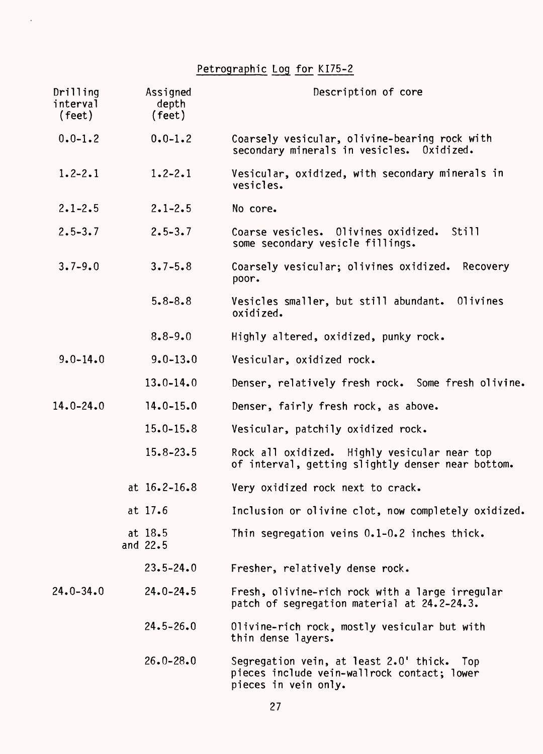# Petrographic Log for KI75-2

 $\sim$ 

| Drilling<br>interval<br>(feet) | Assigned<br>depth<br>(feet) | Description of core                                                                                                  |
|--------------------------------|-----------------------------|----------------------------------------------------------------------------------------------------------------------|
| $0.0 - 1.2$                    | $0.0 - 1.2$                 | Coarsely vesicular, olivine-bearing rock with<br>secondary minerals in vesicles. Oxidized.                           |
| $1.2 - 2.1$                    | $1.2 - 2.1$                 | Vesicular, oxidized, with secondary minerals in<br>vesicles.                                                         |
| $2.1 - 2.5$                    | $2.1 - 2.5$                 | No core.                                                                                                             |
| $2.5 - 3.7$                    | $2.5 - 3.7$                 | Coarse vesicles. Olivines oxidized.<br>Still<br>some secondary vesicle fillings.                                     |
| $3.7 - 9.0$                    | $3.7 - 5.8$                 | Coarsely vesicular; olivines oxidized. Recovery<br>poor.                                                             |
|                                | $5.8 - 8.8$                 | Vesicles smaller, but still abundant.<br>0livines<br>oxidized.                                                       |
|                                | $8.8 - 9.0$                 | Highly altered, oxidized, punky rock.                                                                                |
| $9.0 - 14.0$                   | $9.0 - 13.0$                | Vesicular, oxidized rock.                                                                                            |
|                                | $13.0 - 14.0$               | Denser, relatively fresh rock. Some fresh olivine.                                                                   |
| $14.0 - 24.0$                  | $14.0 - 15.0$               | Denser, fairly fresh rock, as above.                                                                                 |
|                                | $15.0 - 15.8$               | Vesicular, patchily oxidized rock.                                                                                   |
|                                | $15.8 - 23.5$               | Rock all oxidized. Highly vesicular near top<br>of interval, getting slightly denser near bottom.                    |
|                                | at $16.2 - 16.8$            | Very oxidized rock next to crack.                                                                                    |
|                                | at 17.6                     | Inclusion or olivine clot, now completely oxidized.                                                                  |
|                                | at $18.5$<br>and 22.5       | Thin segregation veins 0.1-0.2 inches thick.                                                                         |
|                                | $23.5 - 24.0$               | Fresher, relatively dense rock.                                                                                      |
| $24.0 - 34.0$                  | $24.0 - 24.5$               | Fresh, olivine-rich rock with a large irregular<br>patch of segregation material at 24.2-24.3.                       |
|                                | $24.5 - 26.0$               | Olivine-rich rock, mostly vesicular but with<br>thin dense layers.                                                   |
|                                | $26.0 - 28.0$               | Segregation vein, at least 2.0' thick.<br>Top<br>pieces include vein-wallrock contact; lower<br>pieces in vein only. |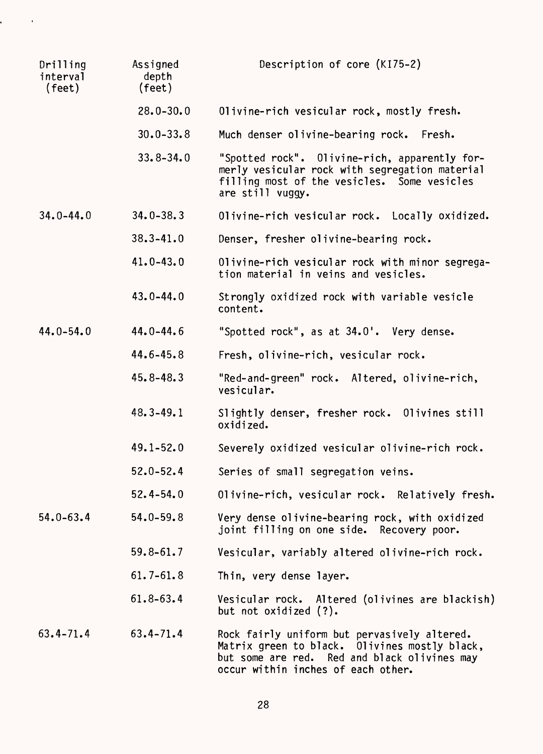| Drilling<br>interval<br>$(\text{feet})$ | Assigned<br>depth<br>(feet) | Description of core (KI75-2)                                                                                                                                                        |
|-----------------------------------------|-----------------------------|-------------------------------------------------------------------------------------------------------------------------------------------------------------------------------------|
|                                         | $28.0 - 30.0$               | Olivine-rich vesicular rock, mostly fresh.                                                                                                                                          |
|                                         | $30.0 - 33.8$               | Much denser olivine-bearing rock.<br>Fresh.                                                                                                                                         |
|                                         | $33.8 - 34.0$               | "Spotted rock". Olivine-rich, apparently for-<br>merly vesicular rock with segregation material<br>filling most of the vesicles. Some vesicles<br>are still vuggy.                  |
| $34.0 - 44.0$                           | $34.0 - 38.3$               | Olivine-rich vesicular rock. Locally oxidized.                                                                                                                                      |
|                                         | $38.3 - 41.0$               | Denser, fresher olivine-bearing rock.                                                                                                                                               |
|                                         | $41.0 - 43.0$               | Olivine-rich vesicular rock with minor segrega-<br>tion material in veins and vesicles.                                                                                             |
|                                         | $43.0 - 44.0$               | Strongly oxidized rock with variable vesicle<br>content.                                                                                                                            |
| $44.0 - 54.0$                           | $44.0 - 44.6$               | "Spotted rock", as at 34.0'. Very dense.                                                                                                                                            |
|                                         | $44.6 - 45.8$               | Fresh, olivine-rich, vesicular rock.                                                                                                                                                |
|                                         | $45.8 - 48.3$               | "Red-and-green" rock. Altered, olivine-rich,<br>vesicular.                                                                                                                          |
|                                         | $48.3 - 49.1$               | Slightly denser, fresher rock. Olivines still<br>oxidized.                                                                                                                          |
|                                         | $49.1 - 52.0$               | Severely oxidized vesicular olivine-rich rock.                                                                                                                                      |
|                                         | $52.0 - 52.4$               | Series of small segregation veins.                                                                                                                                                  |
|                                         | $52.4 - 54.0$               | Olivine-rich, vesicular rock. Relatively fresh.                                                                                                                                     |
| $54.0 - 63.4$                           | $54.0 - 59.8$               | Very dense olivine-bearing rock, with oxidized<br>joint filling on one side. Recovery poor.                                                                                         |
|                                         | $59.8 - 61.7$               | Vesicular, variably altered olivine-rich rock.                                                                                                                                      |
|                                         | $61.7 - 61.8$               | Thin, very dense layer.                                                                                                                                                             |
|                                         | $61.8 - 63.4$               | Vesicular rock. Altered (olivines are blackish)<br>but not oxidized (?).                                                                                                            |
| $63.4 - 71.4$                           | $63.4 - 71.4$               | Rock fairly uniform but pervasively altered.<br>Matrix green to black. Olivines mostly black,<br>but some are red. Red and black olivines may<br>occur within inches of each other. |

 $\epsilon = \frac{1}{2}$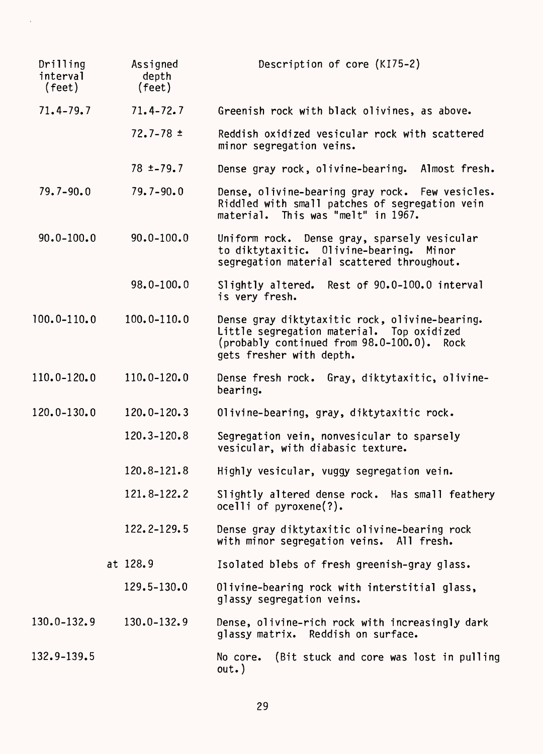| Drilling<br>interval<br>(feet) | Assigned<br>depth<br>$(\text{feet})$ | Description of core (KI75-2)                                                                                                                                          |
|--------------------------------|--------------------------------------|-----------------------------------------------------------------------------------------------------------------------------------------------------------------------|
| $71.4 - 79.7$                  | $71.4 - 72.7$                        | Greenish rock with black olivines, as above.                                                                                                                          |
|                                | $72.7 - 78 \pm$                      | Reddish oxidized vesicular rock with scattered<br>minor segregation veins.                                                                                            |
|                                | $78 + -79.7$                         | Dense gray rock, olivine-bearing. Almost fresh.                                                                                                                       |
| $79.7 - 90.0$                  | $79.7 - 90.0$                        | Dense, olivine-bearing gray rock. Few vesicles.<br>Riddled with small patches of segregation vein<br>material. This was "melt" in 1967.                               |
| $90.0 - 100.0$                 | $90.0 - 100.0$                       | Uniform rock. Dense gray, sparsely vesicular<br>to diktytaxitic. Olivine-bearing. Minor<br>segregation material scattered throughout.                                 |
|                                | $98.0 - 100.0$                       | Rest of 90.0-100.0 interval<br>Slightly altered.<br>is very fresh.                                                                                                    |
| $100.0 - 110.0$                | $100.0 - 110.0$                      | Dense gray diktytaxitic rock, olivine-bearing.<br>Little segregation material. Top oxidized<br>(probably continued from 98.0-100.0). Rock<br>gets fresher with depth. |
| 110.0-120.0                    | $110.0 - 120.0$                      | Dense fresh rock. Gray, diktytaxitic, olivine-<br>bearing.                                                                                                            |
| 120.0-130.0                    | 120.0-120.3                          | Olivine-bearing, gray, diktytaxitic rock.                                                                                                                             |
|                                | 120.3-120.8                          | Segregation vein, nonvesicular to sparsely<br>vesicular, with diabasic texture.                                                                                       |
|                                | 120.8-121.8                          | Highly vesicular, vuggy segregation vein.                                                                                                                             |
|                                | 121.8-122.2                          | Slightly altered dense rock. Has small feathery<br>$ocell$ of pyroxene(?).                                                                                            |
|                                | 122.2-129.5                          | Dense gray diktytaxitic olivine-bearing rock<br>with minor segregation veins. All fresh.                                                                              |
|                                | at 128.9                             | Isolated blebs of fresh greenish-gray glass.                                                                                                                          |
|                                | $129.5 - 130.0$                      | Olivine-bearing rock with interstitial glass,<br>glassy segregation veins.                                                                                            |
| $130.0 - 132.9$                | 130.0-132.9                          | Dense, olivine-rich rock with increasingly dark<br>glassy matrix. Reddish on surface.                                                                                 |
| 132.9-139.5                    |                                      | (Bit stuck and core was lost in pulling<br>No core.<br>out.)                                                                                                          |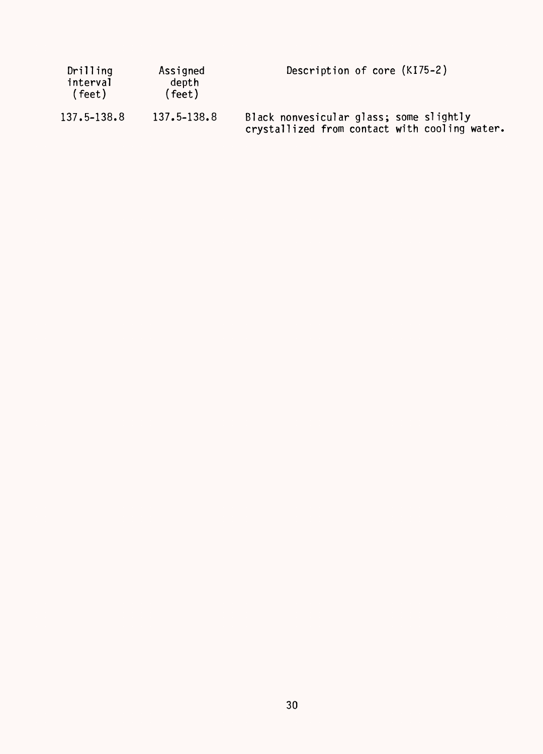| Drilling<br>interval<br>(feet) | Assigned<br>depth<br>(feet) | Description of core (KI75-2)                                                             |
|--------------------------------|-----------------------------|------------------------------------------------------------------------------------------|
| 137.5–138.8                    | $137.5 - 138.8$             | Black nonvesicular glass; some slightly<br>crystallized from contact with cooling water. |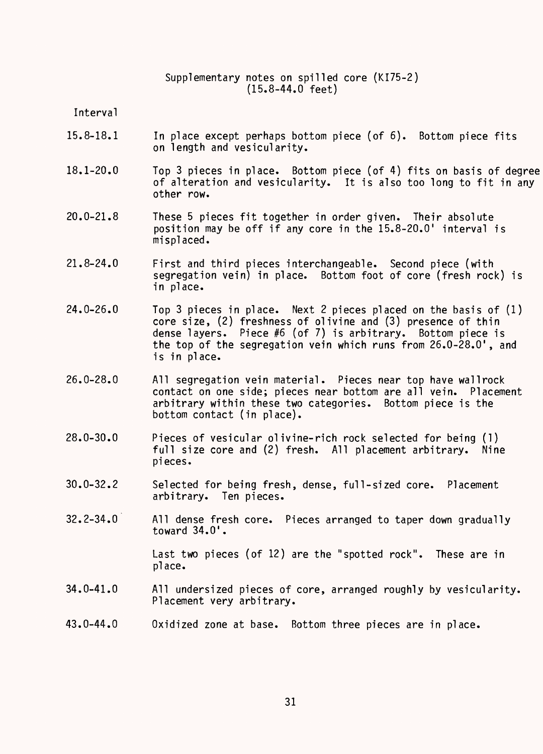Supplementary notes on spilled core (KI75-2) (15.8-44.0 feet)

Interval

- 15.8-18.1 In place except perhaps bottom piece (of 6). Bottom piece fits on length and vesicularity.
- 18.1-20.0 Top 3 pieces in place. Bottom piece (of 4) fits on basis of degree of alteration and vesicularity. It is also too long to fit in any other row.
- 20.0-21.8 These 5 pieces fit together in order given. Their absolute position may be off if any core in the 15.8-20.0' interval is misplaced.
- 21.8-24.0 First and third pieces interchangeable. Second piece (with segregation vein) in place. Bottom foot of core (fresh rock) is in place.
- 24.0-26.0 Top 3 pieces in place. Next 2 pieces placed on the basis of (1) core size, (2) freshness of olivine and (3) presence of thin dense layers. Piece #6 (of 7) is arbitrary. Bottom piece is the top of the segregation vein which runs from 26.0-28.0', and is in place.
- 26.0-28.0 All segregation vein material. Pieces near top have wallrock contact on one side; pieces near bottom are all vein. Placement arbitrary within these two categories. Bottom piece is the bottom contact (in place).
- 28.0-30.0 Pieces of vesicular olivine-rich rock selected for being (1) full size core and (2) fresh. All placement arbitrary. Nine pieces.
- 30.0-32.2 Selected for being fresh, dense, full-sized core. Placement arbitrary. Ten pieces.
- 32.2-34.0 All dense fresh core. Pieces arranged to taper down gradually toward 34.0'.

Last two pieces (of 12) are the "spotted rock". These are in place.

- 34.0-41.0 All undersized pieces of core, arranged roughly by vesicularity. Placement very arbitrary.
- 43.0-44.0 Oxidized zone at base. Bottom three pieces are in place.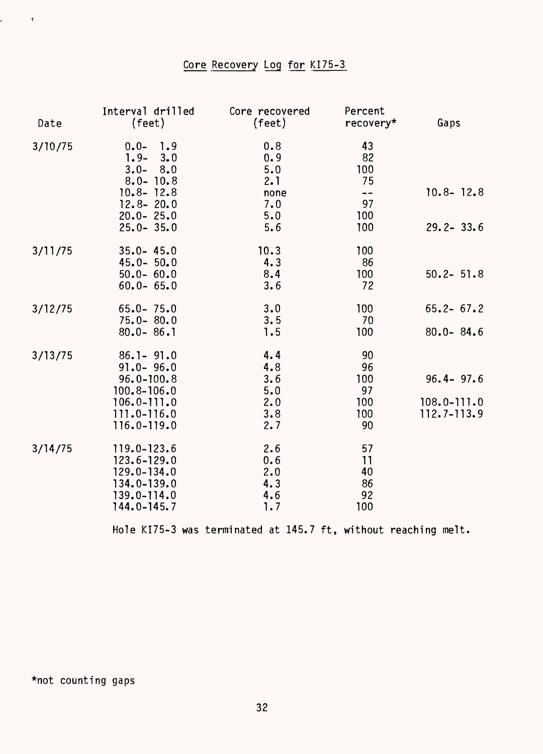## Core Recovery Log for KI75-3

| Date    | Interval drilled<br>(feet)                                                                                                             | Core recovered<br>(feet)                              | Percent<br>recovery*                                                  | Gaps                                            |
|---------|----------------------------------------------------------------------------------------------------------------------------------------|-------------------------------------------------------|-----------------------------------------------------------------------|-------------------------------------------------|
| 3/10/75 | 1.9<br>$0.0 -$<br>$1.9 -$<br>3.0<br>$3.0 -$<br>8.0<br>$8.0 - 10.8$<br>$10.8 - 12.8$<br>$12.8 - 20.0$<br>$20.0 - 25.0$<br>$25.0 - 35.0$ | 0.8<br>0.9<br>5.0<br>2.1<br>none<br>7.0<br>5.0<br>5.6 | 43<br>82<br>100<br>75<br>$\overline{\phantom{a}}$<br>97<br>100<br>100 | $10.8 - 12.8$<br>$29.2 - 33.6$                  |
| 3/11/75 | $35.0 - 45.0$<br>$45.0 - 50.0$<br>$50.0 - 60.0$<br>$60.0 - 65.0$                                                                       | 10.3<br>4.3<br>8.4<br>3.6                             | 100<br>86<br>100<br>72                                                | $50.2 - 51.8$                                   |
| 3/12/75 | $65.0 - 75.0$<br>$75.0 - 80.0$<br>$80.0 - 86.1$                                                                                        | 3.0<br>3.5<br>1.5                                     | 100<br>70<br>100                                                      | $65.2 - 67.2$<br>$80.0 - 84.6$                  |
| 3/13/75 | $86.1 - 91.0$<br>$91.0 - 96.0$<br>$96.0 - 100.8$<br>$100.8 - 106.0$<br>$106.0 - 111.0$<br>111.0-116.0<br>116.0-119.0                   | 4.4<br>4.8<br>3.6<br>5.0<br>2.0<br>3.8<br>2.7         | 90<br>96<br>100<br>97<br>100<br>100<br>90                             | $96.4 - 97.6$<br>$108.0 - 111.0$<br>112.7-113.9 |
| 3/14/75 | 119.0-123.6<br>$123.6 - 129.0$<br>$129.0 - 134.0$<br>134.0-139.0<br>139.0-114.0<br>$144.0 - 145.7$                                     | 2.6<br>0.6<br>2.0<br>4.3<br>4.6<br>1.7                | 57<br>11<br>40<br>86<br>92<br>100                                     |                                                 |

Hole KI75-3 was terminated at 145.7 ft, without reaching melt.

\*not counting gaps

 $\mathbf{r} = \mathbf{r} \times \mathbf{r}$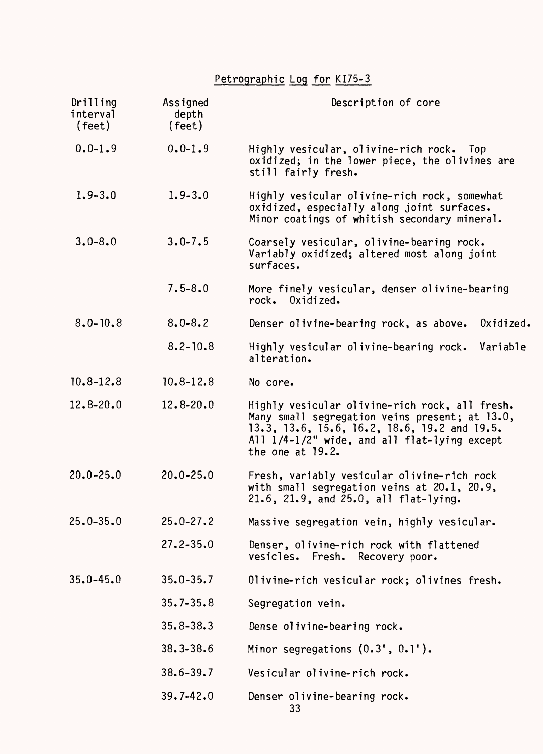# Petrographic Log for KI75-3

| Drilling<br>interval<br>(feet) | Assigned<br>depth<br>(feet) | Description of core                                                                                                                                                                                                     |  |
|--------------------------------|-----------------------------|-------------------------------------------------------------------------------------------------------------------------------------------------------------------------------------------------------------------------|--|
| $0.0 - 1.9$                    | $0.0 - 1.9$                 | Highly vesicular, olivine-rich rock. Top<br>oxidized; in the lower piece, the olivines are<br>still fairly fresh.                                                                                                       |  |
| $1.9 - 3.0$                    | $1.9 - 3.0$                 | Highly vesicular olivine-rich rock, somewhat<br>oxidized, especially along joint surfaces.<br>Minor coatings of whitish secondary mineral.                                                                              |  |
| $3.0 - 8.0$                    | $3.0 - 7.5$                 | Coarsely vesicular, olivine-bearing rock.<br>Variably oxidized; altered most along joint<br>surfaces.                                                                                                                   |  |
|                                | $7.5 - 8.0$                 | More finely vesicular, denser olivine-bearing<br>rock. Oxidized.                                                                                                                                                        |  |
| $8.0 - 10.8$                   | $8.0 - 8.2$                 | Denser olivine-bearing rock, as above.<br>Oxidized.                                                                                                                                                                     |  |
|                                | $8.2 - 10.8$                | Highly vesicular olivine-bearing rock.<br>Variable<br>alteration.                                                                                                                                                       |  |
| $10.8 - 12.8$                  | $10.8 - 12.8$               | No core.                                                                                                                                                                                                                |  |
| $12.8 - 20.0$                  | $12.8 - 20.0$               | Highly vesicular olivine-rich rock, all fresh.<br>Many small segregation veins present; at 13.0,<br>13.3, 13.6, 15.6, 16.2, 18.6, 19.2 and 19.5.<br>All 1/4-1/2" wide, and all flat-lying except<br>the one at $19.2$ . |  |
| $20.0 - 25.0$                  | $20.0 - 25.0$               | Fresh, variably vesicular olivine-rich rock<br>with small segregation veins at 20.1, 20.9,<br>21.6, 21.9, and 25.0, all flat-lying.                                                                                     |  |
| $25.0 - 35.0$                  | $25.0 - 27.2$               | Massive segregation vein, highly vesicular.                                                                                                                                                                             |  |
|                                | $27.2 - 35.0$               | Denser, olivine-rich rock with flattened<br>vesicles. Fresh.<br>Recovery poor.                                                                                                                                          |  |
| $35.0 - 45.0$                  | $35.0 - 35.7$               | Olivine-rich vesicular rock; olivines fresh.                                                                                                                                                                            |  |
|                                | $35.7 - 35.8$               | Segregation vein.                                                                                                                                                                                                       |  |
|                                | $35.8 - 38.3$               | Dense olivine-bearing rock.                                                                                                                                                                                             |  |
|                                | $38.3 - 38.6$               | Minor segregations $(0.3', 0.1')$ .                                                                                                                                                                                     |  |
|                                | $38.6 - 39.7$               | Vesicular olivine-rich rock.                                                                                                                                                                                            |  |
|                                | $39.7 - 42.0$               | Denser olivine-bearing rock.<br>33                                                                                                                                                                                      |  |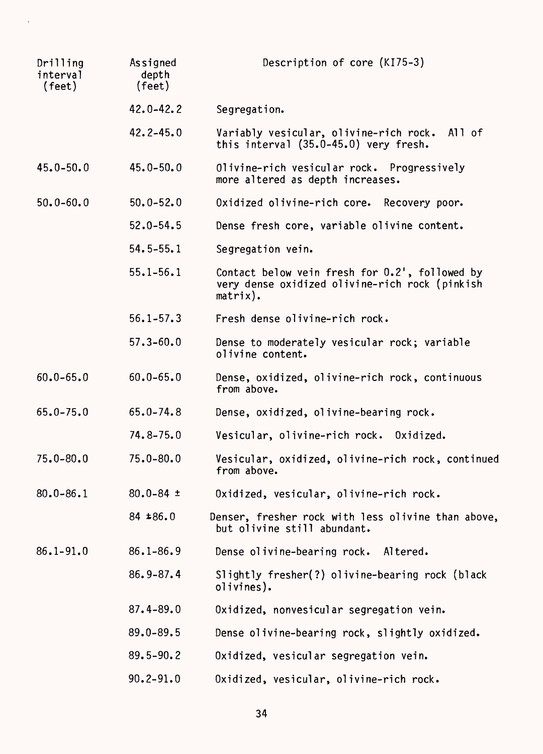| Drilling<br>interval<br>(feet) | Assigned<br>depth<br>(feet) | Description of core (KI75-3)                                                                                    |  |
|--------------------------------|-----------------------------|-----------------------------------------------------------------------------------------------------------------|--|
|                                | $42.0 - 42.2$               | Segregation.                                                                                                    |  |
|                                | $42.2 - 45.0$               | Variably vesicular, olivine-rich rock. All of<br>this interval (35.0-45.0) very fresh.                          |  |
| $45.0 - 50.0$                  | $45.0 - 50.0$               | Olivine-rich vesicular rock. Progressively<br>more altered as depth increases.                                  |  |
| $50.0 - 60.0$                  | $50.0 - 52.0$               | Oxidized olivine-rich core. Recovery poor.                                                                      |  |
|                                | $52.0 - 54.5$               | Dense fresh core, variable olivine content.                                                                     |  |
|                                | $54.5 - 55.1$               | Segregation vein.                                                                                               |  |
|                                | $55.1 - 56.1$               | Contact below vein fresh for 0.2', followed by<br>very dense oxidized olivine-rich rock (pinkish<br>$matrix)$ . |  |
|                                | $56.1 - 57.3$               | Fresh dense olivine-rich rock.                                                                                  |  |
|                                | $57.3 - 60.0$               | Dense to moderately vesicular rock; variable<br>olivine content.                                                |  |
| $60.0 - 65.0$                  | $60.0 - 65.0$               | Dense, oxidized, olivine-rich rock, continuous<br>from above.                                                   |  |
| $65.0 - 75.0$                  | $65.0 - 74.8$               | Dense, oxidized, olivine-bearing rock.                                                                          |  |
|                                | $74.8 - 75.0$               | Vesicular, olivine-rich rock. Oxidized.                                                                         |  |
| $75.0 - 80.0$                  | $75.0 - 80.0$               | Vesicular, oxidized, olivine-rich rock, continued<br>from above.                                                |  |
| $80.0 - 86.1$                  | $80.0 - 84 =$               | Oxidized, vesicular, olivine-rich rock.                                                                         |  |
|                                | $84 \pm 86.0$               | Denser, fresher rock with less olivine than above,<br>but olivine still abundant.                               |  |
| $86.1 - 91.0$                  | $86.1 - 86.9$               | Dense olivine-bearing rock. Altered.                                                                            |  |
|                                | $86.9 - 87.4$               | Slightly fresher(?) olivine-bearing rock (black<br>olivines).                                                   |  |
|                                | $87.4 - 89.0$               | Oxidized, nonvesicular segregation vein.                                                                        |  |
|                                | $89.0 - 89.5$               | Dense olivine-bearing rock, slightly oxidized.                                                                  |  |
|                                | $89.5 - 90.2$               | Oxidized, vesicular segregation vein.                                                                           |  |
|                                | $90.2 - 91.0$               | Oxidized, vesicular, olivine-rich rock.                                                                         |  |

 $\bar{t}$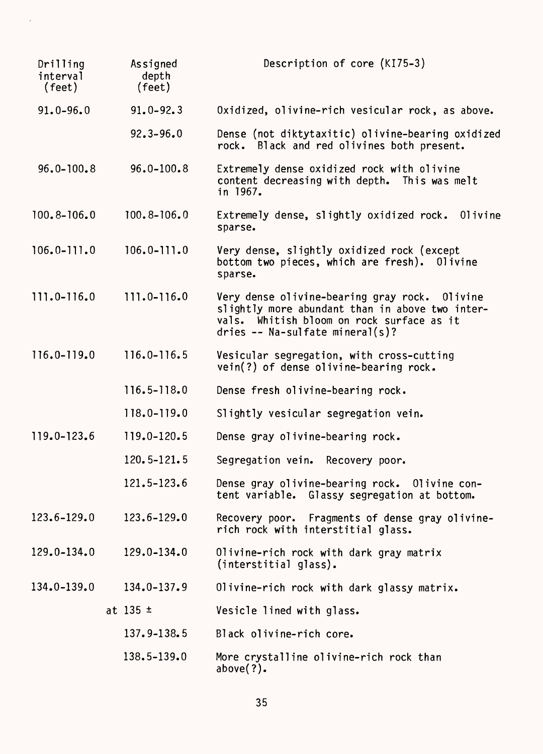| Drilling<br>interval<br>(feet) | Assigned<br>depth<br>(feet) | Description of core (KI75-3)                                                                                                                                                     |
|--------------------------------|-----------------------------|----------------------------------------------------------------------------------------------------------------------------------------------------------------------------------|
| $91.0 - 96.0$                  | $91.0 - 92.3$               | Oxidized, olivine-rich vesicular rock, as above.                                                                                                                                 |
|                                | $92.3 - 96.0$               | Dense (not diktytaxitic) olivine-bearing oxidized<br>rock. Black and red olivines both present.                                                                                  |
| $96.0 - 100.8$                 | $96.0 - 100.8$              | Extremely dense oxidized rock with olivine<br>content decreasing with depth. This was melt<br>in 1967.                                                                           |
| $100.8 - 106.0$                | $100.8 - 106.0$             | Extremely dense, slightly oxidized rock.<br>01ivine<br>sparse.                                                                                                                   |
| $106.0 - 111.0$                | $106.0 - 111.0$             | Very dense, slightly oxidized rock (except<br>bottom two pieces, which are fresh). Olivine<br>sparse.                                                                            |
| $111.0 - 116.0$                | $111.0 - 116.0$             | Very dense olivine-bearing gray rock. Olivine<br>slightly more abundant than in above two inter-<br>vals. Whitish bloom on rock surface as it<br>dries -- Na-sulfate mineral(s)? |
| 116.0-119.0                    | $116.0 - 116.5$             | Vesicular segregation, with cross-cutting<br>vein(?) of dense olivine-bearing rock.                                                                                              |
|                                | $116.5 - 118.0$             | Dense fresh olivine-bearing rock.                                                                                                                                                |
|                                | 118.0-119.0                 | Slightly vesicular segregation vein.                                                                                                                                             |
| $119.0 - 123.6$                | 119.0-120.5                 | Dense gray olivine-bearing rock.                                                                                                                                                 |
|                                | 120.5-121.5                 | Segregation vein. Recovery poor.                                                                                                                                                 |
|                                | 121.5-123.6                 | Dense gray olivine-bearing rock.<br>Olivine con-<br>tent variable. Glassy segregation at bottom.                                                                                 |
| 123.6-129.0                    | 123.6-129.0                 | Recovery poor. Fragments of dense gray olivine-<br>rich rock with interstitial glass.                                                                                            |
| $129.0 - 134.0$                | $129.0 - 134.0$             | Olivine-rich rock with dark gray matrix<br>(interstitial glass).                                                                                                                 |
| 134.0-139.0                    | $134.0 - 137.9$             | Olivine-rich rock with dark glassy matrix.                                                                                                                                       |
|                                | at $135 \pm$                | Vesicle lined with glass.                                                                                                                                                        |
|                                | 137.9-138.5                 | Black olivine-rich core.                                                                                                                                                         |
|                                | 138.5-139.0                 | More crystalline olivine-rich rock than<br>above $(?)$ .                                                                                                                         |

 $\bar{\epsilon}$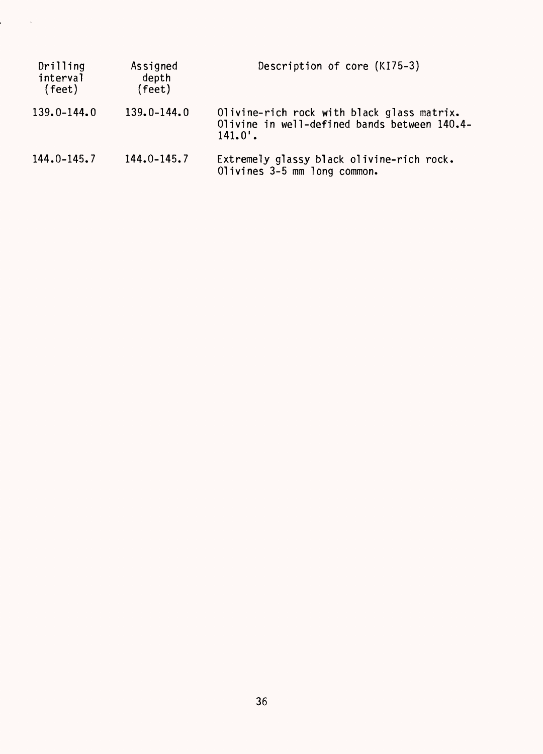| Drilling<br>interval<br>(feet) | Assigned<br>depth<br>(feet) | Description of core (KI75-3)                                                                             |
|--------------------------------|-----------------------------|----------------------------------------------------------------------------------------------------------|
| 139.0-144.0                    | $139.0 - 144.0$             | Olivine-rich rock with black glass matrix.<br>Olivine in well-defined bands between 140.4-<br>$141.0'$ . |
| 144.0-145.7                    | $144.0 - 145.7$             | Extremely glassy black olivine-rich rock.<br>Olivines 3-5 mm long common.                                |

 $\frac{1}{2} \int_{0}^{2\pi} \frac{dx}{2} dx = 0$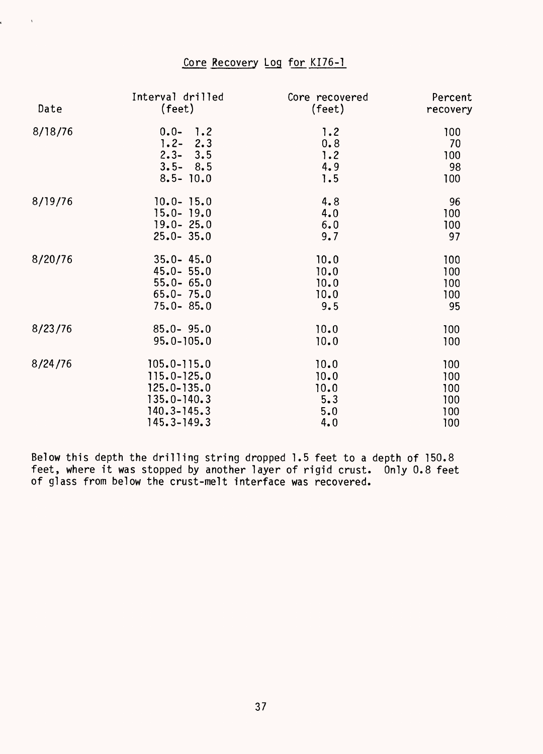### Core Recovery Log for KI76-1

į.

 $\mathcal{A}^{\pm}$ 

| Date    | Interval drilled | Core recovered | Percent  |
|---------|------------------|----------------|----------|
|         | $(\text{feet})$  | (feet)         | recovery |
| 8/18/76 | $0.0 - 1.2$      | 1.2            | 100      |
|         | $1.2 - 2.3$      | 0.8            | 70       |
|         | $2.3 - 3.5$      | 1.2            | 100      |
|         | $3.5 - 8.5$      | 4.9            | 98       |
|         | $8.5 - 10.0$     | 1.5            | 100      |
| 8/19/76 | $10.0 - 15.0$    | 4.8            | 96       |
|         | $15.0 - 19.0$    | 4.0            | 100      |
|         | $19.0 - 25.0$    | 6.0            | 100      |
|         | $25.0 - 35.0$    | 9.7            | 97       |
| 8/20/76 | $35.0 - 45.0$    | 10.0           | 100      |
|         | $45.0 - 55.0$    | 10.0           | 100      |
|         | $55.0 - 65.0$    | 10.0           | 100      |
|         | $65.0 - 75.0$    | 10.0           | 100      |
|         | $75.0 - 85.0$    | 9.5            | 95       |
| 8/23/76 | $85.0 - 95.0$    | 10.0           | 100      |
|         | $95.0 - 105.0$   | 10.0           | 100      |
| 8/24/76 | $105.0 - 115.0$  | 10.0           | 100      |
|         | $115.0 - 125.0$  | 10.0           | 100      |
|         | $125.0 - 135.0$  | 10.0           | 100      |
|         | $135.0 - 140.3$  | 5.3            | 100      |
|         | $140.3 - 145.3$  | 5.0            | 100      |
|         | $145.3 - 149.3$  | 4.0            | 100      |

Below this depth the drilling string dropped 1.5 feet to a depth of 150.8 feet, where it was stopped by another layer of rigid crust. Only 0.8 feet of glass from below the crust-melt interface was recovered.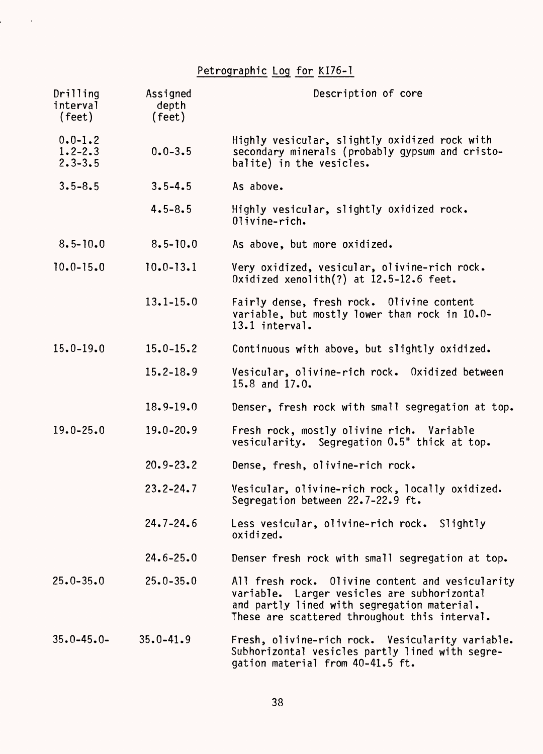Petrographic Log for KI76-1

 $\label{eq:2.1} \mathbf{r} = \left( \begin{array}{cc} 0 & \mathbf{r} \\ \mathbf{r} & \mathbf{r} \end{array} \right) \begin{array}{ll} \mathbf{r} & \mathbf{r} \\ \mathbf{r} & \mathbf{r} \end{array}$ 

| Drilling<br>interval<br>(feet)            | Assigned<br>depth<br>(feet) | Description of core                                                                                                                                                                             |
|-------------------------------------------|-----------------------------|-------------------------------------------------------------------------------------------------------------------------------------------------------------------------------------------------|
| $0.0 - 1.2$<br>$1.2 - 2.3$<br>$2.3 - 3.5$ | $0.0 - 3.5$                 | Highly vesicular, slightly oxidized rock with<br>secondary minerals (probably gypsum and cristo-<br>balite) in the vesicles.                                                                    |
| $3.5 - 8.5$                               | $3.5 - 4.5$                 | As above.                                                                                                                                                                                       |
|                                           | $4.5 - 8.5$                 | Highly vesicular, slightly oxidized rock.<br>Olivine-rich.                                                                                                                                      |
| $8.5 - 10.0$                              | $8.5 - 10.0$                | As above, but more oxidized.                                                                                                                                                                    |
| $10.0 - 15.0$                             | $10.0 - 13.1$               | Very oxidized, vesicular, olivine-rich rock.<br>Oxidized xenolith $(?)$ at $12.5-12.6$ feet.                                                                                                    |
|                                           | $13.1 - 15.0$               | Fairly dense, fresh rock. Olivine content<br>variable, but mostly lower than rock in 10.0-<br>13.1 interval.                                                                                    |
| $15.0 - 19.0$                             | $15.0 - 15.2$               | Continuous with above, but slightly oxidized.                                                                                                                                                   |
|                                           | $15.2 - 18.9$               | Vesicular, olivine-rich rock. Oxidized between<br>15.8 and $17.0$ .                                                                                                                             |
|                                           | $18.9 - 19.0$               | Denser, fresh rock with small segregation at top.                                                                                                                                               |
| $19.0 - 25.0$                             | $19.0 - 20.9$               | Fresh rock, mostly olivine rich. Variable<br>vesicularity. Segregation 0.5" thick at top.                                                                                                       |
|                                           | $20.9 - 23.2$               | Dense, fresh, olivine-rich rock.                                                                                                                                                                |
|                                           | $23.2 - 24.7$               | Vesicular, olivine-rich rock, locally oxidized.<br>Segregation between 22.7-22.9 ft.                                                                                                            |
|                                           | $24.7 - 24.6$               | Less vesicular, olivine-rich rock. Slightly<br>oxidized.                                                                                                                                        |
|                                           | $24.6 - 25.0$               | Denser fresh rock with small segregation at top.                                                                                                                                                |
| $25.0 - 35.0$                             | $25.0 - 35.0$               | All fresh rock. Olivine content and vesicularity<br>variable. Larger vesicles are subhorizontal<br>and partly lined with segregation material.<br>These are scattered throughout this interval. |
| $35.0 - 45.0 -$                           | $35.0 - 41.9$               | Fresh, olivine-rich rock. Vesicularity variable.<br>Subhorizontal vesicles partly lined with segre-<br>gation material from 40-41.5 ft.                                                         |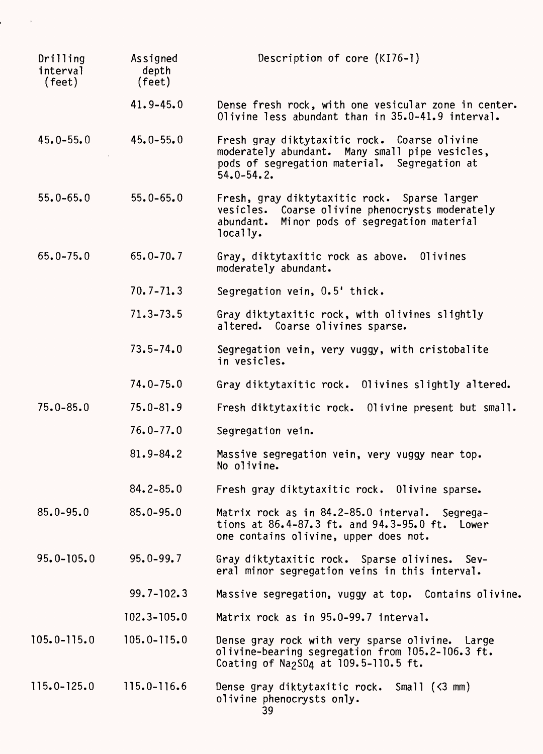| Drilling<br>interval<br>$(\text{feet})$ | Assigned<br>depth<br>$(\text{feet})$ | Description of core (KI76-1)                                                                                                                                         |
|-----------------------------------------|--------------------------------------|----------------------------------------------------------------------------------------------------------------------------------------------------------------------|
|                                         | $41.9 - 45.0$                        | Dense fresh rock, with one vesicular zone in center.<br>Olivine less abundant than in 35.0-41.9 interval.                                                            |
| $45.0 - 55.0$                           | $45.0 - 55.0$                        | Fresh gray diktytaxitic rock. Coarse olivine<br>moderately abundant. Many small pipe vesicles,<br>pods of segregation material. Segregation at<br>$54.0 - 54.2$      |
| $55.0 - 65.0$                           | $55.0 - 65.0$                        | Fresh, gray diktytaxitic rock. Sparse larger<br>vesicles. Coarse olivine phenocrysts moderately<br>Minor pods of segregation material<br>abundant.<br>locally.       |
| $65.0 - 75.0$                           | $65.0 - 70.7$                        | 01ivines<br>Gray, diktytaxitic rock as above.<br>moderately abundant.                                                                                                |
|                                         | $70.7 - 71.3$                        | Segregation vein, 0.5' thick.                                                                                                                                        |
|                                         | $71.3 - 73.5$                        | Gray diktytaxitic rock, with olivines slightly<br>altered. Coarse olivines sparse.                                                                                   |
|                                         | $73.5 - 74.0$                        | Segregation vein, very vuggy, with cristobalite<br>in vesicles.                                                                                                      |
|                                         | $74.0 - 75.0$                        | Gray diktytaxitic rock. Olivines slightly altered.                                                                                                                   |
| $75.0 - 85.0$                           | $75.0 - 81.9$                        | Fresh diktytaxitic rock. Olivine present but small.                                                                                                                  |
|                                         | $76.0 - 77.0$                        | Segregation vein.                                                                                                                                                    |
|                                         | $81.9 - 84.2$                        | Massive segregation vein, very vuggy near top.<br>No olivine.                                                                                                        |
|                                         | $84.2 - 85.0$                        | Fresh gray diktytaxitic rock. Olivine sparse.                                                                                                                        |
| $85.0 - 95.0$                           | $85.0 - 95.0$                        | Matrix rock as in 84.2-85.0 interval. Segrega-<br>tions at 86.4-87.3 ft. and 94.3-95.0 ft. Lower<br>one contains olivine, upper does not.                            |
| $95.0 - 105.0$                          | $95.0 - 99.7$                        | Gray diktytaxitic rock. Sparse olivines. Sev-<br>eral minor segregation veins in this interval.                                                                      |
|                                         | $99.7 - 102.3$                       | Massive segregation, vuggy at top. Contains olivine.                                                                                                                 |
|                                         | $102.3 - 105.0$                      | Matrix rock as in 95.0-99.7 interval.                                                                                                                                |
| $105.0 - 115.0$                         | $105.0 - 115.0$                      | Dense gray rock with very sparse olivine. Large<br>olivine-bearing segregation from 105.2-106.3 ft.<br>Coating of Na <sub>2</sub> SO <sub>4</sub> at 109.5-110.5 ft. |
| 115.0-125.0                             | $115.0 - 116.6$                      | Dense gray diktytaxitic rock. Small $(\leq 3$ mm)<br>olivine phenocrysts only.                                                                                       |

 $\sim$ 

ı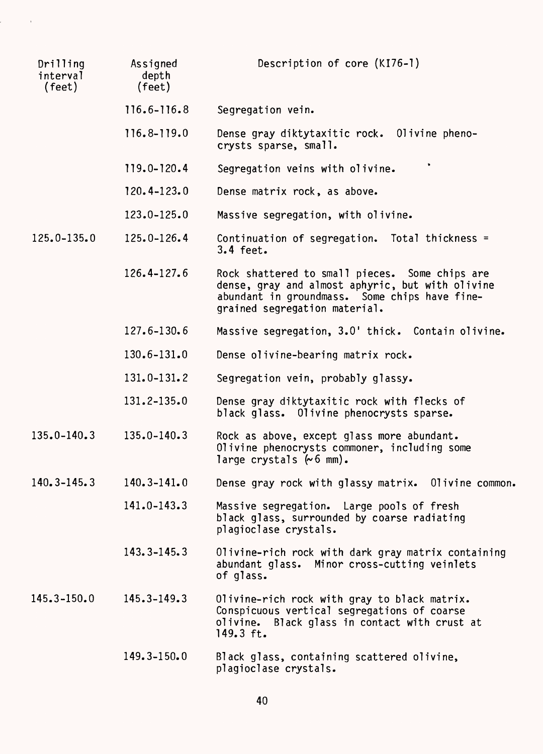| Drilling<br>interval<br>(feet) | Assigned<br>depth<br>(feet) | Description of core (KI76-1)                                                                                                                                                         |
|--------------------------------|-----------------------------|--------------------------------------------------------------------------------------------------------------------------------------------------------------------------------------|
|                                | $116.6 - 116.8$             | Segregation vein.                                                                                                                                                                    |
|                                | 116.8-119.0                 | Dense gray diktytaxitic rock. Olivine pheno-<br>crysts sparse, small.                                                                                                                |
|                                | 119.0-120.4                 | Segregation veins with olivine.                                                                                                                                                      |
|                                | $120.4 - 123.0$             | Dense matrix rock, as above.                                                                                                                                                         |
|                                | $123.0 - 125.0$             | Massive segregation, with olivine.                                                                                                                                                   |
| $125.0 - 135.0$                | $125.0 - 126.4$             | Continuation of segregation. Total thickness =<br>$3.4$ feet.                                                                                                                        |
|                                | $126.4 - 127.6$             | Rock shattered to small pieces. Some chips are<br>dense, gray and almost aphyric, but with olivine<br>abundant in groundmass. Some chips have fine-<br>grained segregation material. |
|                                | $127.6 - 130.6$             | Massive segregation, 3.0' thick. Contain olivine.                                                                                                                                    |
|                                | $130.6 - 131.0$             | Dense olivine-bearing matrix rock.                                                                                                                                                   |
|                                | $131.0 - 131.2$             | Segregation vein, probably glassy.                                                                                                                                                   |
|                                | 131.2-135.0                 | Dense gray diktytaxitic rock with flecks of<br>black glass. Olivine phenocrysts sparse.                                                                                              |
| $135.0 - 140.3$                | $135.0 - 140.3$             | Rock as above, except glass more abundant.<br>Olivine phenocrysts commoner, including some<br>large crystals $(6 \text{ mm})$ .                                                      |
| 140.3-145.3                    | $140.3 - 141.0$             | Dense gray rock with glassy matrix.<br>Olivine common.                                                                                                                               |
|                                | $141.0 - 143.3$             | Massive segregation. Large pools of fresh<br>black glass, surrounded by coarse radiating<br>plagioclase crystals.                                                                    |
|                                | $143.3 - 145.3$             | Olivine-rich rock with dark gray matrix containing<br>abundant glass. Minor cross-cutting veinlets<br>of glass.                                                                      |
| $145.3 - 150.0$                | $145.3 - 149.3$             | Olivine-rich rock with gray to black matrix.<br>Conspicuous vertical segregations of coarse<br>Black glass in contact with crust at<br>olivine.<br>149.3 ft.                         |
|                                | $149.3 - 150.0$             | Black glass, containing scattered olivine,<br>plagioclase crystals.                                                                                                                  |

 $\label{eq:2.1} \frac{1}{\sqrt{2\pi}}\int_{0}^{\infty}\frac{1}{\sqrt{2\pi}}\left(\frac{1}{\sqrt{2\pi}}\right)^{2\alpha} \frac{1}{\sqrt{2\pi}}\left(\frac{1}{\sqrt{2\pi}}\right)^{\alpha} \frac{1}{\sqrt{2\pi}}\frac{1}{\sqrt{2\pi}}\frac{1}{\sqrt{2\pi}}\frac{1}{\sqrt{2\pi}}\frac{1}{\sqrt{2\pi}}\frac{1}{\sqrt{2\pi}}\frac{1}{\sqrt{2\pi}}\frac{1}{\sqrt{2\pi}}\frac{1}{\sqrt{2\pi}}\frac{1}{\sqrt{2\pi}}\frac{1$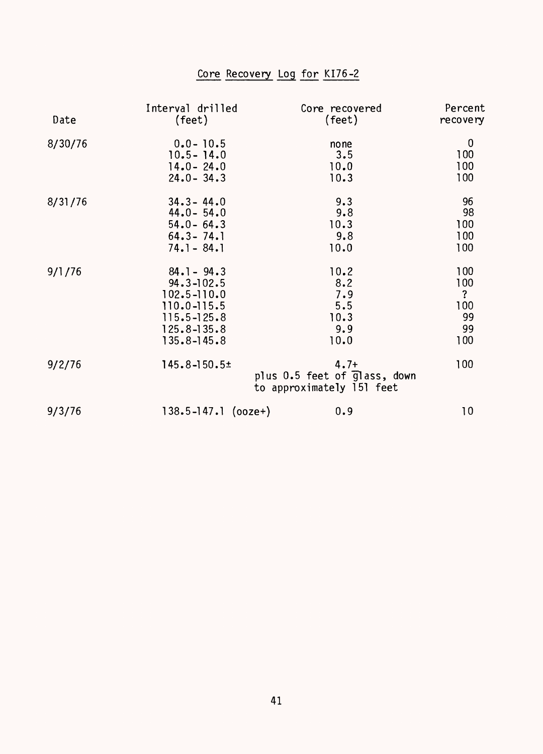## Core Recovery Log for KI76-2

| Date    | Interval drilled        | Core recovered                                                      | Percent             |
|---------|-------------------------|---------------------------------------------------------------------|---------------------|
|         | (feet)                  | (feet)                                                              | recovery            |
| 8/30/76 | $0.0 - 10.5$            | none                                                                | $\bf{0}$            |
|         | $10.5 - 14.0$           | 3.5                                                                 | 100                 |
|         | $14.0 - 24.0$           | 10.0                                                                | 100                 |
|         | $24.0 - 34.3$           | 10.3                                                                | 100                 |
| 8/31/76 | $34.3 - 44.0$           | 9.3                                                                 | 96                  |
|         | $44.0 - 54.0$           | 9.8                                                                 | 98                  |
|         | $54.0 - 64.3$           | 10.3                                                                | 100                 |
|         | $64.3 - 74.1$           | 9.8                                                                 | 100                 |
|         | $74.1 - 84.1$           | 10.0                                                                | 100                 |
| 9/1/76  | $84.1 - 94.3$           | 10.2                                                                | 100                 |
|         | $94.3 - 102.5$          | 8.2                                                                 | 100                 |
|         | $102.5 - 110.0$         | 7.9                                                                 | $\ddot{\mathbf{?}}$ |
|         | $110.0 - 115.5$         | 5.5                                                                 | 100                 |
|         | $115.5 - 125.8$         | 10.3                                                                | 99                  |
|         | $125.8 - 135.8$         | 9.9                                                                 | 99                  |
|         | $135.8 - 145.8$         | 10.0                                                                | 100                 |
| 9/2/76  | $145.8 - 150.5 \pm$     | $4.7+$<br>plus 0.5 feet of glass, down<br>to approximately 151 feet | 100                 |
| 9/3/76  | $138.5 - 147.1$ (ooze+) | 0.9                                                                 | 10                  |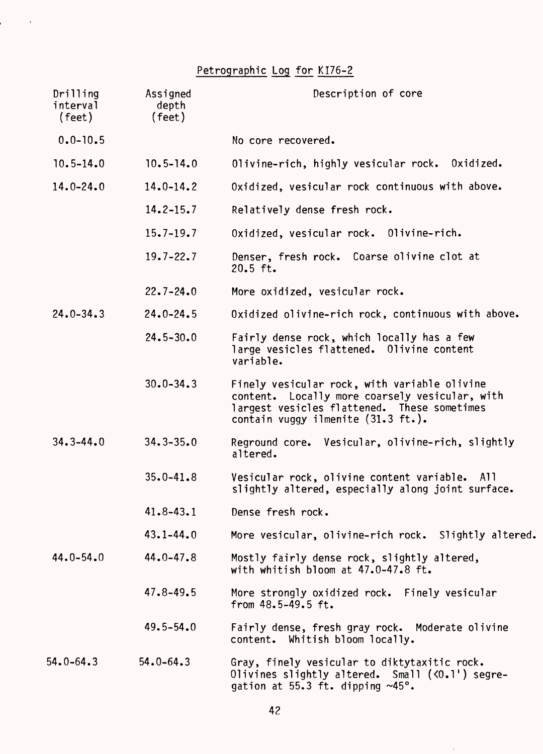## Petrographic Log for KI76-2

 $\label{eq:2.1} \frac{1}{\sqrt{2}}\left(\frac{1}{\sqrt{2}}\right)^{2}=\frac{1}{2}\left(\frac{1}{2}\right)^{2}$ 

| Drilling<br>interval<br>(feet) | Assigned<br>depth<br>(feet) | Description of core                                                                                                                                                                 |
|--------------------------------|-----------------------------|-------------------------------------------------------------------------------------------------------------------------------------------------------------------------------------|
| $0.0 - 10.5$                   |                             | No core recovered.                                                                                                                                                                  |
| $10.5 - 14.0$                  | $10.5 - 14.0$               | Olivine-rich, highly vesicular rock. Oxidized.                                                                                                                                      |
| $14.0 - 24.0$                  | $14.0 - 14.2$               | Oxidized, vesicular rock continuous with above.                                                                                                                                     |
|                                | $14.2 - 15.7$               | Relatively dense fresh rock.                                                                                                                                                        |
|                                | $15.7 - 19.7$               | Oxidized, vesicular rock. Olivine-rich.                                                                                                                                             |
|                                | $19.7 - 22.7$               | Denser, fresh rock. Coarse olivine clot at<br>$20.5$ ft.                                                                                                                            |
|                                | $22.7 - 24.0$               | More oxidized, vesicular rock.                                                                                                                                                      |
| $24.0 - 34.3$                  | $24.0 - 24.5$               | Oxidized olivine-rich rock, continuous with above.                                                                                                                                  |
|                                | $24.5 - 30.0$               | Fairly dense rock, which locally has a few<br>large vesicles flattened. Olivine content<br>variable.                                                                                |
|                                | $30.0 - 34.3$               | Finely vesicular rock, with variable olivine<br>content. Locally more coarsely vesicular, with<br>largest vesicles flattened. These sometimes<br>contain vuggy ilmenite (31.3 ft.). |
| $34.3 - 44.0$                  | $34.3 - 35.0$               | Reground core. Vesicular, olivine-rich, slightly<br>altered.                                                                                                                        |
|                                | $35.0 - 41.8$               | Vesicular rock, olivine content variable. All<br>slightly altered, especially along joint surface.                                                                                  |
|                                | $41.8 - 43.1$               | Dense fresh rock.                                                                                                                                                                   |
|                                | $43.1 - 44.0$               | More vesicular, olivine-rich rock. Slightly altered.                                                                                                                                |
| $44.0 - 54.0$                  | $44.0 - 47.8$               | Mostly fairly dense rock, slightly altered,<br>with whitish bloom at 47.0-47.8 ft.                                                                                                  |
|                                | $47.8 - 49.5$               | More strongly oxidized rock. Finely vesicular<br>from $48.5 - 49.5$ ft.                                                                                                             |
|                                | $49.5 - 54.0$               | Fairly dense, fresh gray rock. Moderate olivine<br>content. Whitish bloom locally.                                                                                                  |
| $54.0 - 64.3$                  | $54.0 - 64.3$               | Gray, finely vesicular to diktytaxitic rock.<br>Olivines slightly altered. Small (<0.1') segre-<br>gation at 55.3 ft. dipping $~100$ .                                              |

 $\bar{\gamma}$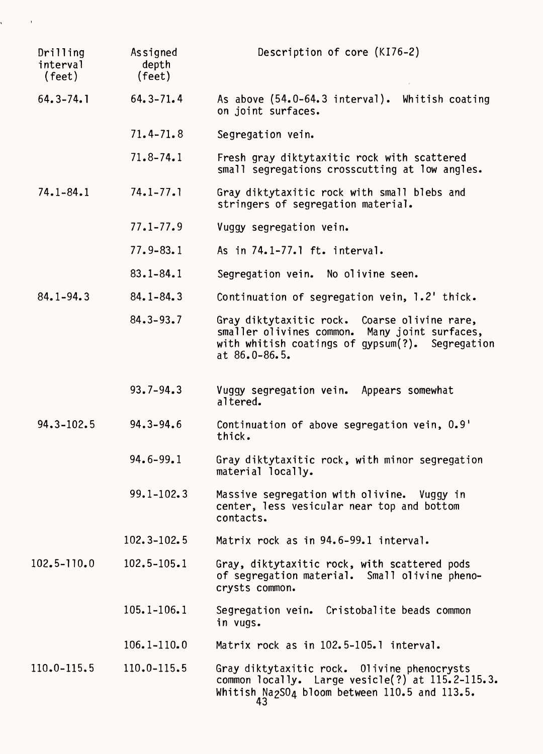| Drilling<br>interval<br>(feet) | Assigned<br>depth<br>$(\text{feet})$ | Description of core (KI76-2)                                                                                                                                              |  |
|--------------------------------|--------------------------------------|---------------------------------------------------------------------------------------------------------------------------------------------------------------------------|--|
| $64.3 - 74.1$                  | $64.3 - 71.4$                        | As above (54.0-64.3 interval). Whitish coating<br>on joint surfaces.                                                                                                      |  |
|                                | $71.4 - 71.8$                        | Segregation vein.                                                                                                                                                         |  |
|                                | $71.8 - 74.1$                        | Fresh gray diktytaxitic rock with scattered<br>small segregations crosscutting at low angles.                                                                             |  |
| $74.1 - 84.1$                  | $74.1 - 77.1$                        | Gray diktytaxitic rock with small blebs and<br>stringers of segregation material.                                                                                         |  |
|                                | $77.1 - 77.9$                        | Vuggy segregation vein.                                                                                                                                                   |  |
|                                | $77.9 - 83.1$                        | As in 74.1-77.1 ft. interval.                                                                                                                                             |  |
|                                | $83.1 - 84.1$                        | Segregation vein. No olivine seen.                                                                                                                                        |  |
| $84.1 - 94.3$                  | $84.1 - 84.3$                        | Continuation of segregation vein, 1.2' thick.                                                                                                                             |  |
|                                | $84.3 - 93.7$                        | Gray diktytaxitic rock. Coarse olivine rare,<br>smaller olivines common. Many joint surfaces,<br>with whitish coatings of gypsum(?). Segregation<br>at $86.0 - 86.5$ .    |  |
|                                | $93.7 - 94.3$                        | Vuggy segregation vein. Appears somewhat<br>altered.                                                                                                                      |  |
| $94.3 - 102.5$                 | $94.3 - 94.6$                        | Continuation of above segregation vein, 0.9'<br>thick.                                                                                                                    |  |
|                                | 94.6-99.1                            | Gray diktytaxitic rock, with minor segregation<br>material locally.                                                                                                       |  |
|                                | $99.1 - 102.3$                       | Massive segregation with olivine. Vuggy in<br>center, less vesicular near top and bottom<br>contacts.                                                                     |  |
|                                | $102.3 - 102.5$                      | Matrix rock as in 94.6-99.1 interval.                                                                                                                                     |  |
| 102.5-110.0                    | $102.5 - 105.1$                      | Gray, diktytaxitic rock, with scattered pods<br>of segregation material. Small olivine pheno-<br>crysts common.                                                           |  |
|                                | $105.1 - 106.1$                      | Segregation vein. Cristobalite beads common<br>in vugs.                                                                                                                   |  |
|                                | $106.1 - 110.0$                      | Matrix rock as in 102.5-105.1 interval.                                                                                                                                   |  |
| $110.0 - 115.5$                | $110.0 - 115.5$                      | Gray diktytaxitic rock. Olivine phenocrysts<br>common locally. Large vesicle(?) at 115.2-115.3.<br>Whitish Na <sub>2</sub> SO <sub>4</sub> bloom between 110.5 and 113.5. |  |

 $\label{eq:2.1} \frac{1}{2} \int_{\mathbb{R}^3} \frac{1}{\sqrt{2}} \, \frac{1}{\sqrt{2}} \, \frac{1}{\sqrt{2}} \, \frac{1}{\sqrt{2}} \, \frac{1}{\sqrt{2}} \, \frac{1}{\sqrt{2}} \, \frac{1}{\sqrt{2}} \, \frac{1}{\sqrt{2}} \, \frac{1}{\sqrt{2}} \, \frac{1}{\sqrt{2}} \, \frac{1}{\sqrt{2}} \, \frac{1}{\sqrt{2}} \, \frac{1}{\sqrt{2}} \, \frac{1}{\sqrt{2}} \, \frac{1}{\sqrt{2}} \, \frac{1}{\sqrt{2}} \,$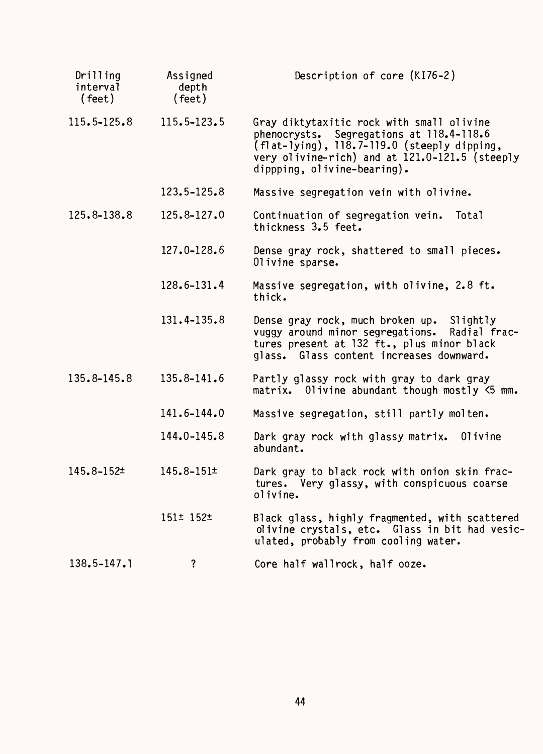| Drilling<br>interval<br>$(\text{feet})$ | Assigned<br>depth<br>(feet) | Description of core (KI76-2)                                                                                                                                                                                          |
|-----------------------------------------|-----------------------------|-----------------------------------------------------------------------------------------------------------------------------------------------------------------------------------------------------------------------|
| $115.5 - 125.8$                         | 115.5-123.5                 | Gray diktytaxitic rock with small olivine<br>phenocrysts. Segregations at 118.4-118.6<br>(flat-lying), 118.7-119.0 (steeply dipping,<br>very olivine-rich) and at 121.0-121.5 (steeply<br>dippping, olivine-bearing). |
|                                         | 123.5-125.8                 | Massive segregation vein with olivine.                                                                                                                                                                                |
| 125.8-138.8                             | 125.8-127.0                 | Continuation of segregation vein. Total<br>thickness 3.5 feet.                                                                                                                                                        |
|                                         | 127.0-128.6                 | Dense gray rock, shattered to small pieces.<br>Olivine sparse.                                                                                                                                                        |
|                                         | 128.6-131.4                 | Massive segregation, with olivine, 2.8 ft.<br>thick.                                                                                                                                                                  |
|                                         | 131.4-135.8                 | Dense gray rock, much broken up. Slightly<br>vuggy around minor segregations.<br>Radial frac-<br>tures present at 132 ft., plus minor black<br>glass. Glass content increases downward.                               |
| 135.8-145.8                             | 135.8-141.6                 | Partly glassy rock with gray to dark gray<br>matrix. Olivine abundant though mostly <5 mm.                                                                                                                            |
|                                         | 141.6-144.0                 | Massive segregation, still partly molten.                                                                                                                                                                             |
|                                         | 144.0-145.8                 | Dark gray rock with glassy matrix. Olivine<br>abundant.                                                                                                                                                               |
| 145.8-152±                              | $145.8 - 151 \pm$           | Dark gray to black rock with onion skin frac-<br>tures. Very glassy, with conspicuous coarse<br>olivine.                                                                                                              |
|                                         | $151 \pm 152 \pm 152$       | Black glass, highly fragmented, with scattered<br>olivine crystals, etc. Glass in bit had vesic-<br>ulated, probably from cooling water.                                                                              |
| $138.5 - 147.1$                         | ?                           | Core half wallrock, half ooze.                                                                                                                                                                                        |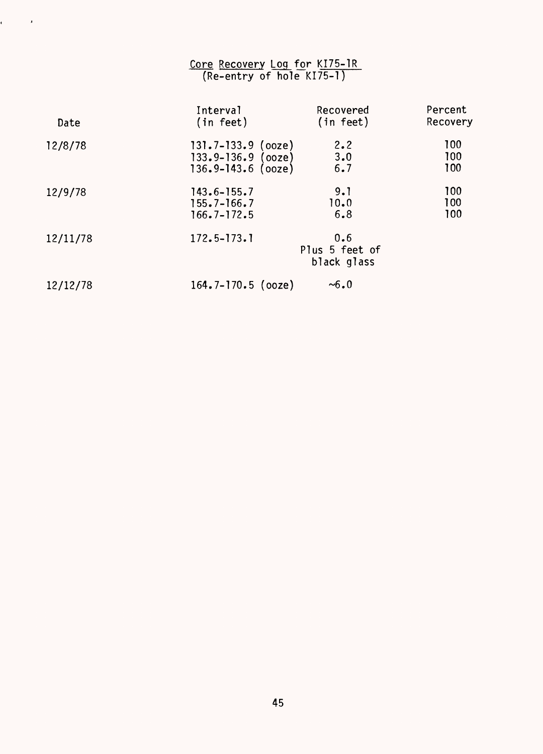#### Core Recovery Log for KI75-1R (Re-entry of hole KI75-1)

 $\epsilon = \frac{1}{2}$ 

| Date     | Interval               | Recovered                            | Percent  |
|----------|------------------------|--------------------------------------|----------|
|          | (in feet)              | (in feet)                            | Recovery |
| 12/8/78  | $131.7 - 133.9$ (ooze) | 2.2                                  | 100      |
|          | $133.9 - 136.9$ (ooze) | 3.0                                  | 100      |
|          | $136.9 - 143.6$ (ooze) | 6.7                                  | 100      |
| 12/9/78  | $143.6 - 155.7$        | 9.1                                  | 100      |
|          | $155.7 - 166.7$        | 10.0                                 | 100      |
|          | $166.7 - 172.5$        | 6.8                                  | 100      |
| 12/11/78 | $172.5 - 173.1$        | 0.6<br>Plus 5 feet of<br>black glass |          |
| 12/12/78 | $164.7 - 170.5$ (ooze) | $~10 - 6.0$                          |          |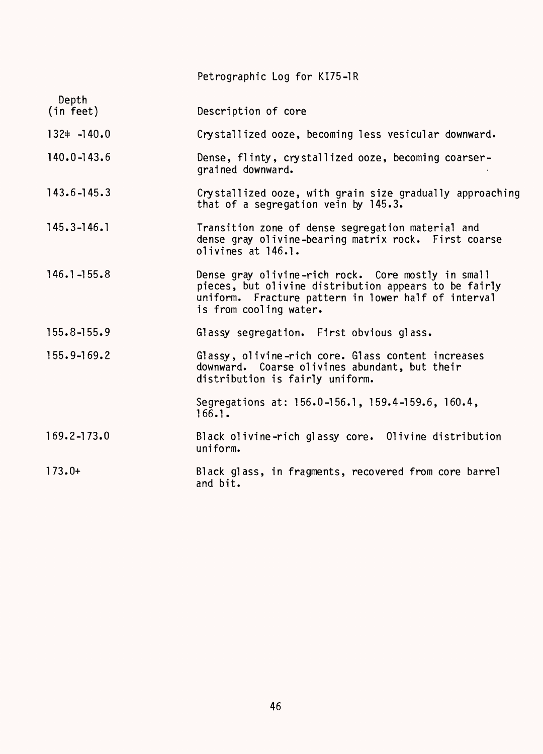|                    | Petrographic Log for KI75-1R                                                                                                                                                                 |
|--------------------|----------------------------------------------------------------------------------------------------------------------------------------------------------------------------------------------|
| Depth<br>(in feet) | Description of core                                                                                                                                                                          |
| $132 \div -140.0$  | Crystallized ooze, becoming less vesicular downward.                                                                                                                                         |
| $140.0 - 143.6$    | Dense, flinty, crystallized ooze, becoming coarser-<br>grained downward.                                                                                                                     |
| $143.6 - 145.3$    | Crystallized ooze, with grain size gradually approaching<br>that of a segregation vein by 145.3.                                                                                             |
| $145.3 - 146.1$    | Transition zone of dense segregation material and<br>dense gray olivine-bearing matrix rock. First coarse<br>olivines at 146.1.                                                              |
| $146.1 - 155.8$    | Dense gray olivine-rich rock. Core mostly in small<br>pieces, but olivine distribution appears to be fairly<br>uniform. Fracture pattern in lower half of interval<br>is from cooling water. |
| $155.8 - 155.9$    | Glassy segregation. First obvious glass.                                                                                                                                                     |
| $155.9 - 169.2$    | Glassy, olivine-rich core. Glass content increases<br>downward. Coarse olivines abundant, but their<br>distribution is fairly uniform.                                                       |
|                    | Segregations at: 156.0-156.1, 159.4-159.6, 160.4,<br>166.1.                                                                                                                                  |
| $169.2 - 173.0$    | Black olivine-rich glassy core. Olivine distribution<br>uniform.                                                                                                                             |
| $173.0+$           | Black glass, in fragments, recovered from core barrel<br>and bit.                                                                                                                            |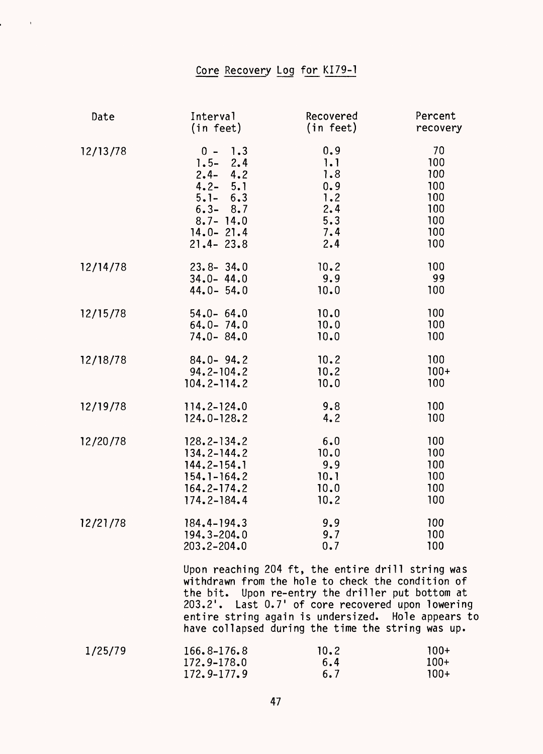# Core Recovery Log for KI79-1

 $\mathcal{L}^{\text{max}}$ 

| Date     | Interval                                                                                                                                     | Recovered                                                                                                                                                                                                                                                                                                                  | Percent                                                    |
|----------|----------------------------------------------------------------------------------------------------------------------------------------------|----------------------------------------------------------------------------------------------------------------------------------------------------------------------------------------------------------------------------------------------------------------------------------------------------------------------------|------------------------------------------------------------|
|          | (in feet)                                                                                                                                    | (in feet)                                                                                                                                                                                                                                                                                                                  | recovery                                                   |
| 12/13/78 | 1.3<br>$0 -$<br>$1.5 -$<br>2.4<br>$2.4 - 4.2$<br>$4.2 - 5.1$<br>$5.1 - 6.3$<br>$6.3 - 8.7$<br>$8.7 - 14.0$<br>$14.0 - 21.4$<br>$21.4 - 23.8$ | 0.9<br>1.1<br>1.8<br>0.9<br>1.2<br>2.4<br>5.3<br>7.4<br>2.4                                                                                                                                                                                                                                                                | 70<br>100<br>100<br>100<br>100<br>100<br>100<br>100<br>100 |
| 12/14/78 | $23.8 - 34.0$                                                                                                                                | 10.2                                                                                                                                                                                                                                                                                                                       | 100                                                        |
|          | $34.0 - 44.0$                                                                                                                                | 9.9                                                                                                                                                                                                                                                                                                                        | 99                                                         |
|          | $44.0 - 54.0$                                                                                                                                | 10.0                                                                                                                                                                                                                                                                                                                       | 100                                                        |
| 12/15/78 | $54.0 - 64.0$                                                                                                                                | 10.0                                                                                                                                                                                                                                                                                                                       | 100                                                        |
|          | $64.0 - 74.0$                                                                                                                                | 10.0                                                                                                                                                                                                                                                                                                                       | 100                                                        |
|          | $74.0 - 84.0$                                                                                                                                | 10.0                                                                                                                                                                                                                                                                                                                       | 100                                                        |
| 12/18/78 | $84.0 - 94.2$                                                                                                                                | 10.2                                                                                                                                                                                                                                                                                                                       | 100                                                        |
|          | $94.2 - 104.2$                                                                                                                               | 10.2                                                                                                                                                                                                                                                                                                                       | $100+$                                                     |
|          | $104.2 - 114.2$                                                                                                                              | 10.0                                                                                                                                                                                                                                                                                                                       | 100                                                        |
| 12/19/78 | $114.2 - 124.0$                                                                                                                              | 9.8                                                                                                                                                                                                                                                                                                                        | 100                                                        |
|          | 124.0-128.2                                                                                                                                  | 4.2                                                                                                                                                                                                                                                                                                                        | 100                                                        |
| 12/20/78 | $128.2 - 134.2$                                                                                                                              | 6.0                                                                                                                                                                                                                                                                                                                        | 100                                                        |
|          | $134.2 - 144.2$                                                                                                                              | 10.0                                                                                                                                                                                                                                                                                                                       | 100                                                        |
|          | $144.2 - 154.1$                                                                                                                              | 9.9                                                                                                                                                                                                                                                                                                                        | 100                                                        |
|          | $154.1 - 164.2$                                                                                                                              | 10.1                                                                                                                                                                                                                                                                                                                       | 100                                                        |
|          | $164.2 - 174.2$                                                                                                                              | 10.0                                                                                                                                                                                                                                                                                                                       | 100                                                        |
|          | 174.2-184.4                                                                                                                                  | 10.2                                                                                                                                                                                                                                                                                                                       | 100                                                        |
| 12/21/78 | $184.4 - 194.3$                                                                                                                              | 9.9                                                                                                                                                                                                                                                                                                                        | 100                                                        |
|          | 194.3-204.0                                                                                                                                  | 9.7                                                                                                                                                                                                                                                                                                                        | 100                                                        |
|          | $203.2 - 204.0$                                                                                                                              | 0.7                                                                                                                                                                                                                                                                                                                        | 100                                                        |
|          |                                                                                                                                              | Upon reaching 204 ft, the entire drill string was<br>withdrawn from the hole to check the condition of<br>the bit. Upon re-entry the driller put bottom at<br>203.2'. Last 0.7' of core recovered upon lowering<br>entire string again is undersized. Hole appears to<br>have collapsed during the time the string was up. |                                                            |
| 1/25/79  | 166.8-176.8                                                                                                                                  | 10.2                                                                                                                                                                                                                                                                                                                       | $100+$                                                     |

| l/25/79. | $166.8 - 176.8$ | 10.2 | 100+ |
|----------|-----------------|------|------|
|          | $172.9 - 178.0$ | 6.4  | 100+ |
|          | $172.9 - 177.9$ | 6.7  | 100+ |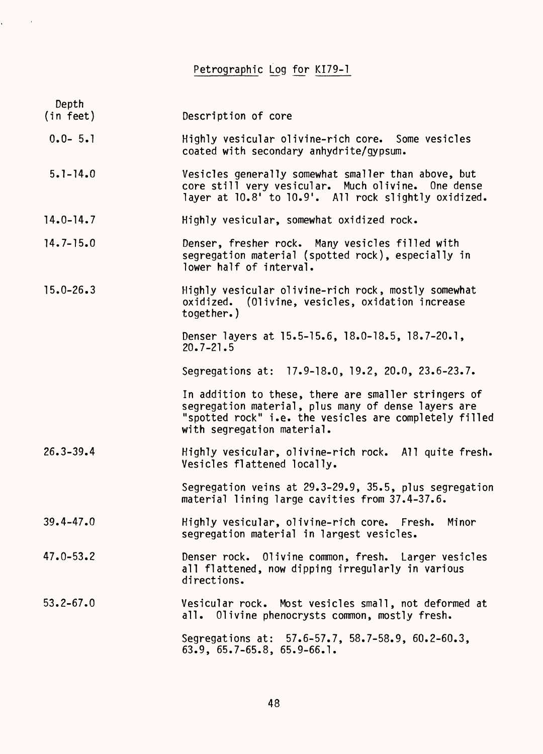Petrographic Log for KI79-1

| Depth<br>(in feet) | Description of core                                                                                                                                                                                 |
|--------------------|-----------------------------------------------------------------------------------------------------------------------------------------------------------------------------------------------------|
| $0.0 - 5.1$        | Highly vesicular olivine-rich core. Some vesicles<br>coated with secondary anhydrite/gypsum.                                                                                                        |
| $5.1 - 14.0$       | Vesicles generally somewhat smaller than above, but<br>core still very vesicular. Much olivine. One dense<br>layer at 10.8' to 10.9'. All rock slightly oxidized.                                   |
| $14.0 - 14.7$      | Highly vesicular, somewhat oxidized rock.                                                                                                                                                           |
| $14.7 - 15.0$      | Denser, fresher rock. Many vesicles filled with<br>segregation material (spotted rock), especially in<br>lower half of interval.                                                                    |
| $15.0 - 26.3$      | Highly vesicular olivine-rich rock, mostly somewhat<br>oxidized. (Olivine, vesicles, oxidation increase<br>together.)                                                                               |
|                    | Denser layers at 15.5-15.6, 18.0-18.5, 18.7-20.1,<br>$20.7 - 21.5$                                                                                                                                  |
|                    | Segregations at: 17.9-18.0, 19.2, 20.0, 23.6-23.7.                                                                                                                                                  |
|                    | In addition to these, there are smaller stringers of<br>segregation material, plus many of dense layers are<br>"spotted rock" i.e. the vesicles are completely filled<br>with segregation material. |
| $26.3 - 39.4$      | Highly vesicular, olivine-rich rock. All quite fresh.<br>Vesicles flattened locally.                                                                                                                |
|                    | Segregation veins at 29.3-29.9, 35.5, plus segregation<br>material lining large cavities from 37.4-37.6.                                                                                            |
| $39.4 - 47.0$      | Highly vesicular, olivine-rich core. Fresh.<br>Minor<br>segregation material in largest vesicles.                                                                                                   |
| $47.0 - 53.2$      | Denser rock. Olivine common, fresh. Larger vesicles<br>all flattened, now dipping irregularly in various<br>directions.                                                                             |
| $53.2 - 67.0$      | Vesicular rock. Most vesicles small, not deformed at<br>all. Olivine phenocrysts common, mostly fresh.                                                                                              |
|                    | Segregations at: 57.6-57.7, 58.7-58.9, 60.2-60.3,<br>$63.9, 65.7-65.8, 65.9-66.1.$                                                                                                                  |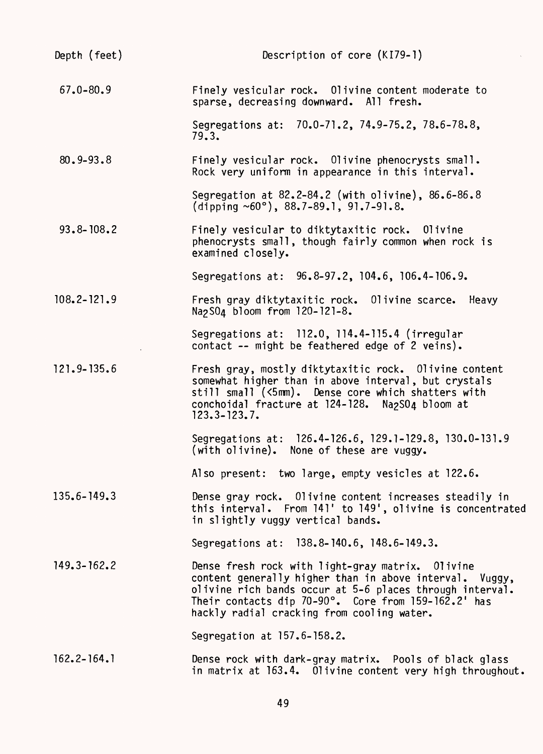| Depth (feet)    | Description of core (KI79-1)                                                                                                                                                                                                                                                 |
|-----------------|------------------------------------------------------------------------------------------------------------------------------------------------------------------------------------------------------------------------------------------------------------------------------|
| $67.0 - 80.9$   | Finely vesicular rock. Olivine content moderate to<br>sparse, decreasing downward. All fresh.                                                                                                                                                                                |
|                 | Segregations at: 70.0-71.2, 74.9-75.2, 78.6-78.8,<br>79.3.                                                                                                                                                                                                                   |
| $80.9 - 93.8$   | Finely vesicular rock. Olivine phenocrysts small.<br>Rock very uniform in appearance in this interval.                                                                                                                                                                       |
|                 | Segregation at 82.2-84.2 (with olivine), 86.6-86.8<br>(dipping $~60^{\circ}$ ), 88.7-89.1, 91.7-91.8.                                                                                                                                                                        |
| $93.8 - 108.2$  | Finely vesicular to diktytaxitic rock. Olivine<br>phenocrysts small, though fairly common when rock is<br>examined closely.                                                                                                                                                  |
|                 | Segregations at: 96.8-97.2, 104.6, 106.4-106.9.                                                                                                                                                                                                                              |
| $108.2 - 121.9$ | Fresh gray diktytaxitic rock. Olivine scarce. Heavy<br>Na <sub>2</sub> S0 <sub>4</sub> bloom from 120-121-8.                                                                                                                                                                 |
|                 | Segregations at: 112.0, 114.4-115.4 (irregular<br>contact -- might be feathered edge of 2 veins).                                                                                                                                                                            |
| $121.9 - 135.6$ | Fresh gray, mostly diktytaxitic rock. Olivine content<br>somewhat higher than in above interval, but crystals<br>still small (<5mm). Dense core which shatters with<br>conchoidal fracture at 124-128. Na2SO4 bloom at<br>$123.3 - 123.7.$                                   |
|                 | Segregations at: 126.4-126.6, 129.1-129.8, 130.0-131.9<br>(with olivine). None of these are vuggy.                                                                                                                                                                           |
|                 | Also present: two large, empty vesicles at 122.6.                                                                                                                                                                                                                            |
| $135.6 - 149.3$ | Dense gray rock. Olivine content increases steadily in<br>this interval. From 141' to 149', olivine is concentrated<br>in slightly vuggy vertical bands.                                                                                                                     |
|                 | Segregations at: 138.8-140.6, 148.6-149.3.                                                                                                                                                                                                                                   |
| $149.3 - 162.2$ | Dense fresh rock with light-gray matrix. Olivine<br>content generally higher than in above interval. Vuggy,<br>olivine rich bands occur at 5-6 places through interval.<br>Their contacts dip 70-90°. Core from 159-162.2' has<br>hackly radial cracking from cooling water. |
|                 | Segregation at 157.6-158.2.                                                                                                                                                                                                                                                  |
| $162.2 - 164.1$ | Dense rock with dark-gray matrix. Pools of black glass<br>in matrix at 163.4. Olivine content very high throughout.                                                                                                                                                          |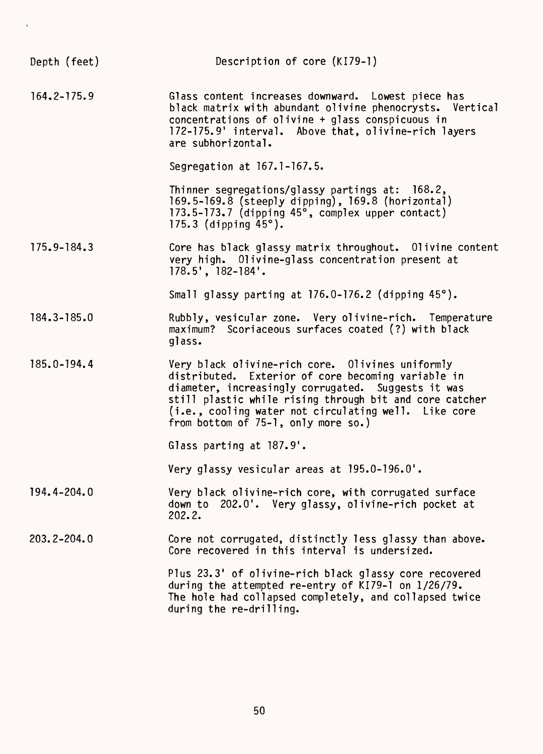| Depth (feet)    | Description of core (KI79-1)                                                                                                                                                                                                                                                                                              |
|-----------------|---------------------------------------------------------------------------------------------------------------------------------------------------------------------------------------------------------------------------------------------------------------------------------------------------------------------------|
| $164.2 - 175.9$ | Glass content increases downward. Lowest piece has<br>black matrix with abundant olivine phenocrysts. Vertical<br>concentrations of olivine + glass conspicuous in<br>172-175.9' interval. Above that, olivine-rich layers<br>are subhorizontal.                                                                          |
|                 | Segregation at 167.1-167.5.                                                                                                                                                                                                                                                                                               |
|                 | Thinner segregations/glassy partings at: 168.2,<br>169.5-169.8 (steeply dipping), 169.8 (horizontal)<br>173.5-173.7 (dipping 45°, complex upper contact)<br>175.3 (dipping $45^{\circ}$ ).                                                                                                                                |
| $175.9 - 184.3$ | Core has black glassy matrix throughout. Olivine content<br>very high. Olivine-glass concentration present at<br>$178.5'$ , $182-184'$ .                                                                                                                                                                                  |
|                 | Small glassy parting at 176.0-176.2 (dipping 45°).                                                                                                                                                                                                                                                                        |
| $184.3 - 185.0$ | Rubbly, vesicular zone. Very olivine-rich. Temperature<br>maximum? Scoriaceous surfaces coated (?) with black<br>glass.                                                                                                                                                                                                   |
| 185.0-194.4     | Very black olivine-rich core. Olivines uniformly<br>distributed. Exterior of core becoming variable in<br>diameter, increasingly corrugated. Suggests it was<br>still plastic while rising through bit and core catcher<br>(i.e., cooling water not circulating well. Like core<br>from bottom of $75-1$ , only more so.) |
|                 | Glass parting at 187.9'.                                                                                                                                                                                                                                                                                                  |
|                 | Very glassy vesicular areas at 195.0-196.0'.                                                                                                                                                                                                                                                                              |
| 194.4-204.0     | Very black olivine-rich core, with corrugated surface<br>down to 202.0'. Very glassy, olivine-rich pocket at<br>202.2.                                                                                                                                                                                                    |
| $203.2 - 204.0$ | Core not corrugated, distinctly less glassy than above.<br>Core recovered in this interval is undersized.                                                                                                                                                                                                                 |
|                 | Plus 23.3' of olivine-rich black glassy core recovered<br>during the attempted re-entry of KI79-1 on 1/26/79.<br>The hole had collapsed completely, and collapsed twice<br>during the re-drilling.                                                                                                                        |

 $\epsilon$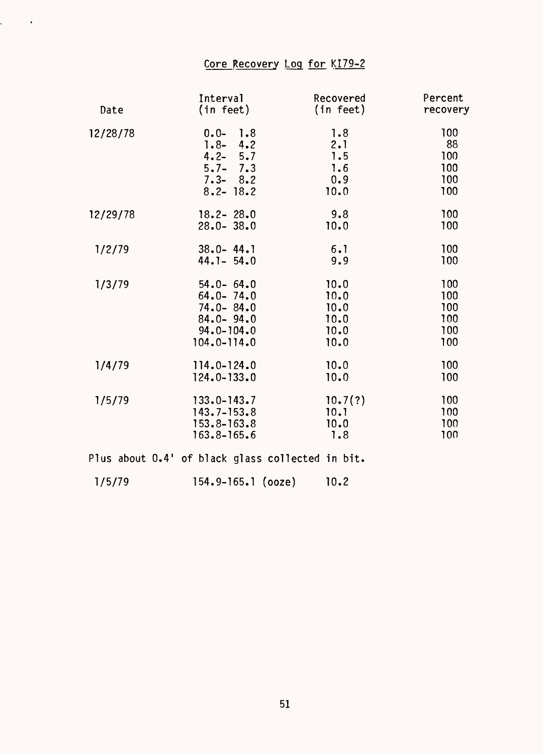## Core Recovery Log for KI79-2

 $\mathcal{L}^{\text{max}}_{\text{max}}$ 

| Date     | Interval                                         | Recovered | Percent  |
|----------|--------------------------------------------------|-----------|----------|
|          | (in feet)                                        | (in feet) | recovery |
| 12/28/78 | $0.0 - 1.8$                                      | 1.8       | 100      |
|          | $1.8 - 4.2$                                      | 2.1       | 88       |
|          | $4.2 - 5.7$                                      | 1.5       | 100      |
|          | $5.7 - 7.3$                                      | 1.6       | 100      |
|          | $7.3 - 8.2$                                      | 0.9       | 100      |
|          | $8.2 - 18.2$                                     | 10.0      | 100      |
| 12/29/78 | $18.2 - 28.0$                                    | 9.8       | 100      |
|          | $28.0 - 38.0$                                    | 10.0      | 100      |
| 1/2/79   | $38.0 - 44.1$                                    | 6.1       | 100      |
|          | $44.1 - 54.0$                                    | 9.9       | 100      |
| 1/3/79   | $54.0 - 64.0$                                    | 10.0      | 100      |
|          | $64.0 - 74.0$                                    | 10.0      | 100      |
|          | $74.0 - 84.0$                                    | 10.0      | 100      |
|          | $84.0 - 94.0$                                    | 10.0      | 100      |
|          | $94.0 - 104.0$                                   | 10.0      | 100      |
|          | $104.0 - 114.0$                                  | 10.0      | 100      |
| 1/4/79   | $114.0 - 124.0$                                  | 10.0      | 100      |
|          | $124.0 - 133.0$                                  | 10.0      | 100      |
| 1/5/79   | $133.0 - 143.7$                                  | 10.7(?)   | 100      |
|          | $143.7 - 153.8$                                  | 10.1      | 100      |
|          | $153.8 - 163.8$                                  | 10.0      | 100      |
|          | $163.8 - 165.6$                                  | 7.8       | 100      |
|          | Plus about 0.4' of black glass collected in bit. |           |          |

1/5/79 154.9-165.1 (ooze) 10.2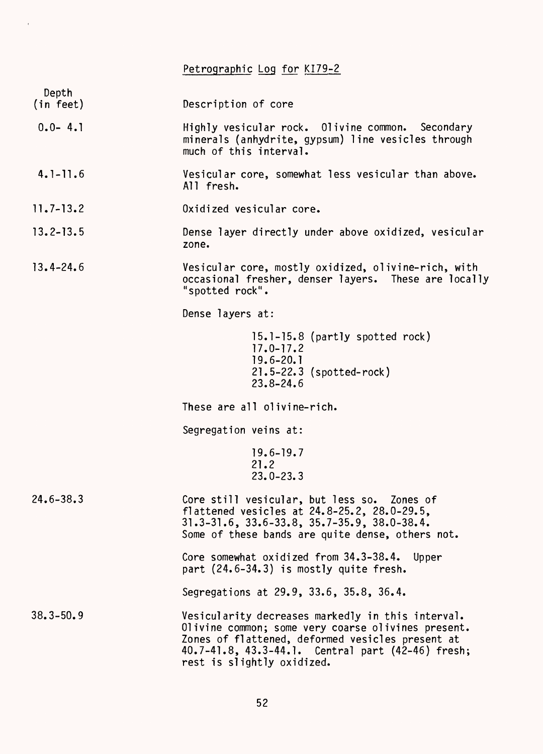Petrographic Log for KI79-2 Depth<br>(in feet) Description of core 0.0- 4.1 Highly vesicular rock. Olivine common. Secondary minerals (anhydrite, gypsum) line vesicles through much of this interval. 4.1-11.6 Vesicular core, somewhat less vesicular than above. All fresh. 11.7-13.2 Oxidized vesicular core. 13.2-13.5 Dense layer directly under above oxidized, vesicular zone. 13.4-24.6 Vesicular core, mostly oxidized, olivine-rich, with occasional fresher, denser layers. These are locally "spotted rock". Dense layers at: 15.1-15.8 (partly spotted rock) 17.0-17.2 19.6-20.1 21.5-22.3 (spotted-rock) 23.8-24.6 These are all olivine-rich. Segregation veins at: 19.6-19.7 21.2 23.0-23.3 24.6-38.3 Core still vesicular, but less so. Zones of flattened vesicles at 24.8-25.2, 28.0-29.5, 31.3-31.6, 33.6-33.8, 35.7-35.9, 38.0-38.4. Some of these bands are quite dense, others not. Core somewhat oxidized from 34.3-38.4. Upper part (24.6-34.3) is mostly quite fresh. Segregations at 29.9, 33.6, 35.8, 36.4. 38.3-50.9 Vesicularity decreases markedly in this interval. Olivine common; some very coarse olivines present. Zones of flattened, deformed vesicles present at 40.7-41.8, 43.3-44.1. Central part (42-46) fresh; rest is slightly oxidized.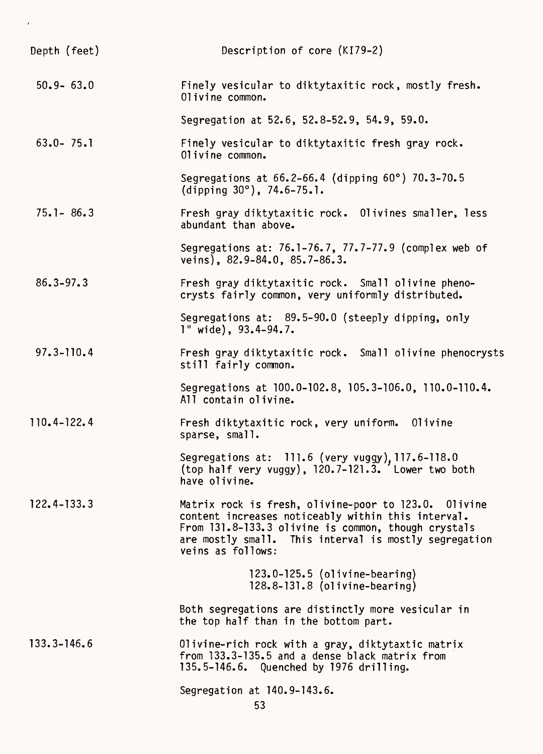| Depth (feet)    | Description of core (KI79-2)                                                                                                                                                                                                                    |
|-----------------|-------------------------------------------------------------------------------------------------------------------------------------------------------------------------------------------------------------------------------------------------|
| $50.9 - 63.0$   | Finely vesicular to diktytaxitic rock, mostly fresh.<br>Olivine common.                                                                                                                                                                         |
|                 | Segregation at 52.6, 52.8-52.9, 54.9, 59.0.                                                                                                                                                                                                     |
| $63.0 - 75.1$   | Finely vesicular to diktytaxitic fresh gray rock.<br>Olivine common.                                                                                                                                                                            |
|                 | Segregations at 66.2-66.4 (dipping 60°) 70.3-70.5<br>(dipping $30^{\circ}$ ), 74.6-75.1.                                                                                                                                                        |
| $75.1 - 86.3$   | Fresh gray diktytaxitic rock. Olivines smaller, less<br>abundant than above.                                                                                                                                                                    |
|                 | Segregations at: 76.1-76.7, 77.7-77.9 (complex web of<br>veins), $82.9 - 84.0$ , $85.7 - 86.3$ .                                                                                                                                                |
| $86.3 - 97.3$   | Fresh gray diktytaxitic rock. Small olivine pheno-<br>crysts fairly common, very uniformly distributed.                                                                                                                                         |
|                 | Segregations at: 89.5-90.0 (steeply dipping, only<br>$1"$ wide), $93.4 - 94.7.$                                                                                                                                                                 |
| $97.3 - 110.4$  | Fresh gray diktytaxitic rock. Small olivine phenocrysts<br>still fairly common.                                                                                                                                                                 |
|                 | Segregations at 100.0-102.8, 105.3-106.0, 110.0-110.4.<br>All contain olivine.                                                                                                                                                                  |
| 110.4-122.4     | Fresh diktytaxitic rock, very uniform. Olivine<br>sparse, small.                                                                                                                                                                                |
|                 | Segregations at: 111.6 (very vuggy), 117.6-118.0<br>(top half very vuggy), 120.7-121.3. Lower two both<br>have olivine.                                                                                                                         |
| $122.4 - 133.3$ | Matrix rock is fresh, olivine-poor to 123.0. Olivine<br>content increases noticeably within this interval.<br>From 131.8-133.3 olivine is common, though crystals<br>are mostly small. This interval is mostly segregation<br>veins as follows: |
|                 | $123.0 - 125.5$ (olivine-bearing)<br>$128.8 - 131.8$ (olivine-bearing)                                                                                                                                                                          |
|                 | Both segregations are distinctly more vesicular in<br>the top half than in the bottom part.                                                                                                                                                     |
| $133.3 - 146.6$ | Olivine-rich rock with a gray, diktytaxtic matrix<br>from 133.3-135.5 and a dense black matrix from<br>135.5-146.6. Quenched by 1976 drilling.                                                                                                  |
|                 | Segregation at 140.9-143.6.<br>53                                                                                                                                                                                                               |

 $\epsilon$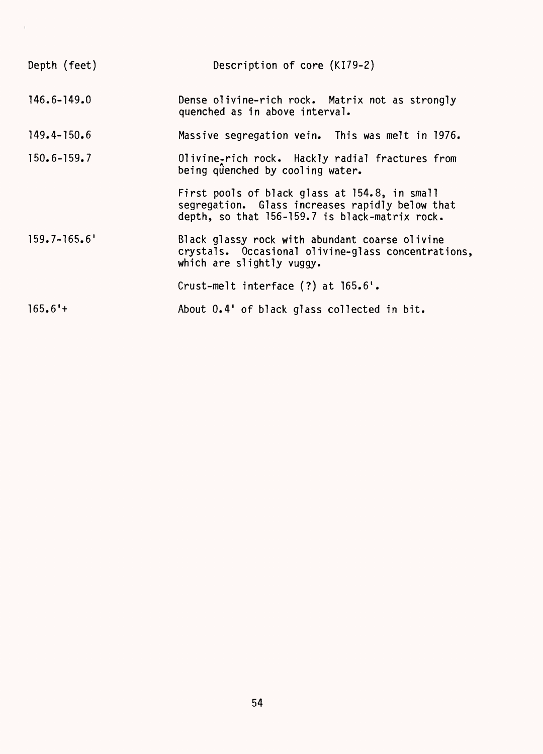| Depth (feet)     | Description of core (KI79-2)                                                                                                                       |
|------------------|----------------------------------------------------------------------------------------------------------------------------------------------------|
| $146.6 - 149.0$  | Dense olivine-rich rock. Matrix not as strongly<br>quenched as in above interval.                                                                  |
| $149.4 - 150.6$  | Massive segregation vein. This was melt in 1976.                                                                                                   |
| $150.6 - 159.7$  | Olivine-rich rock. Hackly radial fractures from<br>being quenched by cooling water.                                                                |
|                  | First pools of black glass at 154.8, in small<br>segregation. Glass increases rapidly below that<br>depth, so that 156-159.7 is black-matrix rock. |
| $159.7 - 165.6'$ | Black glassy rock with abundant coarse olivine<br>crystals. Occasional olivine-glass concentrations,<br>which are slightly vuggy.                  |
|                  | Crust-melt interface $(?)$ at $165.6'.$                                                                                                            |
| $165.6'$ +       | About 0.4' of black glass collected in bit.                                                                                                        |

 $\Delta \phi$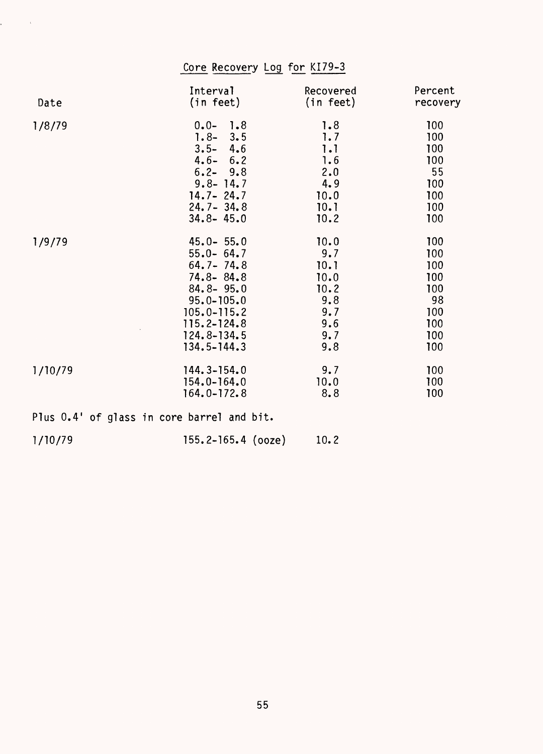| Core Recovery Log for KI79-3 |                                                                                                                                               |                                                                |                                                            |
|------------------------------|-----------------------------------------------------------------------------------------------------------------------------------------------|----------------------------------------------------------------|------------------------------------------------------------|
| Date                         | Interval                                                                                                                                      | Recovered                                                      | Percent                                                    |
|                              | (in feet)                                                                                                                                     | (in feet)                                                      | recovery                                                   |
| 1/8/79                       | $0.0 -$<br>1.8<br>$1.8 - 3.5$<br>$3.5 - 4.6$<br>$4.6 - 6.2$<br>$6.2 - 9.8$<br>$9.8 - 14.7$<br>$14.7 - 24.7$<br>$24.7 - 34.8$<br>$34.8 - 45.0$ | 1.8<br>1.7<br>1.1<br>1.6<br>2.0<br>4.9<br>10.0<br>10.1<br>10.2 | 100<br>100<br>100<br>100<br>55<br>100<br>100<br>100<br>100 |
| 1/9/79                       | $45.0 - 55.0$                                                                                                                                 | 10.0                                                           | 100                                                        |
|                              | $55.0 - 64.7$                                                                                                                                 | 9.7                                                            | 100                                                        |
|                              | $64.7 - 74.8$                                                                                                                                 | 10.1                                                           | 100                                                        |
|                              | $74.8 - 84.8$                                                                                                                                 | 10.0                                                           | 100                                                        |
|                              | $84.8 - 95.0$                                                                                                                                 | 10.2                                                           | 100                                                        |
|                              | $95.0 - 105.0$                                                                                                                                | 9.8                                                            | 98                                                         |
|                              | $105.0 - 115.2$                                                                                                                               | 9.7                                                            | 100                                                        |
|                              | $115.2 - 124.8$                                                                                                                               | 9.6                                                            | 100                                                        |
|                              | $124.8 - 134.5$                                                                                                                               | 9.7                                                            | 100                                                        |
|                              | $134.5 - 144.3$                                                                                                                               | 9.8                                                            | 100                                                        |
| 1/10/79                      | $144.3 - 154.0$                                                                                                                               | 9.7                                                            | 100                                                        |
|                              | $154.0 - 164.0$                                                                                                                               | 10.0                                                           | 100                                                        |
|                              | $164.0 - 172.8$                                                                                                                               | 8.8                                                            | 100                                                        |

Plus 0.4' of glass in core barrel and bit.

 $\mathcal{L}^{\text{max}}_{\text{max}}$  and  $\mathcal{L}^{\text{max}}_{\text{max}}$ 

| 1/10/79 | $155.2 - 165.4$ (ooze) | 10.2 |
|---------|------------------------|------|
|         |                        |      |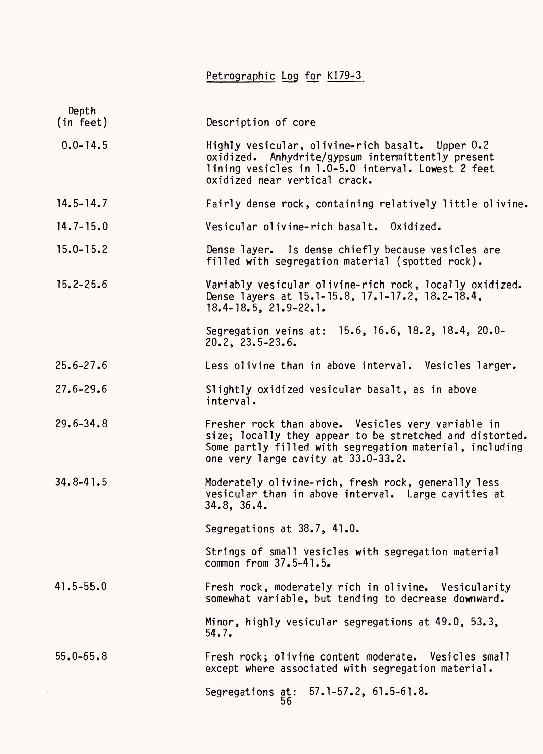Petrographic Log for KI79-3

| Depth<br>(in feet) | Description of core                                                                                                                                                                                              |
|--------------------|------------------------------------------------------------------------------------------------------------------------------------------------------------------------------------------------------------------|
| $0.0 - 14.5$       | Highly vesicular, olivine-rich basalt. Upper 0.2<br>oxidized. Anhydrite/gypsum intermittently present<br>lining vesicles in 1.0-5.0 interval. Lowest 2 feet<br>oxidized near vertical crack.                     |
| $14.5 - 14.7$      | Fairly dense rock, containing relatively little olivine.                                                                                                                                                         |
| $14.7 - 15.0$      | Vesicular olivine-rich basalt. Oxidized.                                                                                                                                                                         |
| $15.0 - 15.2$      | Dense layer. Is dense chiefly because vesicles are<br>filled with segregation material (spotted rock).                                                                                                           |
| $15.2 - 25.6$      | Variably vesicular olivine-rich rock, locally oxidized.<br>Dense layers at 15.1-15.8, 17.1-17.2, 18.2-18.4,<br>$18.4 - 18.5$ , $21.9 - 22.1$ .                                                                   |
|                    | Segregation veins at: 15.6, 16.6, 18.2, 18.4, 20.0-<br>$20.2$ , $23.5 - 23.6$ .                                                                                                                                  |
| $25.6 - 27.6$      | Less olivine than in above interval. Vesicles larger.                                                                                                                                                            |
| $27.6 - 29.6$      | Slightly oxidized vesicular basalt, as in above<br>interval.                                                                                                                                                     |
| $29.6 - 34.8$      | Fresher rock than above. Vesicles very variable in<br>size; locally they appear to be stretched and distorted.<br>Some partly filled with segregation material, including<br>one very large cavity at 33.0-33.2. |
| $34.8 - 41.5$      | Moderately olivine-rich, fresh rock, generally less<br>vesicular than in above interval. Large cavities at<br>34.8, 36.4.                                                                                        |
|                    | Segregations at $38.7$ , $41.0$ .                                                                                                                                                                                |
|                    | Strings of small vesicles with segregation material<br>common from 37.5-41.5.                                                                                                                                    |
| $41.5 - 55.0$      | Fresh rock, moderately rich in olivine. Vesicularity<br>somewhat variable, but tending to decrease downward.                                                                                                     |
|                    | Minor, highly vesicular segregations at 49.0, 53.3,<br>54.7.                                                                                                                                                     |
| $55.0 - 65.8$      | Fresh rock; olivine content moderate. Vesicles small<br>except where associated with segregation material.                                                                                                       |
|                    | Segregations at: 57.1-57.2, 61.5-61.8.<br>56                                                                                                                                                                     |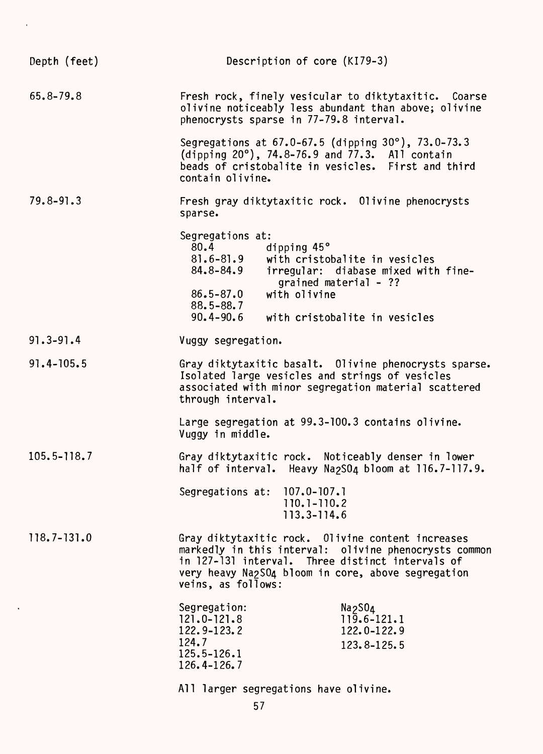| Depth (feet)    | Description of core (KI79-3)                                                                                                                                                                                                                                               |
|-----------------|----------------------------------------------------------------------------------------------------------------------------------------------------------------------------------------------------------------------------------------------------------------------------|
| 65.8-79.8       | Fresh rock, finely vesicular to diktytaxitic. Coarse<br>olivine noticeably less abundant than above; olivine<br>phenocrysts sparse in 77-79.8 interval.                                                                                                                    |
|                 | Segregations at $67.0 - 67.5$ (dipping $30^{\circ}$ ), $73.0 - 73.3$<br>(dipping $20^{\circ}$ ), 74.8-76.9 and 77.3. All contain<br>beads of cristobalite in vesicles. First and third<br>contain olivine.                                                                 |
| $79.8 - 91.3$   | Fresh gray diktytaxitic rock. Olivine phenocrysts<br>sparse.                                                                                                                                                                                                               |
|                 | Segregations at:<br>dipping 45°<br>80.4<br>$81.6 - 81.9$<br>with cristobalite in vesicles<br>84.8-84.9<br>irregular: diabase mixed with fine-<br>grained material - ??<br>$86.5 - 87.0$<br>with olivine<br>$88.5 - 88.7$<br>$90.4 - 90.6$<br>with cristobalite in vesicles |
| $91.3 - 91.4$   | Vuggy segregation.                                                                                                                                                                                                                                                         |
| $91.4 - 105.5$  | Gray diktytaxitic basalt. Olivine phenocrysts sparse.<br>Isolated large vesicles and strings of vesicles<br>associated with minor segregation material scattered<br>through interval.                                                                                      |
|                 | Large segregation at 99.3-100.3 contains olivine.<br>Vuggy in middle.                                                                                                                                                                                                      |
| $105.5 - 118.7$ | Gray diktytaxitic rock. Noticeably denser in lower<br>half of interval. Heavy Na2SO4 bloom at 116.7-117.9.                                                                                                                                                                 |
|                 | Segregations at: 107.0-107.1<br>110.1-110.2<br>113.3-114.6                                                                                                                                                                                                                 |
| $118.7 - 131.0$ | Gray diktytaxitic rock. Olivine content increases<br>markedly in this interval: olivine phenocrysts common<br>in 127-131 interval. Three distinct intervals of<br>very heavy Na2SO4 bloom in core, above segregation<br>veins, as follows:                                 |
|                 | Segregation:<br>Na <sub>2</sub> SO <sub>4</sub><br>$121.0 - 121.8$<br>$119.6 - 121.1$<br>122.9-123.2<br>122.0-122.9<br>124.7<br>123.8-125.5<br>125.5-126.1<br>126.4-126.7                                                                                                  |
|                 | All larger segregations have olivine.                                                                                                                                                                                                                                      |

 $\bar{t}$ 

 $\hat{\mathbf{v}}$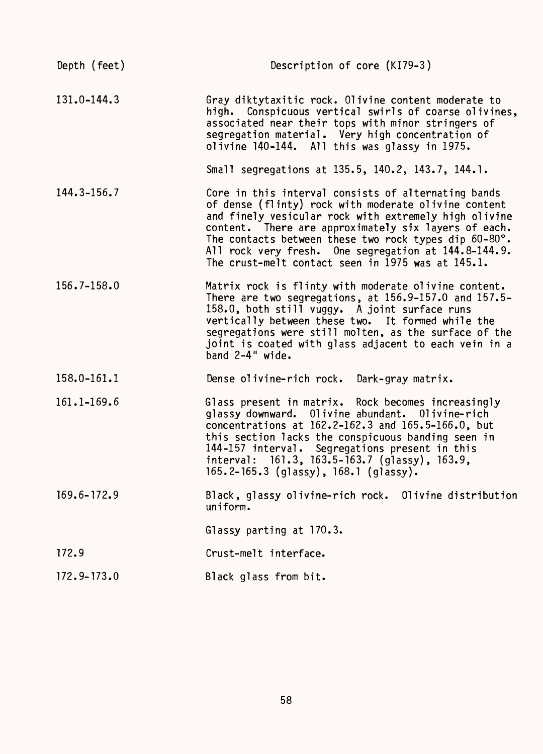| Depth (feet)    | Description of core (KI79-3)                                                                                                                                                                                                                                                                                                                                                                       |
|-----------------|----------------------------------------------------------------------------------------------------------------------------------------------------------------------------------------------------------------------------------------------------------------------------------------------------------------------------------------------------------------------------------------------------|
| $131.0 - 144.3$ | Gray diktytaxitic rock. Olivine content moderate to<br>high. Conspicuous vertical swirls of coarse olivines,<br>associated near their tops with minor stringers of<br>segregation material. Very high concentration of<br>olivine 140-144. All this was glassy in 1975.                                                                                                                            |
|                 | Small segregations at 135.5, 140.2, 143.7, 144.1.                                                                                                                                                                                                                                                                                                                                                  |
| 144.3-156.7     | Core in this interval consists of alternating bands<br>of dense (flinty) rock with moderate olivine content<br>and finely vesicular rock with extremely high olivine<br>content. There are approximately six layers of each.<br>The contacts between these two rock types dip 60-80°.<br>All rock very fresh. One segregation at 144.8-144.9.<br>The crust-melt contact seen in 1975 was at 145.1. |
| 156.7-158.0     | Matrix rock is flinty with moderate olivine content.<br>There are two segregations, at 156.9-157.0 and 157.5-<br>158.0, both still vuggy. A joint surface runs<br>vertically between these two. It formed while the<br>segregations were still molten, as the surface of the<br>joint is coated with glass adjacent to each vein in a<br>band 2-4" wide.                                           |
| 158.0-161.1     | Dense olivine-rich rock. Dark-gray matrix.                                                                                                                                                                                                                                                                                                                                                         |
| 161.1-169.6     | Glass present in matrix. Rock becomes increasingly<br>glassy downward. Olivine abundant. Olivine-rich<br>concentrations at 162.2-162.3 and 165.5-166.0, but<br>this section lacks the conspicuous banding seen in<br>144-157 interval. Segregations present in this<br>interval: 161.3, 163.5-163.7 (glassy), 163.9,<br>165.2-165.3 (glassy), $168.1$ (glassy).                                    |
| 169.6-172.9     | Black, glassy olivine-rich rock. Olivine distribution<br>uniform.                                                                                                                                                                                                                                                                                                                                  |
|                 | Glassy parting at 170.3.                                                                                                                                                                                                                                                                                                                                                                           |
| 172.9           | Crust-melt interface.                                                                                                                                                                                                                                                                                                                                                                              |
| $172.9 - 173.0$ | Black glass from bit.                                                                                                                                                                                                                                                                                                                                                                              |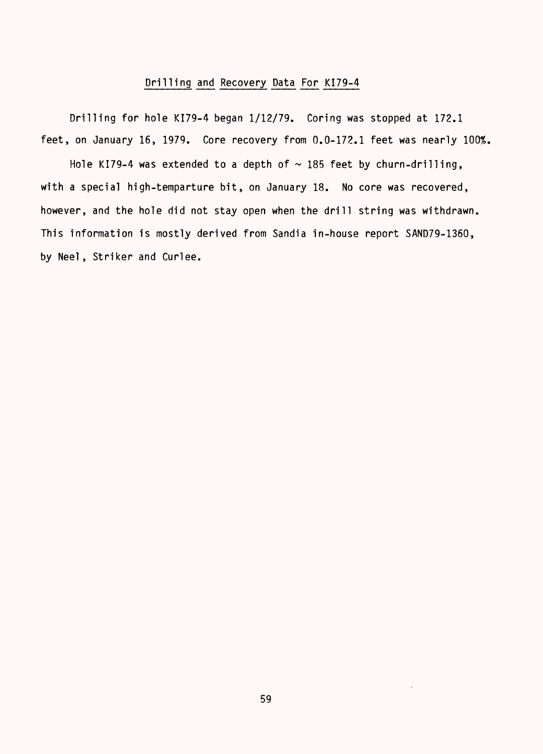#### Drilling and Recovery Data For KI79-4

Drilling for hole KI79-4 began 1/12/79. Coring was stopped at 172.1 feet, on January 16, 1979. Core recovery from 0.0-172.1 feet was nearly 100%.

Hole KI79-4 was extended to a depth of  $\sim$  185 feet by churn-drilling, with a special high-temparture bit, on January 18. No core was recovered, however, and the hole did not stay open when the drill string was withdrawn. This information is mostly derived from Sandia in-house report SAND79-1360, by Neel, Striker and Curlee.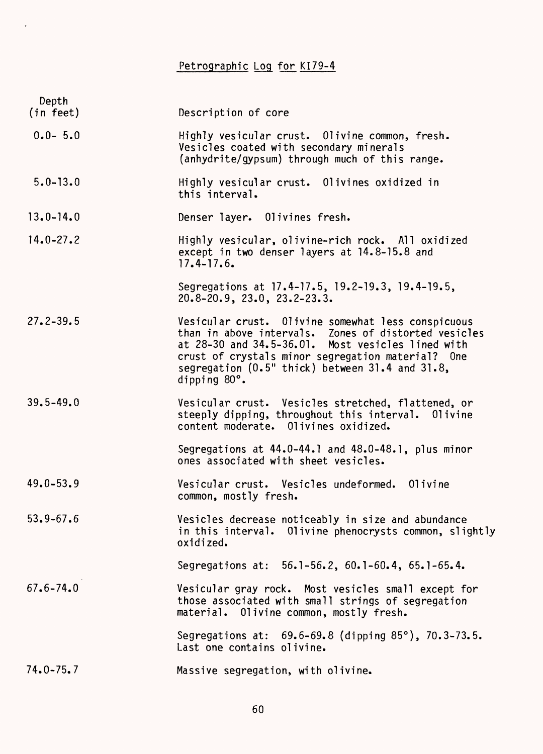## Petrographic Log for KI79-4

 $\hat{\mathcal{E}}$ 

| Depth<br>(in feet) | Description of core                                                                                                                                                                                                                                                                     |
|--------------------|-----------------------------------------------------------------------------------------------------------------------------------------------------------------------------------------------------------------------------------------------------------------------------------------|
| $0.0 - 5.0$        | Highly vesicular crust. Olivine common, fresh.<br>Vesicles coated with secondary minerals<br>(anhydrite/gypsum) through much of this range.                                                                                                                                             |
| $5.0 - 13.0$       | Highly vesicular crust. Olivines oxidized in<br>this interval.                                                                                                                                                                                                                          |
| $13.0 - 14.0$      | Denser layer. Olivines fresh.                                                                                                                                                                                                                                                           |
| $14.0 - 27.2$      | Highly vesicular, olivine-rich rock. All oxidized<br>except in two denser layers at 14.8-15.8 and<br>$17.4 - 17.6$ .                                                                                                                                                                    |
|                    | Segregations at 17.4-17.5, 19.2-19.3, 19.4-19.5,<br>$20.8 - 20.9$ , $23.0$ , $23.2 - 23.3$ .                                                                                                                                                                                            |
| $27.2 - 39.5$      | Vesicular crust. Olivine somewhat less conspicuous<br>than in above intervals. Zones of distorted vesicles<br>at 28-30 and 34.5-36.01. Most vesicles lined with<br>crust of crystals minor segregation material? One<br>segregation (0.5" thick) between 31.4 and 31.8,<br>dipping 80°. |
| $39.5 - 49.0$      | Vesicular crust. Vesicles stretched, flattened, or<br>steeply dipping, throughout this interval.<br>01ivine<br>content moderate. Olivines oxidized.                                                                                                                                     |
|                    | Segregations at 44.0-44.1 and 48.0-48.1, plus minor<br>ones associated with sheet vesicles.                                                                                                                                                                                             |
| $49.0 - 53.9$      | Vesicular crust. Vesicles undeformed. Olivine<br>common, mostly fresh.                                                                                                                                                                                                                  |
| $53.9 - 67.6$      | Vesicles decrease noticeably in size and abundance<br>in this interval. Olivine phenocrysts common, slightly<br>oxidized.                                                                                                                                                               |
|                    | Segregations at: 56.1-56.2, 60.1-60.4, 65.1-65.4.                                                                                                                                                                                                                                       |
| $67.6 - 74.0$      | Vesicular gray rock. Most vesicles small except for<br>those associated with small strings of segregation<br>material. Olivine common, mostly fresh.                                                                                                                                    |
|                    | Segregations at: $69.6 - 69.8$ (dipping $85^{\circ}$ ), $70.3 - 73.5$ .<br>Last one contains olivine.                                                                                                                                                                                   |
| $74.0 - 75.7$      | Massive segregation, with olivine.                                                                                                                                                                                                                                                      |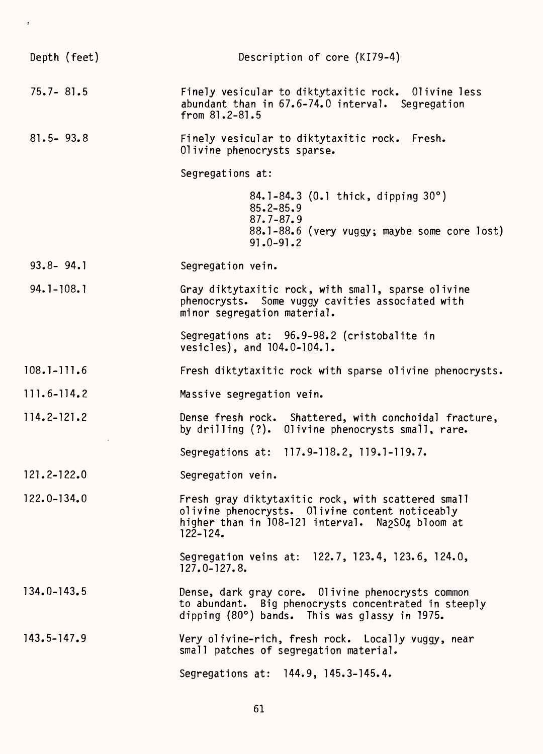| Depth (feet)    | Description of core (KI79-4)                                                                                                                                              |
|-----------------|---------------------------------------------------------------------------------------------------------------------------------------------------------------------------|
| $75.7 - 81.5$   | Finely vesicular to diktytaxitic rock. Olivine less<br>abundant than in 67.6-74.0 interval. Segregation<br>from $81.2 - 81.5$                                             |
| $81.5 - 93.8$   | Finely vesicular to diktytaxitic rock. Fresh.<br>Olivine phenocrysts sparse.                                                                                              |
|                 | Segregations at:                                                                                                                                                          |
|                 | 84.1-84.3 (0.1 thick, dipping 30°)<br>$85.2 - 85.9$<br>$87.7 - 87.9$<br>88.1-88.6 (very vuggy; maybe some core lost)<br>$91.0 - 91.2$                                     |
| $93.8 - 94.1$   | Segregation vein.                                                                                                                                                         |
| $94.1 - 108.1$  | Gray diktytaxitic rock, with small, sparse olivine<br>phenocrysts. Some vuggy cavities associated with<br>minor segregation material.                                     |
|                 | Segregations at: 96.9-98.2 (cristobalite in<br>vesicles), and 104.0-104.1.                                                                                                |
| $108.1 - 111.6$ | Fresh diktytaxitic rock with sparse olivine phenocrysts.                                                                                                                  |
| 111.6-114.2     | Massive segregation vein.                                                                                                                                                 |
| 114.2-121.2     | Dense fresh rock. Shattered, with conchoidal fracture,<br>by drilling (?). Olivine phenocrysts small, rare.                                                               |
|                 | Segregations at: 117.9-118.2, 119.1-119.7.                                                                                                                                |
| $121.2 - 122.0$ | Segregation vein.                                                                                                                                                         |
| 122.0-134.0     | Fresh gray diktytaxitic rock, with scattered small<br>olivine phenocrysts. Olivine content noticeably<br>higher than in 108-121 interval. Na2S04 bloom at<br>$122 - 124.$ |
|                 | Segregation veins at: 122.7, 123.4, 123.6, 124.0,<br>$127.0 - 127.8.$                                                                                                     |
| $134.0 - 143.5$ | Dense, dark gray core. Olivine phenocrysts common<br>to abundant. Big phenocrysts concentrated in steeply<br>dipping (80°) bands. This was glassy in 1975.                |
| $143.5 - 147.9$ | Very olivine-rich, fresh rock. Locally vuggy, near<br>small patches of segregation material.                                                                              |
|                 | Segregations at: 144.9, 145.3-145.4.                                                                                                                                      |

 $\bar{t}$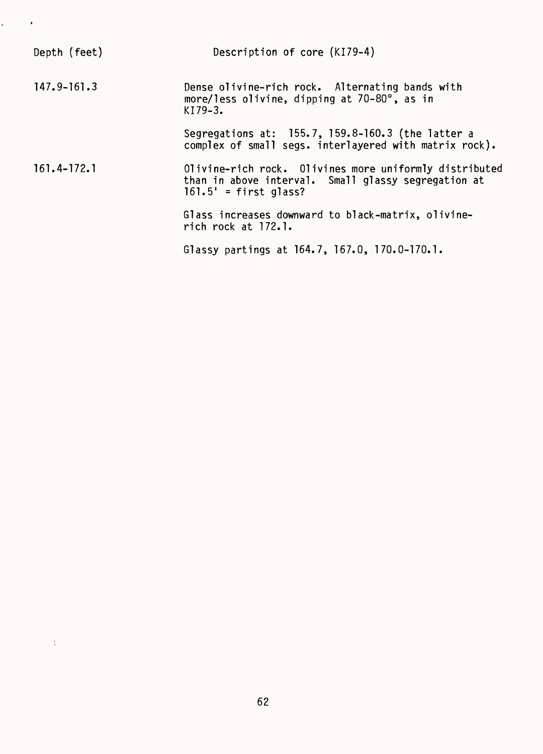| Depth (feet)    | Description of core (KI79-4)                                                                                                             |
|-----------------|------------------------------------------------------------------------------------------------------------------------------------------|
| $147.9 - 161.3$ | Dense olivine-rich rock. Alternating bands with<br>more/less olivine, dipping at 70-80°, as in<br>$K179-3.$                              |
|                 | Segregations at: 155.7, 159.8-160.3 (the latter a<br>complex of small segs. interlayered with matrix rock).                              |
| $161.4 - 172.1$ | Olivine-rich rock. Olivines more uniformly distributed<br>than in above interval. Small glassy segregation at<br>$161.5'$ = first glass? |
|                 | Glass increases downward to black-matrix, olivine-<br>rich rock at 172.1.                                                                |
|                 | Glassy partings at 164.7, 167.0, 170.0-170.1.                                                                                            |

 $\epsilon_{\rm{max}} \sim 8$ 

 $\sim 10^{-5}$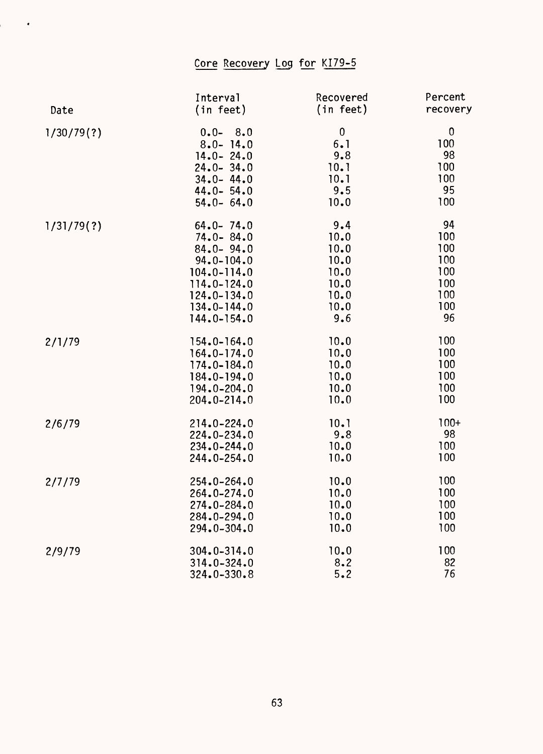### Core Recovery Log for KI79-5

 $\mathcal{O}(\mathcal{O}(\log n))$ 

|            | Interval        | Recovered | Percent  |
|------------|-----------------|-----------|----------|
| Date       | (in feet)       | (in feet) | recovery |
| 1/30/79(?) | $0.0 - 8.0$     | $\bf{0}$  | $\bf{0}$ |
|            | $8.0 - 14.0$    | 6.1       | 100      |
|            | $14.0 - 24.0$   | 9.8       | 98       |
|            | $24.0 - 34.0$   | 10.1      | 100      |
|            | $34.0 - 44.0$   | 10.1      | 100      |
|            | $44.0 - 54.0$   | 9.5       | 95       |
|            | $54.0 - 64.0$   | 10.0      | 100      |
| 1/31/79(?) | $64.0 - 74.0$   | 9.4       | 94       |
|            | $74.0 - 84.0$   | 10.0      | 100      |
|            | $84.0 - 94.0$   | 10.0      | 100      |
|            | $94.0 - 104.0$  | 10.0      | 100      |
|            | $104.0 - 114.0$ | 10.0      | 100      |
|            | $114.0 - 124.0$ | 10.0      | 100      |
|            | $124.0 - 134.0$ | 10.0      | 100      |
|            | $134.0 - 144.0$ | 10.0      | 100      |
|            | 144.0-154.0     | 9.6       | 96       |
| 2/1/79     | 154.0-164.0     | 10.0      | 100      |
|            | $164.0 - 174.0$ | 10.0      | 100      |
|            | $174.0 - 184.0$ | 10.0      | 100      |
|            | 184.0-194.0     | 10.0      | 100      |
|            | 194.0-204.0     | 10.0      | 100      |
|            | 204.0-214.0     | 10.0      | 100      |
| 2/6/79     | 214.0-224.0     | 10.1      | $100+$   |
|            | $224.0 - 234.0$ | 9.8       | 98       |
|            | $234.0 - 244.0$ | 10.0      | 100      |
|            | 244.0-254.0     | 10.0      | 100      |
| 2/7/79     | $254.0 - 264.0$ | 10.0      | 100      |
|            | 264.0-274.0     | 10.0      | 100      |
|            | $274.0 - 284.0$ | 10.0      | 100      |
|            | 284.0-294.0     | 10.0      | 100      |
|            | 294.0-304.0     | 10.0      | 100      |
| 2/9/79     | $304.0 - 314.0$ | 10.0      | 100      |
|            | 314.0-324.0     | 8.2       | 82       |
|            | $324.0 - 330.8$ | 5.2       | 76       |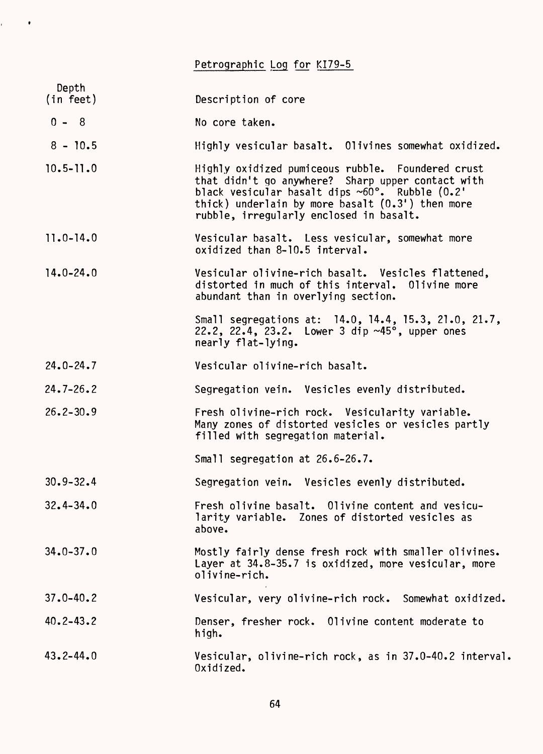Petrographic Log for KI79-5

 $\mathbf{r} = \mathbf{r} \times \mathbf{r}$ 

| Depth         |                                                                                                                                                                                                                                                                           |
|---------------|---------------------------------------------------------------------------------------------------------------------------------------------------------------------------------------------------------------------------------------------------------------------------|
| (in feet)     | Description of core                                                                                                                                                                                                                                                       |
| $0 - 8$       | No core taken.                                                                                                                                                                                                                                                            |
| $8 - 10.5$    | Highly vesicular basalt. Olivines somewhat oxidized.                                                                                                                                                                                                                      |
| $10.5 - 11.0$ | Highly oxidized pumiceous rubble. Foundered crust<br>that didn't go anywhere? Sharp upper contact with<br>black vesicular basalt dips $~60^\circ$ . Rubble $(0.2)^\circ$<br>thick) underlain by more basalt $(0.3')$ then more<br>rubble, irregularly enclosed in basalt. |
| $11.0 - 14.0$ | Vesicular basalt. Less vesicular, somewhat more<br>oxidized than 8-10.5 interval.                                                                                                                                                                                         |
| $14.0 - 24.0$ | Vesicular olivine-rich basalt. Vesicles flattened,<br>distorted in much of this interval. Olivine more<br>abundant than in overlying section.                                                                                                                             |
|               | Small segregations at: 14.0, 14.4, 15.3, 21.0, 21.7,<br>22.2, 22.4, 23.2. Lower 3 dip ~45°, upper ones<br>nearly flat-lying.                                                                                                                                              |
| $24.0 - 24.7$ | Vesicular olivine-rich basalt.                                                                                                                                                                                                                                            |
| $24.7 - 26.2$ | Segregation vein. Vesicles evenly distributed.                                                                                                                                                                                                                            |
| $26.2 - 30.9$ | Fresh olivine-rich rock. Vesicularity variable.<br>Many zones of distorted vesicles or vesicles partly<br>filled with segregation material.                                                                                                                               |
|               | Small segregation at 26.6-26.7.                                                                                                                                                                                                                                           |
| $30.9 - 32.4$ | Segregation vein. Vesicles evenly distributed.                                                                                                                                                                                                                            |
| $32.4 - 34.0$ | Fresh olivine basalt. Olivine content and vesicu-<br>larity variable. Zones of distorted vesicles as<br>above.                                                                                                                                                            |
| $34.0 - 37.0$ | Mostly fairly dense fresh rock with smaller olivines.<br>Layer at 34.8-35.7 is oxidized, more vesicular, more<br>olivine-rich.                                                                                                                                            |
| $37.0 - 40.2$ | Vesicular, very olivine-rich rock. Somewhat oxidized.                                                                                                                                                                                                                     |
| $40.2 - 43.2$ | Denser, fresher rock. Olivine content moderate to<br>high.                                                                                                                                                                                                                |
| $43.2 - 44.0$ | Vesicular, olivine-rich rock, as in 37.0-40.2 interval<br>Oxidized.                                                                                                                                                                                                       |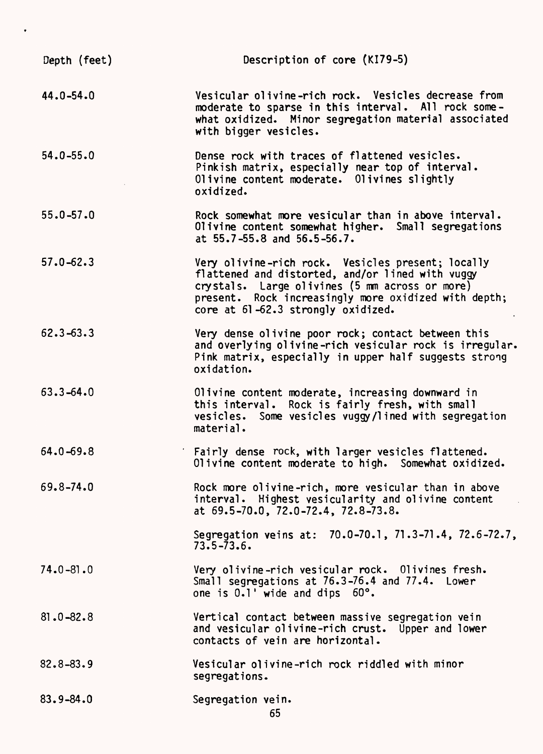| Depth (feet)  | Description of core (KI79-5)                                                                                                                                                                                                                          |
|---------------|-------------------------------------------------------------------------------------------------------------------------------------------------------------------------------------------------------------------------------------------------------|
| $44.0 - 54.0$ | Vesicular olivine-rich rock. Vesicles decrease from<br>moderate to sparse in this interval. All rock some-<br>what oxidized. Minor segregation material associated<br>with bigger vesicles.                                                           |
| $54.0 - 55.0$ | Dense rock with traces of flattened vesicles.<br>Pinkish matrix, especially near top of interval.<br>Olivine content moderate. Olivines slightly<br>oxidized.                                                                                         |
| $55.0 - 57.0$ | Rock somewhat more vesicular than in above interval.<br>Olivine content somewhat higher. Small segregations<br>at 55.7-55.8 and 56.5-56.7.                                                                                                            |
| $57.0 - 62.3$ | Very olivine-rich rock. Vesicles present; locally<br>flattened and distorted, and/or lined with vuggy<br>crystals. Large olivines (5 mm across or more)<br>present. Rock increasingly more oxidized with depth;<br>core at 61-62.3 strongly oxidized. |
| $62.3 - 63.3$ | Very dense olivine poor rock; contact between this<br>and overlying olivine-rich vesicular rock is irregular.<br>Pink matrix, especially in upper half suggests strong<br>oxidation.                                                                  |
| $63.3 - 64.0$ | Olivine content moderate, increasing downward in<br>this interval. Rock is fairly fresh, with small<br>vesicles. Some vesicles vuggy/lined with segregation<br>material.                                                                              |
| $64.0 - 69.8$ | ' Fairly dense rock, with larger vesicles flattened.<br>Olivine content moderate to high. Somewhat oxidized.                                                                                                                                          |
| 69.8-74.0     | Rock more olivine-rich, more vesicular than in above<br>interval. Highest vesicularity and olivine content<br>at 69.5-70.0, 72.0-72.4, 72.8-73.8.                                                                                                     |
|               | Segregation veins at: 70.0-70.1, 71.3-71.4, 72.6-72.7,<br>$73.5 - 73.6$                                                                                                                                                                               |
| $74.0 - 81.0$ | Very olivine-rich vesicular rock. Olivines fresh.<br>Small segregations at 76.3-76.4 and 77.4. Lower<br>one is 0.1' wide and dips 60°.                                                                                                                |
| $81.0 - 82.8$ | Vertical contact between massive segregation vein<br>and vesicular olivine-rich crust. Upper and lower<br>contacts of vein are horizontal.                                                                                                            |
| $82.8 - 83.9$ | Vesicular olivine-rich rock riddled with minor<br>segregations.                                                                                                                                                                                       |
| $83.9 - 84.0$ | Segregation vein.<br>65                                                                                                                                                                                                                               |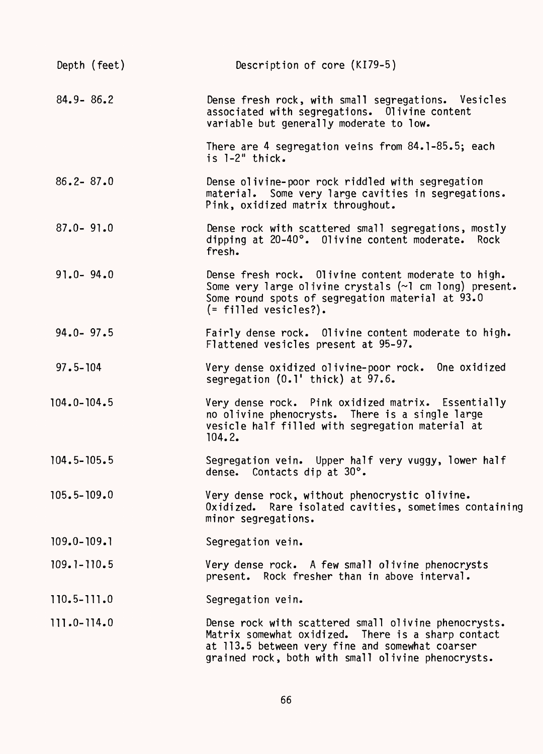| Depth (feet)    | Description of core (KI79-5)                                                                                                                                                                                        |
|-----------------|---------------------------------------------------------------------------------------------------------------------------------------------------------------------------------------------------------------------|
| $84.9 - 86.2$   | Dense fresh rock, with small segregations. Vesicles<br>associated with segregations. Olivine content<br>variable but generally moderate to low.                                                                     |
|                 | There are 4 segregation veins from 84.1-85.5; each<br>is 1-2" thick.                                                                                                                                                |
| $86.2 - 87.0$   | Dense olivine-poor rock riddled with segregation<br>material. Some very large cavities in segregations.<br>Pink, oxidized matrix throughout.                                                                        |
| $87.0 - 91.0$   | Dense rock with scattered small segregations, mostly<br>dipping at 20-40°. Olivine content moderate. Rock<br>fresh.                                                                                                 |
| $91.0 - 94.0$   | Dense fresh rock. Olivine content moderate to high.<br>Some very large olivine crystals (~1 cm long) present.<br>Some round spots of segregation material at 93.0<br>$($ = filled vesicles?).                       |
| $94.0 - 97.5$   | Fairly dense rock. Olivine content moderate to high.<br>Flattened vesicles present at 95-97.                                                                                                                        |
| $97.5 - 104$    | Very dense oxidized olivine-poor rock. One oxidized<br>segregation $(0.1'$ thick) at $97.6$ .                                                                                                                       |
| $104.0 - 104.5$ | Very dense rock. Pink oxidized matrix. Essentially<br>no olivine phenocrysts. There is a single large<br>vesicle half filled with segregation material at<br>104.2.                                                 |
| $104.5 - 105.5$ | Segregation vein. Upper half very vuggy, lower half<br>dense. Contacts dip at 30°.                                                                                                                                  |
| 105.5-109.0     | Very dense rock, without phenocrystic olivine.<br>Oxidized. Rare isolated cavities, sometimes containing<br>minor segregations.                                                                                     |
| $109.0 - 109.1$ | Segregation vein.                                                                                                                                                                                                   |
| $109.1 - 110.5$ | Very dense rock. A few small olivine phenocrysts<br>present. Rock fresher than in above interval.                                                                                                                   |
| $110.5 - 111.0$ | Segregation vein.                                                                                                                                                                                                   |
| 111.0-114.0     | Dense rock with scattered small olivine phenocrysts.<br>Matrix somewhat oxidized. There is a sharp contact<br>at 113.5 between very fine and somewhat coarser<br>grained rock, both with small olivine phenocrysts. |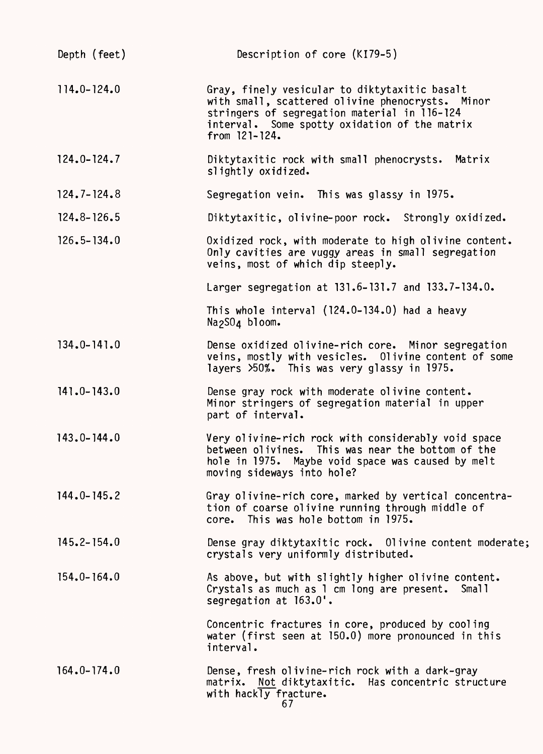| Depth (feet)    | Description of core (KI79-5)                                                                                                                                                                                             |
|-----------------|--------------------------------------------------------------------------------------------------------------------------------------------------------------------------------------------------------------------------|
| $114.0 - 124.0$ | Gray, finely vesicular to diktytaxitic basalt<br>with small, scattered olivine phenocrysts. Minor<br>stringers of segregation material in 116-124<br>interval. Some spotty oxidation of the matrix<br>from $121 - 124$ . |
| $124.0 - 124.7$ | Diktytaxitic rock with small phenocrysts. Matrix<br>slightly oxidized.                                                                                                                                                   |
| $124.7 - 124.8$ | Segregation vein. This was glassy in 1975.                                                                                                                                                                               |
| $124.8 - 126.5$ | Diktytaxitic, olivine-poor rock. Strongly oxidized.                                                                                                                                                                      |
| $126.5 - 134.0$ | Oxidized rock, with moderate to high olivine content.<br>Only cavities are vuggy areas in small segregation<br>veins, most of which dip steeply.                                                                         |
|                 | Larger segregation at 131.6-131.7 and 133.7-134.0.                                                                                                                                                                       |
|                 | This whole interval $(124.0-134.0)$ had a heavy<br>Na <sub>2</sub> SO <sub>4</sub> bloom.                                                                                                                                |
| $134.0 - 141.0$ | Dense oxidized olivine-rich core. Minor segregation<br>veins, mostly with vesicles. Olivine content of some<br>layers >50%. This was very glassy in 1975.                                                                |
| $141.0 - 143.0$ | Dense gray rock with moderate olivine content.<br>Minor stringers of segregation material in upper<br>part of interval.                                                                                                  |
| $143.0 - 144.0$ | Very olivine-rich rock with considerably void space<br>between olivines. This was near the bottom of the<br>hole in 1975. Maybe void space was caused by melt<br>moving sideways into hole?                              |
| $144.0 - 145.2$ | Gray olivine-rich core, marked by vertical concentra-<br>tion of coarse olivine running through middle of<br>core. This was hole bottom in 1975.                                                                         |
| $145.2 - 154.0$ | Dense gray diktytaxitic rock. Olivine content moderate;<br>crystals very uniformly distributed.                                                                                                                          |
| $154.0 - 164.0$ | As above, but with slightly higher olivine content.<br>Crystals as much as 1 cm long are present. Small<br>segregation at 163.0'.                                                                                        |
|                 | Concentric fractures in core, produced by cooling<br>water (first seen at 150.0) more pronounced in this<br>interval.                                                                                                    |
| $164.0 - 174.0$ | Dense, fresh olivine-rich rock with a dark-gray<br>matrix. Not diktytaxitic. Has concentric structure<br>with hackly fracture.<br>67                                                                                     |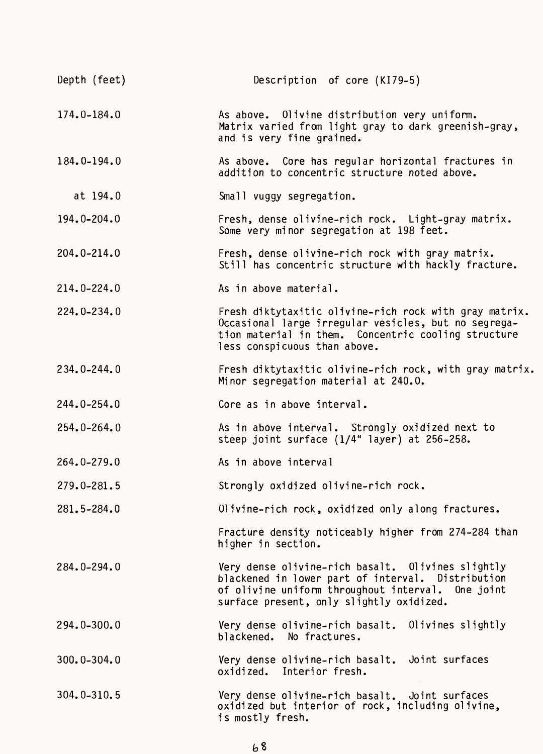| Depth (feet)    | Description of core (KI79-5)                                                                                                                                                                            |
|-----------------|---------------------------------------------------------------------------------------------------------------------------------------------------------------------------------------------------------|
| 174.0-184.0     | As above. Olivine distribution very uniform.<br>Matrix varied from light gray to dark greenish-gray,<br>and is very fine grained.                                                                       |
| 184.0-194.0     | As above. Core has regular horizontal fractures in<br>addition to concentric structure noted above.                                                                                                     |
| at 194.0        | Small vuggy segregation.                                                                                                                                                                                |
| 194.0-204.0     | Fresh, dense olivine-rich rock. Light-gray matrix.<br>Some very minor segregation at 198 feet.                                                                                                          |
| 204.0-214.0     | Fresh, dense olivine-rich rock with gray matrix.<br>Still has concentric structure with hackly fracture.                                                                                                |
| 214.0-224.0     | As in above material.                                                                                                                                                                                   |
| $224.0 - 234.0$ | Fresh diktytaxitic olivine-rich rock with gray matrix.<br>Occasional large irregular vesicles, but no segrega-<br>tion material in them. Concentric cooling structure<br>less conspicuous than above.   |
| 234.0-244.0     | Fresh diktytaxitic olivine-rich rock, with gray matrix.<br>Minor segregation material at 240.0.                                                                                                         |
| 244.0-254.0     | Core as in above interval.                                                                                                                                                                              |
| $254.0 - 264.0$ | As in above interval. Strongly oxidized next to<br>steep joint surface (1/4" layer) at 256-258.                                                                                                         |
| 264.0-279.0     | As in above interval                                                                                                                                                                                    |
| $279.0 - 281.5$ | Strongly oxidized olivine-rich rock.                                                                                                                                                                    |
| 281.5-284.0     | Olivine-rich rock, oxidized only along fractures.                                                                                                                                                       |
|                 | Fracture density noticeably higher from 274-284 than<br>higher in section.                                                                                                                              |
| 284.0-294.0     | Very dense olivine-rich basalt. Olivines slightly<br>blackened in lower part of interval. Distribution<br>of olivine uniform throughout interval. One joint<br>surface present, only slightly oxidized. |
| 294.0-300.0     | Very dense olivine-rich basalt. Olivines slightly<br>blackened. No fractures.                                                                                                                           |
| $300.0 - 304.0$ | Very dense olivine-rich basalt. Joint surfaces<br>oxidized. Interior fresh.                                                                                                                             |
| $304.0 - 310.5$ | Very dense olivine-rich basalt. Joint surfaces<br>oxidized but interior of rock, including olivine,<br>is mostly fresh.                                                                                 |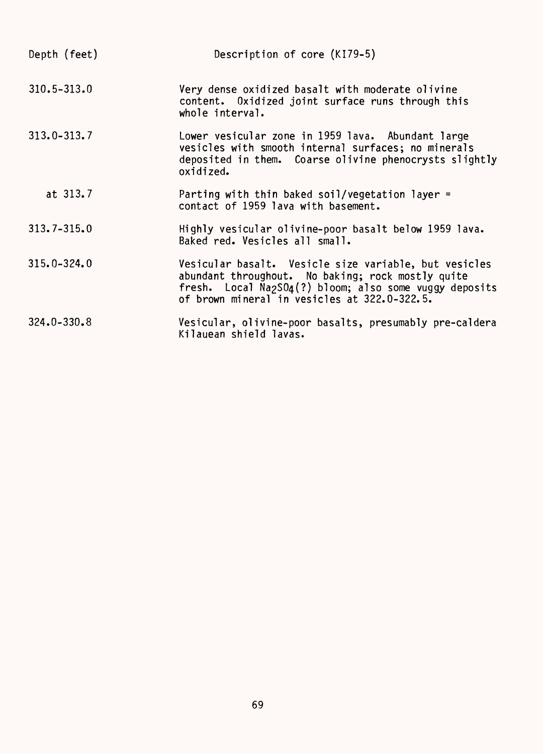| Depth (feet)    | Description of core (KI79-5)                                                                                                                                                                                                                   |
|-----------------|------------------------------------------------------------------------------------------------------------------------------------------------------------------------------------------------------------------------------------------------|
| $310.5 - 313.0$ | Very dense oxidized basalt with moderate olivine<br>content. Oxidized joint surface runs through this<br>whole interval.                                                                                                                       |
| $313.0 - 313.7$ | Lower vesicular zone in 1959 lava. Abundant large<br>vesicles with smooth internal surfaces; no minerals<br>deposited in them. Coarse olivine phenocrysts slightly<br>oxidized.                                                                |
| at 313.7        | Parting with thin baked soil/vegetation layer =<br>contact of 1959 lava with basement.                                                                                                                                                         |
| $313.7 - 315.0$ | Highly vesicular olivine-poor basalt below 1959 lava.<br>Baked red. Vesicles all small.                                                                                                                                                        |
| $315.0 - 324.0$ | Vesicular basalt. Vesicle size variable, but vesicles<br>abundant throughout. No baking; rock mostly quite<br>fresh. Local Na <sub>2</sub> SO <sub>4</sub> (?) bloom; also some vuggy deposits<br>of brown mineral in vesicles at 322.0-322.5. |
| $324.0 - 330.8$ | Vesicular, olivine-poor basalts, presumably pre-caldera<br>Kilauean shield lavas.                                                                                                                                                              |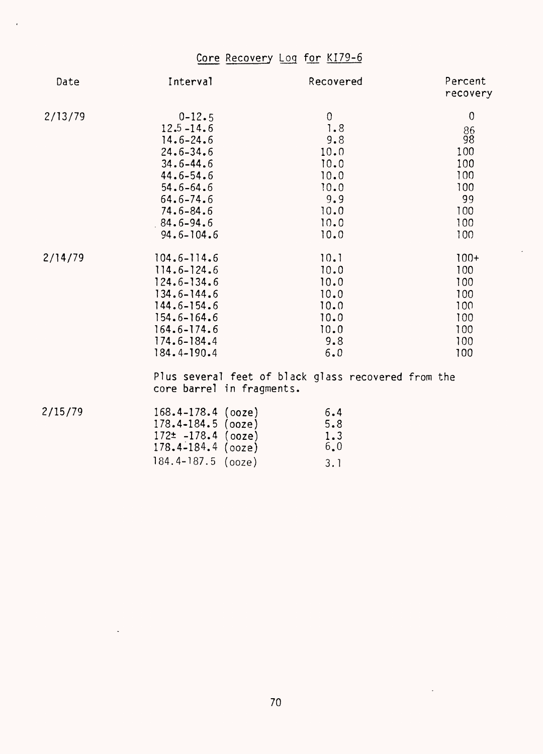## Core Recovery Log for KI79-6

 $\ddot{\phantom{0}}$ 

| Date    | Interval                                                                     | Recovered                                           | Percent<br>recovery |
|---------|------------------------------------------------------------------------------|-----------------------------------------------------|---------------------|
| 2/13/79 | $0 - 12.5$                                                                   | $\boldsymbol{0}$                                    | $\mathbf 0$         |
|         | $12.5 - 14.6$                                                                | 1.8                                                 | 86                  |
|         | $14.6 - 24.6$                                                                | 9.8                                                 | 98                  |
|         | $24.6 - 34.6$                                                                | 10.0                                                | 100                 |
|         | $34.6 - 44.6$                                                                | 10.0                                                | 100                 |
|         | $44.6 - 54.6$                                                                | 10.0                                                | 100                 |
|         | $54.6 - 64.6$                                                                | 10.0                                                | 100                 |
|         | $64.6 - 74.6$                                                                | 9.9                                                 | 99                  |
|         | $74.6 - 84.6$                                                                | 10.0                                                | 100                 |
|         | $84.6 - 94.6$                                                                | 10.0                                                | 100                 |
|         | $94.6 - 104.6$                                                               | 10.0                                                | 100                 |
| 2/14/79 | $104.6 - 114.6$                                                              | 10.1                                                | $100+$              |
|         | $114.6 - 124.6$                                                              | 10.0                                                | 100                 |
|         | $124.6 - 134.6$                                                              | 10.0                                                | 100                 |
|         | $134.6 - 144.6$                                                              | 10.0                                                | 100                 |
|         | $144.6 - 154.6$                                                              | 10.0                                                | 100                 |
|         | $154.6 - 164.6$                                                              | 10.0                                                | 100                 |
|         | $164.6 - 174.6$                                                              | 10.0                                                | 100                 |
|         | $174.6 - 184.4$                                                              | 9.8                                                 | 100                 |
|         | 184.4-190.4                                                                  | 6.0                                                 | 100                 |
|         | core barrel in fragments.                                                    | Plus several feet of black glass recovered from the |                     |
| 2/15/79 | $168.4 - 178.4$ (ooze)<br>178.4-184.5<br>(ooze)<br>$172+ -178$ $\ell$ (0070) | 6.4<br>5.8<br>1 <sup>2</sup>                        |                     |

J.

| $178.4 - 184.5$ (ooze)  | 5.8 |
|-------------------------|-----|
| $172 \pm -178.4$ (ooze) | 1.3 |
| $178.4 - 184.4$ (ooze)  | 6.0 |
| 184.4-187.5 (ooze)      | 3.1 |

 $\sim$   $\sim$ 

 $\sim 10$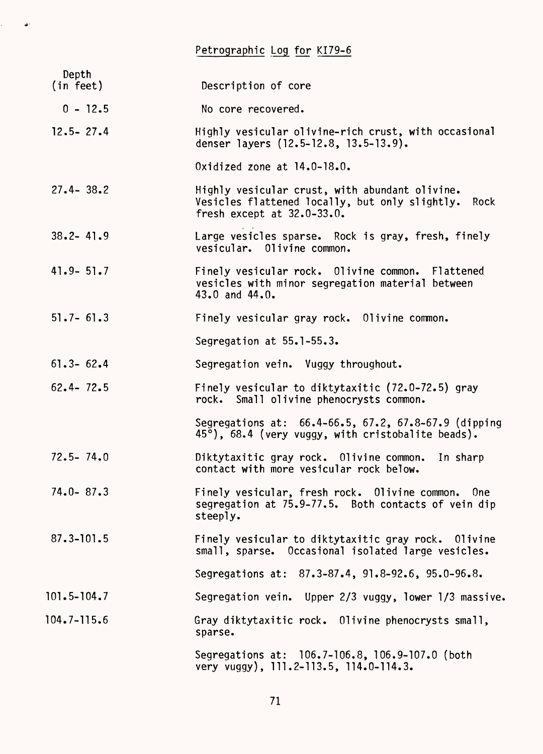Petrographic Log for KI79-6

 $\mathcal{L}^{\text{max}}$ 

| Depth<br>(in feet) | Description of core                                                                                                                      |
|--------------------|------------------------------------------------------------------------------------------------------------------------------------------|
| $0 - 12.5$         | No core recovered.                                                                                                                       |
| $12.5 - 27.4$      | Highly vesicular olivine-rich crust, with occasional<br>denser layers (12.5-12.8, 13.5-13.9).                                            |
|                    | Oxidized zone at $14.0 - 18.0$ .                                                                                                         |
| $27.4 - 38.2$      | Highly vesicular crust, with abundant olivine.<br>Vesicles flattened locally, but only slightly. Rock<br>fresh except at $32.0 - 33.0$ . |
| $38.2 - 41.9$      | Large vesicles sparse. Rock is gray, fresh, finely<br>vesicular. Olivine common.                                                         |
| $41.9 - 51.7$      | Finely vesicular rock. Olivine common. Flattened<br>vesicles with minor segregation material between<br>43.0 and $44.0$ .                |
| $51.7 - 61.3$      | Finely vesicular gray rock. Olivine common.                                                                                              |
|                    | Segregation at 55.1-55.3.                                                                                                                |
| $61.3 - 62.4$      | Segregation vein. Vuggy throughout.                                                                                                      |
| $62.4 - 72.5$      | Finely vesicular to diktytaxitic (72.0-72.5) gray<br>rock. Small olivine phenocrysts common.                                             |
|                    | Segregations at: 66.4-66.5, 67.2, 67.8-67.9 (dipping<br>45°), 68.4 (very vuggy, with cristobalite beads).                                |
| $72.5 - 74.0$      | Diktytaxitic gray rock. Olivine common.<br>In sharp<br>contact with more vesicular rock below.                                           |
| $74.0 - 87.3$      | Finely vesicular, fresh rock. Olivine common.<br>0 <sub>ne</sub><br>segregation at 75.9-77.5. Both contacts of vein dip<br>steeply.      |
| $87.3 - 101.5$     | Finely vesicular to diktytaxitic gray rock.<br>Olivine<br>small, sparse. Occasional isolated large vesicles.                             |
|                    | Segregations at: 87.3-87.4, 91.8-92.6, 95.0-96.8.                                                                                        |
| $101.5 - 104.7$    | Segregation vein. Upper 2/3 vuggy, lower 1/3 massive.                                                                                    |
| $104.7 - 115.6$    | Gray diktytaxitic rock. Olivine phenocrysts small,<br>sparse.                                                                            |
|                    | Segregations at: 106.7-106.8, 106.9-107.0 (both<br>very vuggy), 111.2-113.5, 114.0-114.3.                                                |